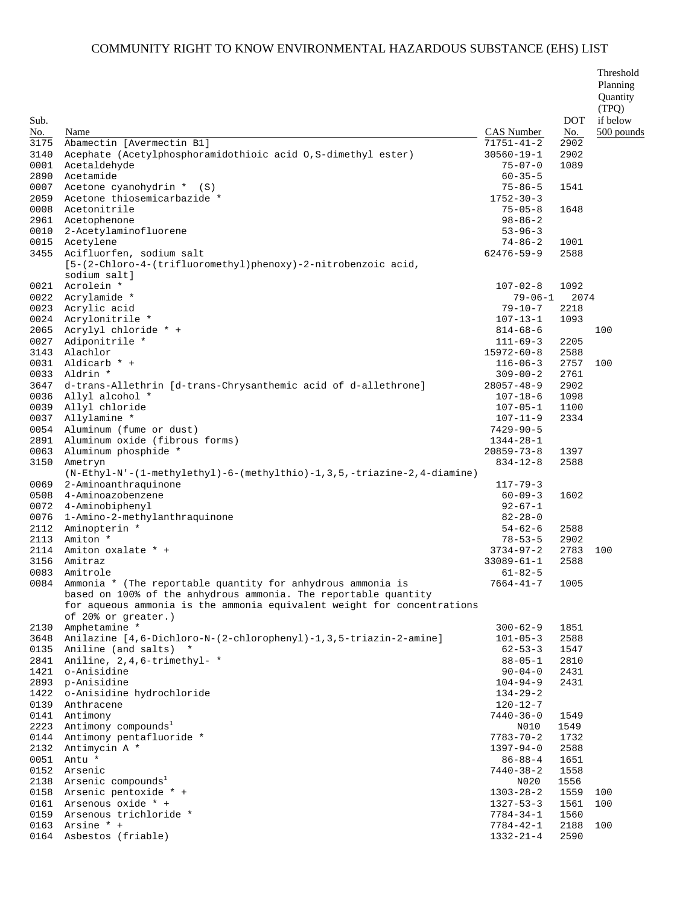| Sub.                 |                                                                                                                                                                   |                                                       | <b>DOT</b>           | Threshold<br>Planning<br>Quantity<br>(TPQ)<br>if below |
|----------------------|-------------------------------------------------------------------------------------------------------------------------------------------------------------------|-------------------------------------------------------|----------------------|--------------------------------------------------------|
| No.                  | Name                                                                                                                                                              | <b>CAS Number</b>                                     | No.                  | 500 pounds                                             |
| 3175<br>3140<br>0001 | Abamectin [Avermectin B1]<br>Acephate (Acetylphosphoramidothioic acid 0, S-dimethyl ester)<br>Acetaldehyde                                                        | $71751 - 41 - 2$<br>$30560 - 19 - 1$<br>$75 - 07 - 0$ | 2902<br>2902<br>1089 |                                                        |
| 2890<br>0007         | Acetamide<br>Acetone cyanohydrin * (S)<br>Acetone thiosemicarbazide *                                                                                             | $60 - 35 - 5$<br>$75 - 86 - 5$                        | 1541                 |                                                        |
| 2059<br>0008         | Acetonitrile                                                                                                                                                      | $1752 - 30 - 3$<br>$75 - 05 - 8$                      | 1648                 |                                                        |
| 2961                 | Acetophenone                                                                                                                                                      | $98 - 86 - 2$                                         |                      |                                                        |
| 0010                 | 2-Acetylaminofluorene                                                                                                                                             | $53 - 96 - 3$                                         |                      |                                                        |
| 0015                 | Acetylene                                                                                                                                                         | $74 - 86 - 2$                                         | 1001                 |                                                        |
| 3455                 | Acifluorfen, sodium salt<br>[5-(2-Chloro-4-(trifluoromethyl)phenoxy)-2-nitrobenzoic acid,<br>sodium salt]                                                         | 62476-59-9                                            | 2588                 |                                                        |
| 0021                 | Acrolein *                                                                                                                                                        | $107 - 02 - 8$                                        | 1092                 |                                                        |
| 0022                 | Acrylamide *                                                                                                                                                      | $79 - 06 - 1$                                         | 2074                 |                                                        |
| 0023                 | Acrylic acid                                                                                                                                                      | $79 - 10 - 7$                                         | 2218                 |                                                        |
| 0024                 | Acrylonitrile *<br>Acrylyl chloride * +                                                                                                                           | $107 - 13 - 1$                                        | 1093                 | 100                                                    |
| 2065<br>0027         | Adiponitrile *                                                                                                                                                    | $814 - 68 - 6$<br>$111 - 69 - 3$                      | 2205                 |                                                        |
| 3143                 | Alachlor                                                                                                                                                          | $15972 - 60 - 8$                                      | 2588                 |                                                        |
| 0031                 | Aldicarb * +                                                                                                                                                      | $116 - 06 - 3$                                        | 2757                 | 100                                                    |
| 0033                 | Aldrin *                                                                                                                                                          | $309 - 00 - 2$                                        | 2761                 |                                                        |
| 3647                 | d-trans-Allethrin [d-trans-Chrysanthemic acid of d-allethrone]                                                                                                    | $28057 - 48 - 9$                                      | 2902                 |                                                        |
| 0036                 | Allyl alcohol *                                                                                                                                                   | $107 - 18 - 6$                                        | 1098                 |                                                        |
| 0039                 | Allyl chloride                                                                                                                                                    | $107 - 05 - 1$                                        | 1100                 |                                                        |
| 0037                 | Allylamine *                                                                                                                                                      | $107 - 11 - 9$                                        | 2334                 |                                                        |
| 0054<br>2891         | Aluminum (fume or dust)<br>Aluminum oxide (fibrous forms)                                                                                                         | $7429 - 90 - 5$<br>$1344 - 28 - 1$                    |                      |                                                        |
| 0063                 | Aluminum phosphide *                                                                                                                                              | $20859 - 73 - 8$                                      | 1397                 |                                                        |
| 3150                 | Ametryn<br>$(N-Ethy1-N'-(1-methylethyl)-6-(methylthio)-1,3,5,-triazine-2,4-diamine)$                                                                              | $834 - 12 - 8$                                        | 2588                 |                                                        |
| 0069                 | 2-Aminoanthraquinone                                                                                                                                              | $117 - 79 - 3$                                        |                      |                                                        |
| 0508                 | 4-Aminoazobenzene                                                                                                                                                 | $60 - 09 - 3$                                         | 1602                 |                                                        |
| 0072                 | 4-Aminobiphenyl                                                                                                                                                   | $92 - 67 - 1$                                         |                      |                                                        |
| 0076                 | 1-Amino-2-methylanthraquinone                                                                                                                                     | $82 - 28 - 0$                                         |                      |                                                        |
| 2112<br>2113         | Aminopterin *<br>Amiton *                                                                                                                                         | $54 - 62 - 6$<br>$78 - 53 - 5$                        | 2588<br>2902         |                                                        |
| 2114                 | Amiton oxalate * +                                                                                                                                                | $3734 - 97 - 2$                                       | 2783                 | 100                                                    |
| 3156                 | Amitraz                                                                                                                                                           | $33089 - 61 - 1$                                      | 2588                 |                                                        |
| 0083                 | Amitrole                                                                                                                                                          | $61 - 82 - 5$                                         |                      |                                                        |
|                      | 0084 Ammonia * (The reportable quantity for anhydrous ammonia is                                                                                                  | $7664 - 41 - 7$                                       | 1005                 |                                                        |
|                      | based on 100% of the anhydrous ammonia. The reportable quantity<br>for aqueous ammonia is the ammonia equivalent weight for concentrations<br>of 20% or greater.) |                                                       |                      |                                                        |
| 2130                 | Amphetamine *                                                                                                                                                     | $300 - 62 - 9$                                        | 1851                 |                                                        |
| 3648                 | Anilazine [4,6-Dichloro-N-(2-chlorophenyl)-1,3,5-triazin-2-amine]                                                                                                 | $101 - 05 - 3$                                        | 2588                 |                                                        |
| 0135                 | Aniline (and salts) *                                                                                                                                             | $62 - 53 - 3$                                         | 1547                 |                                                        |
| 2841<br>1421         | Aniline, 2,4,6-trimethyl- *<br>o-Anisidine                                                                                                                        | $88 - 05 - 1$<br>$90 - 04 - 0$                        | 2810<br>2431         |                                                        |
| 2893                 | p-Anisidine                                                                                                                                                       | $104 - 94 - 9$                                        | 2431                 |                                                        |
| 1422                 | o-Anisidine hydrochloride                                                                                                                                         | $134 - 29 - 2$                                        |                      |                                                        |
| 0139                 | Anthracene                                                                                                                                                        | $120 - 12 - 7$                                        |                      |                                                        |
| 0141                 | Antimony                                                                                                                                                          | 7440-36-0                                             | 1549                 |                                                        |
| 2223                 | Antimony compounds <sup>1</sup>                                                                                                                                   | N010                                                  | 1549                 |                                                        |
| 0144                 | Antimony pentafluoride *                                                                                                                                          | $7783 - 70 - 2$                                       | 1732                 |                                                        |
| 2132                 | Antimycin A *                                                                                                                                                     | $1397 - 94 - 0$                                       | 2588                 |                                                        |
| 0051                 | Antu *                                                                                                                                                            | $86 - 88 - 4$                                         | 1651                 |                                                        |
| 0152<br>2138         | Arsenic<br>Arsenic compounds <sup>1</sup>                                                                                                                         | $7440 - 38 - 2$<br>N020                               | 1558<br>1556         |                                                        |
| 0158                 | Arsenic pentoxide * +                                                                                                                                             | $1303 - 28 - 2$                                       | 1559                 | 100                                                    |
| 0161                 | Arsenous oxide * +                                                                                                                                                | $1327 - 53 - 3$                                       | 1561                 | 100                                                    |
| 0159                 | Arsenous trichloride *                                                                                                                                            | 7784-34-1                                             | 1560                 |                                                        |
| 0163                 | Arsine * +                                                                                                                                                        | 7784-42-1                                             | 2188                 | 100                                                    |
| 0164                 | Asbestos (friable)                                                                                                                                                | $1332 - 21 - 4$                                       | 2590                 |                                                        |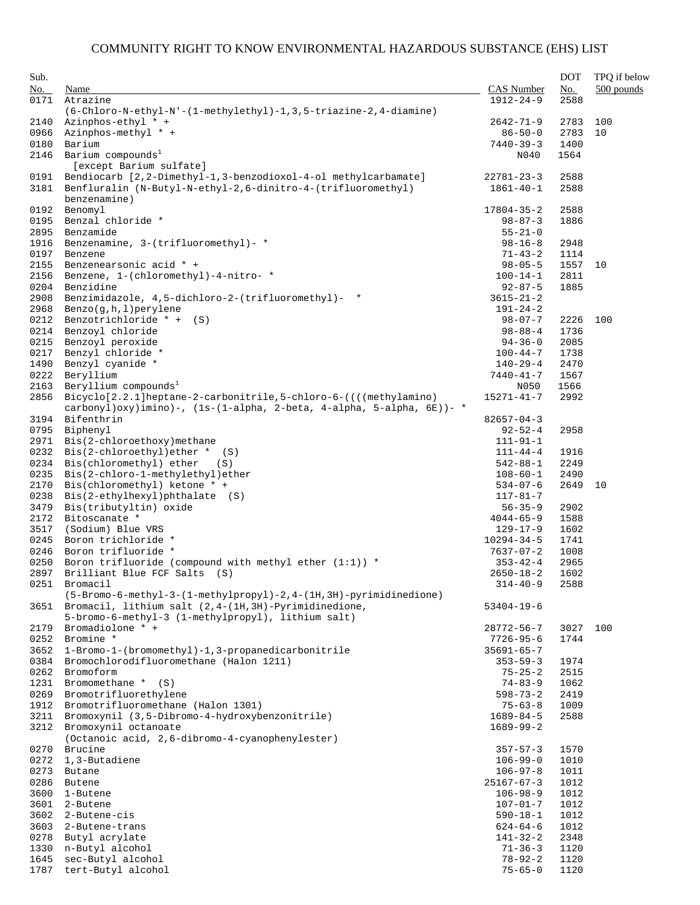| Sub.         |                                                                                                   |                                    | <b>DOT</b>   | TPQ if below |
|--------------|---------------------------------------------------------------------------------------------------|------------------------------------|--------------|--------------|
| No.          | Name                                                                                              | CAS Number                         | No.          | 500 pounds   |
| 0171         | Atrazine                                                                                          | $1912 - 24 - 9$                    | 2588         |              |
|              | $(6-\text{Chloro-N-ethyl-N'}-(1-\text{methylethyl})-1, 3, 5-\text{triazine-2}, 4-\text{diamine})$ |                                    |              |              |
| 2140         | Azinphos-ethyl * +                                                                                | $2642 - 71 - 9$                    | 2783         | 100          |
| 0966         | Azinphos-methyl * +                                                                               | $86 - 50 - 0$                      | 2783         | 10           |
| 0180<br>2146 | Barium<br>Barium compounds <sup>1</sup>                                                           | $7440 - 39 - 3$<br>N040            | 1400<br>1564 |              |
|              | [except Barium sulfate]                                                                           |                                    |              |              |
| 0191         | Bendiocarb [2,2-Dimethyl-1,3-benzodioxol-4-ol methylcarbamate]                                    | $22781 - 23 - 3$                   | 2588         |              |
| 3181         | Benfluralin (N-Butyl-N-ethyl-2,6-dinitro-4-(trifluoromethyl)                                      | $1861 - 40 - 1$                    | 2588         |              |
|              | benzenamine)                                                                                      |                                    |              |              |
| 0192         | Benomyl                                                                                           | $17804 - 35 - 2$                   | 2588         |              |
| 0195         | Benzal chloride *                                                                                 | $98 - 87 - 3$                      | 1886         |              |
| 2895         | Benzamide                                                                                         | $55 - 21 - 0$                      |              |              |
| 1916         | Benzenamine, 3-(trifluoromethyl)- *                                                               | $98 - 16 - 8$                      | 2948         |              |
| 0197<br>2155 | Benzene<br>Benzenearsonic acid * +                                                                | $71 - 43 - 2$<br>$98 - 05 - 5$     | 1114<br>1557 | 10           |
| 2156         | Benzene, 1-(chloromethyl)-4-nitro- *                                                              | $100 - 14 - 1$                     | 2811         |              |
| 0204         | Benzidine                                                                                         | $92 - 87 - 5$                      | 1885         |              |
| 2908         | Benzimidazole, 4,5-dichloro-2-(trifluoromethyl)- *                                                | $3615 - 21 - 2$                    |              |              |
| 2968         | Benzo(q,h,l)perylene                                                                              | $191 - 24 - 2$                     |              |              |
| 0212         | Benzotrichloride $* + (S)$                                                                        | $98 - 07 - 7$                      | 2226         | 100          |
| 0214         | Benzoyl chloride                                                                                  | $98 - 88 - 4$                      | 1736         |              |
| 0215         | Benzoyl peroxide                                                                                  | $94 - 36 - 0$                      | 2085         |              |
| 0217         | Benzyl chloride *                                                                                 | $100 - 44 - 7$                     | 1738         |              |
| 1490<br>0222 | Benzyl cyanide *<br>Beryllium                                                                     | $140 - 29 - 4$<br>$7440 - 41 - 7$  | 2470<br>1567 |              |
| 2163         | Beryllium compounds <sup>1</sup>                                                                  | N050                               | 1566         |              |
| 2856         | Bicyclo[2.2.1]heptane-2-carbonitrile,5-chloro-6-((((methylamino)                                  | $15271 - 41 - 7$                   | 2992         |              |
|              | carbonyl)oxy)imino)-, $(1s-(1-a)pha, 2-beta, 4-a]pha, 5-a]pha, 6E)$ )- *                          |                                    |              |              |
| 3194         | Bifenthrin                                                                                        | $82657 - 04 - 3$                   |              |              |
| 0795         | Biphenyl                                                                                          | $92 - 52 - 4$                      | 2958         |              |
| 2971         | Bis(2-chloroethoxy) methane                                                                       | $111 - 91 - 1$                     |              |              |
| 0232         | $\text{Bis}(2-\text{chloroethyl})$ ether * (S)                                                    | $111 - 44 - 4$                     | 1916         |              |
| 0234         | Bis(chloromethyl) ether<br>(S)<br>Bis(2-chloro-1-methylethyl)ether                                | $542 - 88 - 1$                     | 2249         |              |
| 0235<br>2170 | Bis(chloromethyl) ketone * +                                                                      | $108 - 60 - 1$<br>$534 - 07 - 6$   | 2490<br>2649 | 10           |
| 0238         | Bis(2-ethylhexyl)phthalate (S)                                                                    | $117 - 81 - 7$                     |              |              |
| 3479         | Bis(tributyltin) oxide                                                                            | $56 - 35 - 9$                      | 2902         |              |
| 2172         | Bitoscanate *                                                                                     | $4044 - 65 - 9$                    | 1588         |              |
| 3517         | (Sodium) Blue VRS                                                                                 | $129 - 17 - 9$                     | 1602         |              |
| 0245         | Boron trichloride *                                                                               | $10294 - 34 - 5$                   | 1741         |              |
| 0246         | Boron trifluoride *                                                                               | $7637 - 07 - 2$                    | 1008         |              |
| 0250         | Boron trifluoride (compound with methyl ether $(1:1)$ ) *                                         | $353 - 42 - 4$                     | 2965         |              |
| 2897<br>0251 | Brilliant Blue FCF Salts (S)<br>Bromacil                                                          | $2650 - 18 - 2$<br>$314 - 40 - 9$  | 1602<br>2588 |              |
|              | $(5-Bromo-6-methyl-3-(1-methylpropyl)-2,4-(1H,3H)-pyrimidinedione)$                               |                                    |              |              |
| 3651         | Bromacil, lithium salt (2,4-(1H,3H)-Pyrimidinedione,                                              | $53404 - 19 - 6$                   |              |              |
|              | 5-bromo-6-methyl-3 (1-methylpropyl), lithium salt)                                                |                                    |              |              |
| 2179         | Bromadiolone * +                                                                                  | $28772 - 56 - 7$                   | 3027         | 100          |
| 0252         | Bromine *                                                                                         | $7726 - 95 - 6$                    | 1744         |              |
| 3652         | 1-Bromo-1-(bromomethyl)-1,3-propanedicarbonitrile                                                 | $35691 - 65 - 7$                   |              |              |
| 0384<br>0262 | Bromochlorodifluoromethane (Halon 1211)<br>Bromoform                                              | $353 - 59 - 3$<br>$75 - 25 - 2$    | 1974<br>2515 |              |
| 1231         | Bromomethane $*(S)$                                                                               | $74 - 83 - 9$                      | 1062         |              |
| 0269         | Bromotrifluorethylene                                                                             | $598 - 73 - 2$                     | 2419         |              |
| 1912         | Bromotrifluoromethane (Halon 1301)                                                                | $75 - 63 - 8$                      | 1009         |              |
| 3211         | Bromoxynil (3,5-Dibromo-4-hydroxybenzonitrile)                                                    | $1689 - 84 - 5$                    | 2588         |              |
| 3212         | Bromoxynil octanoate                                                                              | $1689 - 99 - 2$                    |              |              |
|              | (Octanoic acid, 2,6-dibromo-4-cyanophenylester)                                                   |                                    |              |              |
| 0270         | Brucine                                                                                           | $357 - 57 - 3$                     | 1570         |              |
| 0272         | 1,3-Butadiene                                                                                     | $106 - 99 - 0$                     | 1010         |              |
| 0273         | Butane                                                                                            | $106 - 97 - 8$                     | 1011         |              |
| 0286<br>3600 | Butene<br>1-Butene                                                                                | $25167 - 67 - 3$<br>$106 - 98 - 9$ | 1012<br>1012 |              |
| 3601         | 2-Butene                                                                                          | $107 - 01 - 7$                     | 1012         |              |
| 3602         | 2-Butene-cis                                                                                      | $590 - 18 - 1$                     | 1012         |              |
| 3603         | 2-Butene-trans                                                                                    | $624 - 64 - 6$                     | 1012         |              |
| 0278         | Butyl acrylate                                                                                    | $141 - 32 - 2$                     | 2348         |              |
| 1330         | n-Butyl alcohol                                                                                   | $71 - 36 - 3$                      | 1120         |              |
| 1645         | sec-Butyl alcohol                                                                                 | $78 - 92 - 2$                      | 1120         |              |
| 1787         | tert-Butyl alcohol                                                                                | $75 - 65 - 0$                      | 1120         |              |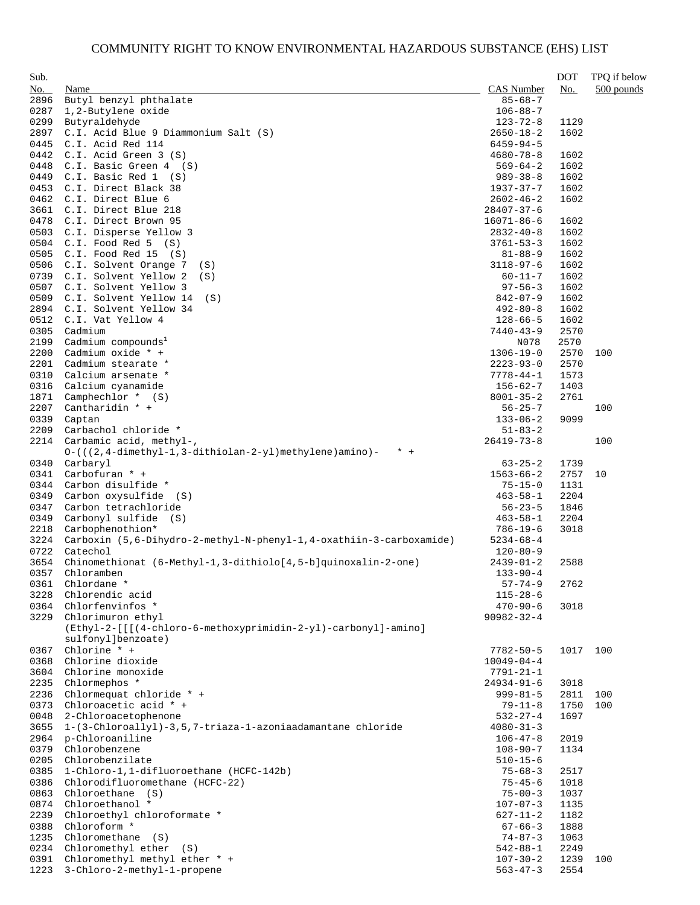| Sub.         |                                                                                 |                                    | <b>DOT</b>   | TPQ if below |
|--------------|---------------------------------------------------------------------------------|------------------------------------|--------------|--------------|
| No.          | Name                                                                            | <b>CAS</b> Number                  | No.          | 500 pounds   |
| 2896         | Butyl benzyl phthalate                                                          | $85 - 68 - 7$                      |              |              |
| 0287         | 1,2-Butylene oxide                                                              | $106 - 88 - 7$                     |              |              |
| 0299         | Butyraldehyde                                                                   | $123 - 72 - 8$                     | 1129         |              |
| 2897         | C.I. Acid Blue 9 Diammonium Salt (S)                                            | $2650 - 18 - 2$                    | 1602         |              |
| 0445<br>0442 | C.I. Acid Red 114<br>$C.I.$ Acid Green 3 $(S)$                                  | $6459 - 94 - 5$<br>$4680 - 78 - 8$ | 1602         |              |
| 0448         | $C.I.$ Basic Green $4$ (S)                                                      | $569 - 64 - 2$                     | 1602         |              |
| 0449         | $C.I.$ Basic Red $1$ (S)                                                        | $989 - 38 - 8$                     | 1602         |              |
| 0453         | C.I. Direct Black 38                                                            | 1937-37-7                          | 1602         |              |
| 0462         | C.I. Direct Blue 6                                                              | $2602 - 46 - 2$                    | 1602         |              |
| 3661         | C.I. Direct Blue 218                                                            | $28407 - 37 - 6$                   |              |              |
| 0478         | C.I. Direct Brown 95                                                            | $16071 - 86 - 6$                   | 1602         |              |
| 0503         | C.I. Disperse Yellow 3                                                          | $2832 - 40 - 8$                    | 1602         |              |
| 0504         | $C.I.$ Food Red 5 $(S)$                                                         | $3761 - 53 - 3$                    | 1602         |              |
| 0505         | C.I. Food Red 15<br>(S)                                                         | $81 - 88 - 9$                      | 1602         |              |
| 0506         | C.I. Solvent Orange 7<br>(S)                                                    | $3118 - 97 - 6$                    | 1602         |              |
| 0739<br>0507 | C.I. Solvent Yellow 2<br>(S)<br>C.I. Solvent Yellow 3                           | $60 - 11 - 7$<br>$97 - 56 - 3$     | 1602<br>1602 |              |
| 0509         | C.I. Solvent Yellow 14<br>(S)                                                   | $842 - 07 - 9$                     | 1602         |              |
| 2894         | C.I. Solvent Yellow 34                                                          | $492 - 80 - 8$                     | 1602         |              |
| 0512         | C.I. Vat Yellow 4                                                               | $128 - 66 - 5$                     | 1602         |              |
| 0305         | Cadmium                                                                         | $7440 - 43 - 9$                    | 2570         |              |
| 2199         | Cadmium compounds <sup>1</sup>                                                  | N078                               | 2570         |              |
| 2200         | Cadmium oxide * +                                                               | $1306 - 19 - 0$                    | 2570         | 100          |
| 2201         | Cadmium stearate *                                                              | $2223 - 93 - 0$                    | 2570         |              |
| 0310         | Calcium arsenate *                                                              | $7778 - 44 - 1$                    | 1573         |              |
| 0316         | Calcium cyanamide                                                               | $156 - 62 - 7$                     | 1403         |              |
| 1871         | Camphechlor $*$ (S)                                                             | $8001 - 35 - 2$                    | 2761         |              |
| 2207         | Cantharidin * +                                                                 | $56 - 25 - 7$                      |              | 100          |
| 0339<br>2209 | Captan<br>Carbachol chloride *                                                  | $133 - 06 - 2$<br>$51 - 83 - 2$    | 9099         |              |
| 2214         | Carbamic acid, methyl-,                                                         | $26419 - 73 - 8$                   |              | 100          |
|              | $0-$ ( $(2, 4$ -dimethyl-1,3-dithiolan-2-yl) methylene) amino) -<br>$* +$       |                                    |              |              |
| 0340         | Carbaryl                                                                        | $63 - 25 - 2$                      | 1739         |              |
| 0341         | Carbofuran * +                                                                  | $1563 - 66 - 2$                    | 2757         | 10           |
| 0344         | Carbon disulfide *                                                              | $75 - 15 - 0$                      | 1131         |              |
| 0349         | Carbon oxysulfide (S)                                                           | $463 - 58 - 1$                     | 2204         |              |
| 0347         | Carbon tetrachloride                                                            | $56 - 23 - 5$                      | 1846         |              |
| 0349         | Carbonyl sulfide (S)                                                            | $463 - 58 - 1$                     | 2204         |              |
| 2218         | Carbophenothion*                                                                | $786 - 19 - 6$                     | 3018         |              |
| 3224<br>0722 | Carboxin (5,6-Dihydro-2-methyl-N-phenyl-1,4-oxathiin-3-carboxamide)<br>Catechol | $5234 - 68 - 4$                    |              |              |
| 3654         | Chinomethionat (6-Methyl-1,3-dithiolo[4,5-b]quinoxalin-2-one)                   | $120 - 80 - 9$<br>$2439 - 01 - 2$  | 2588         |              |
| 0357         | Chloramben                                                                      | $133 - 90 - 4$                     |              |              |
| 0361         | Chlordane *                                                                     | $57 - 74 - 9$                      | 2762         |              |
| 3228         | Chlorendic acid                                                                 | $115 - 28 - 6$                     |              |              |
| 0364         | Chlorfenvinfos *                                                                | $470 - 90 - 6$                     | 3018         |              |
| 3229         | Chlorimuron ethyl                                                               | $90982 - 32 - 4$                   |              |              |
|              | (Ethyl-2-[[[(4-chloro-6-methoxyprimidin-2-yl)-carbonyl]-amino]                  |                                    |              |              |
|              | sulfonyl]benzoate)                                                              |                                    |              |              |
| 0367         | Chlorine $*$ +<br>Chlorine dioxide                                              | $7782 - 50 - 5$                    | 1017         | 100          |
| 0368<br>3604 | Chlorine monoxide                                                               | $10049 - 04 - 4$<br>7791-21-1      |              |              |
| 2235         | Chlormephos *                                                                   | $24934 - 91 - 6$                   | 3018         |              |
| 2236         | Chlormequat chloride * +                                                        | $999 - 81 - 5$                     | 2811         | 100          |
| 0373         | Chloroacetic acid * +                                                           | $79 - 11 - 8$                      | 1750         | 100          |
| 0048         | 2-Chloroacetophenone                                                            | $532 - 27 - 4$                     | 1697         |              |
| 3655         | 1-(3-Chloroallyl)-3,5,7-triaza-1-azoniaadamantane chloride                      | $4080 - 31 - 3$                    |              |              |
| 2964         | p-Chloroaniline                                                                 | $106 - 47 - 8$                     | 2019         |              |
| 0379         | Chlorobenzene                                                                   | $108 - 90 - 7$                     | 1134         |              |
| 0205         | Chlorobenzilate                                                                 | $510 - 15 - 6$                     |              |              |
| 0385         | 1-Chloro-1,1-difluoroethane (HCFC-142b)                                         | $75 - 68 - 3$                      | 2517         |              |
| 0386         | Chlorodifluoromethane (HCFC-22)                                                 | $75 - 45 - 6$                      | 1018         |              |
| 0863<br>0874 | Chloroethane (S)<br>Chloroethanol *                                             | $75 - 00 - 3$<br>$107 - 07 - 3$    | 1037<br>1135 |              |
| 2239         | Chloroethyl chloroformate *                                                     | 627-11-2                           | 1182         |              |
| 0388         | Chloroform *                                                                    | $67 - 66 - 3$                      | 1888         |              |
| 1235         | Chloromethane<br>(S)                                                            | $74 - 87 - 3$                      | 1063         |              |
| 0234         | Chloromethyl ether<br>(S)                                                       | $542 - 88 - 1$                     | 2249         |              |
| 0391         | Chloromethyl methyl ether * +                                                   | $107 - 30 - 2$                     | 1239         | 100          |
| 1223         | 3-Chloro-2-methyl-1-propene                                                     | $563 - 47 - 3$                     | 2554         |              |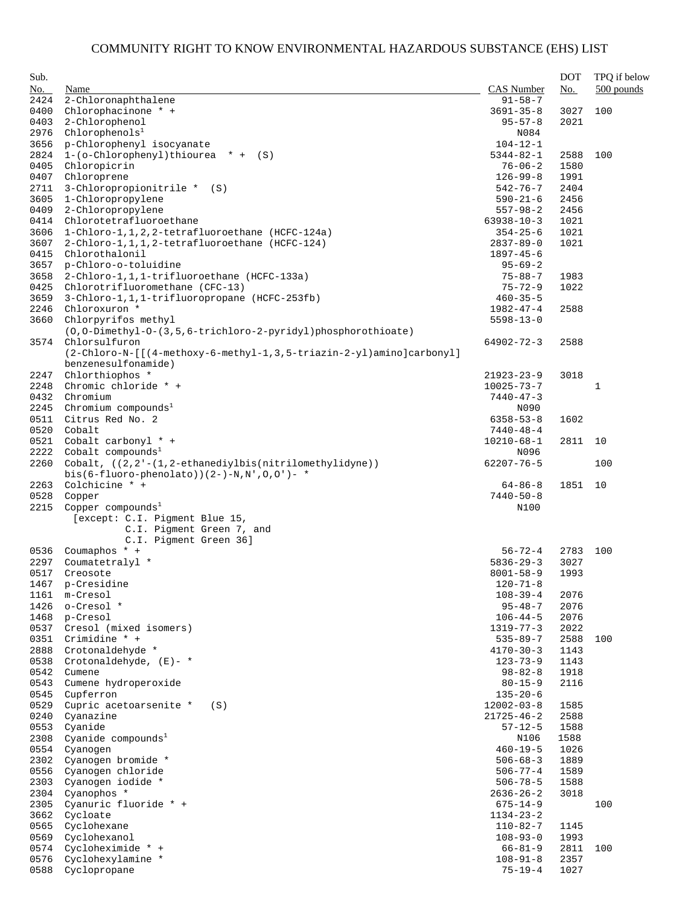| Sub. |                                                                      |                  | <b>DOT</b> | TPQ if below |
|------|----------------------------------------------------------------------|------------------|------------|--------------|
| No.  | Name                                                                 | CAS Number       | No.        | $500$ pounds |
| 2424 | 2-Chloronaphthalene                                                  | $91 - 58 - 7$    |            |              |
| 0400 | Chlorophacinone * +                                                  | $3691 - 35 - 8$  | 3027       | 100          |
| 0403 | 2-Chlorophenol                                                       | $95 - 57 - 8$    | 2021       |              |
| 2976 | Chlorophenols <sup>1</sup>                                           | N084             |            |              |
| 3656 | p-Chlorophenyl isocyanate                                            | $104 - 12 - 1$   |            |              |
| 2824 | $1-(o-Chloropheny1)$ thiourea * + (S)                                | $5344 - 82 - 1$  | 2588       | 100          |
| 0405 | Chloropicrin                                                         | $76 - 06 - 2$    | 1580       |              |
| 0407 | Chloroprene                                                          | $126 - 99 - 8$   | 1991       |              |
| 2711 | 3-Chloropropionitrile * (S)                                          | $542 - 76 - 7$   | 2404       |              |
| 3605 | 1-Chloropropylene                                                    | $590 - 21 - 6$   | 2456       |              |
| 0409 | 2-Chloropropylene                                                    | $557 - 98 - 2$   | 2456       |              |
| 0414 | Chlorotetrafluoroethane                                              | $63938 - 10 - 3$ | 1021       |              |
| 3606 | 1-Chloro-1, 1, 2, 2-tetrafluoroethane (HCFC-124a)                    | $354 - 25 - 6$   | 1021       |              |
| 3607 | 2-Chloro-1,1,1,2-tetrafluoroethane (HCFC-124)                        | $2837 - 89 - 0$  | 1021       |              |
| 0415 | Chlorothalonil                                                       | $1897 - 45 - 6$  |            |              |
| 3657 | p-Chloro-o-toluidine                                                 | $95 - 69 - 2$    |            |              |
| 3658 | 2-Chloro-1,1,1-trifluoroethane (HCFC-133a)                           | $75 - 88 - 7$    | 1983       |              |
| 0425 | Chlorotrifluoromethane (CFC-13)                                      | $75 - 72 - 9$    | 1022       |              |
| 3659 | 3-Chloro-1,1,1-trifluoropropane (HCFC-253fb)                         | $460 - 35 - 5$   |            |              |
|      | Chloroxuron *                                                        |                  |            |              |
| 2246 |                                                                      | 1982-47-4        | 2588       |              |
| 3660 | Chlorpyrifos methyl                                                  | $5598 - 13 - 0$  |            |              |
|      | (0,0-Dimethyl-0-(3,5,6-trichloro-2-pyridyl)phosphorothioate)         |                  |            |              |
| 3574 | Chlorsulfuron                                                        | $64902 - 72 - 3$ | 2588       |              |
|      | (2-Chloro-N-[[(4-methoxy-6-methyl-1,3,5-triazin-2-yl)amino]carbonyl] |                  |            |              |
|      | benzenesulfonamide)                                                  |                  |            |              |
| 2247 | Chlorthiophos *                                                      | $21923 - 23 - 9$ | 3018       |              |
| 2248 | Chromic chloride * +                                                 | $10025 - 73 - 7$ |            | $\mathbf{1}$ |
| 0432 | Chromium                                                             | $7440 - 47 - 3$  |            |              |
| 2245 | Chromium compounds <sup>1</sup>                                      | N090             |            |              |
| 0511 | Citrus Red No. 2                                                     | $6358 - 53 - 8$  | 1602       |              |
| 0520 | Cobalt                                                               | 7440-48-4        |            |              |
| 0521 | Cobalt carbonyl * +                                                  | $10210 - 68 - 1$ | 2811       | 10           |
| 2222 | Cobalt compounds <sup>1</sup>                                        | N096             |            |              |
| 2260 | Cobalt, ((2,2'-(1,2-ethanediylbis(nitrilomethylidyne))               | $62207 - 76 - 5$ |            | 100          |
|      | bis(6-fluoro-phenolato))(2-)-N,N',O,O')- *                           |                  |            |              |
| 2263 | Colchicine * +                                                       | $64 - 86 - 8$    | 1851       | 10           |
| 0528 | Copper                                                               | $7440 - 50 - 8$  |            |              |
| 2215 | Copper compounds <sup>1</sup>                                        | N100             |            |              |
|      | [except: C.I. Pigment Blue 15,                                       |                  |            |              |
|      | C.I. Pigment Green 7, and                                            |                  |            |              |
|      | C.I. Pigment Green 36]                                               |                  |            |              |
| 0536 | Coumaphos $* +$                                                      | $56 - 72 - 4$    | 2783       | 100          |
| 2297 | Coumatetralyl *                                                      | $5836 - 29 - 3$  | 3027       |              |
| 0517 | Creosote                                                             | $8001 - 58 - 9$  | 1993       |              |
|      | 1467 p-Cresidine                                                     | $120 - 71 - 8$   |            |              |
| 1161 | m-Cresol                                                             | $108 - 39 - 4$   | 2076       |              |
| 1426 | o-Cresol *                                                           | $95 - 48 - 7$    | 2076       |              |
| 1468 | p-Cresol                                                             | $106 - 44 - 5$   | 2076       |              |
| 0537 | Cresol (mixed isomers)                                               | $1319 - 77 - 3$  | 2022       |              |
| 0351 | Crimidine $*$ +                                                      | $535 - 89 - 7$   | 2588       | 100          |
| 2888 | Crotonaldehyde *                                                     | $4170 - 30 - 3$  | 1143       |              |
| 0538 | Crotonaldehyde, $(E)$ - *                                            | $123 - 73 - 9$   | 1143       |              |
| 0542 | Cumene                                                               | $98 - 82 - 8$    | 1918       |              |
| 0543 | Cumene hydroperoxide                                                 | $80 - 15 - 9$    | 2116       |              |
| 0545 | Cupferron                                                            | $135 - 20 - 6$   |            |              |
| 0529 | Cupric acetoarsenite *<br>(S)                                        | $12002 - 03 - 8$ | 1585       |              |
| 0240 | Cyanazine                                                            | 21725-46-2       | 2588       |              |
| 0553 | Cyanide                                                              | $57 - 12 - 5$    | 1588       |              |
| 2308 | Cyanide compounds <sup>1</sup>                                       | N106             | 1588       |              |
| 0554 | Cyanogen                                                             | $460 - 19 - 5$   | 1026       |              |
| 2302 | Cyanogen bromide *                                                   | $506 - 68 - 3$   | 1889       |              |
| 0556 | Cyanogen chloride                                                    | $506 - 77 - 4$   | 1589       |              |
| 2303 | Cyanogen iodide *                                                    | $506 - 78 - 5$   | 1588       |              |
| 2304 | Cyanophos *                                                          | $2636 - 26 - 2$  | 3018       |              |
| 2305 | Cyanuric fluoride * +                                                | 675-14-9         |            | 100          |
| 3662 | Cycloate                                                             | 1134-23-2        |            |              |
| 0565 | Cyclohexane                                                          | $110 - 82 - 7$   | 1145       |              |
| 0569 | Cyclohexanol                                                         | $108 - 93 - 0$   | 1993       |              |
| 0574 | Cycloheximide * +                                                    | 66-81-9          | 2811       | 100          |
| 0576 | Cyclohexylamine *                                                    |                  |            |              |
| 0588 | Cyclopropane                                                         | $108 - 91 - 8$   | 2357       |              |
|      |                                                                      | 75-19-4          | 1027       |              |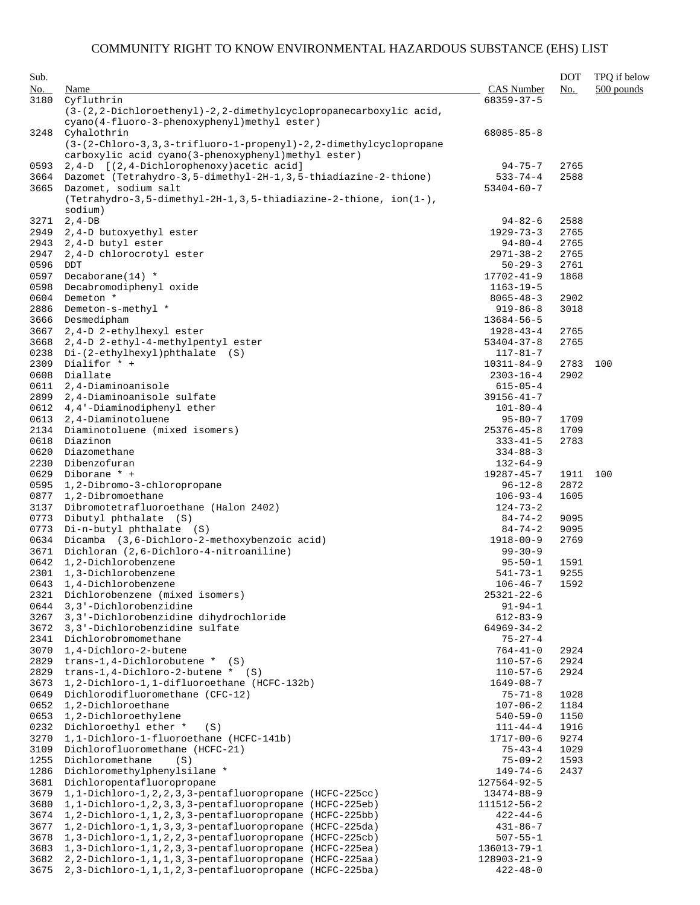| Sub.<br>No.  | Name                                                                                                                                    | CAS Number                         | <b>DOT</b><br>No. | TPQ if below<br>$500$ pounds |
|--------------|-----------------------------------------------------------------------------------------------------------------------------------------|------------------------------------|-------------------|------------------------------|
| 3180         | Cyfluthrin                                                                                                                              | $68359 - 37 - 5$                   |                   |                              |
|              | (3-(2,2-Dichloroethenyl)-2,2-dimethylcyclopropanecarboxylic acid,<br>cyano(4-fluoro-3-phenoxyphenyl)methyl ester)                       |                                    |                   |                              |
| 3248         | Cyhalothrin<br>(3-(2-Chloro-3,3,3-trifluoro-1-propenyl)-2,2-dimethylcyclopropane<br>carboxylic acid cyano(3-phenoxyphenyl)methyl ester) | $68085 - 85 - 8$                   |                   |                              |
| 0593         | 2,4-D [(2,4-Dichlorophenoxy) acetic acid]                                                                                               | $94 - 75 - 7$                      | 2765              |                              |
| 3664         | Dazomet (Tetrahydro-3,5-dimethyl-2H-1,3,5-thiadiazine-2-thione)                                                                         | $533 - 74 - 4$                     | 2588              |                              |
| 3665         | Dazomet, sodium salt<br>$(Tetrahydro-3, 5-dimethyl-2H-1, 3, 5-thiadiazine-2-thione, ion(1-),$<br>sodium)                                | $53404 - 60 - 7$                   |                   |                              |
| 3271         | $2, 4-DB$                                                                                                                               | $94 - 82 - 6$                      | 2588              |                              |
| 2949         | 2,4-D butoxyethyl ester                                                                                                                 | $1929 - 73 - 3$                    | 2765              |                              |
| 2943         | 2,4-D butyl ester                                                                                                                       | $94 - 80 - 4$                      | 2765              |                              |
| 2947         | 2,4-D chlorocrotyl ester                                                                                                                | $2971 - 38 - 2$                    | 2765              |                              |
| 0596         | <b>DDT</b>                                                                                                                              | $50 - 29 - 3$                      | 2761              |                              |
| 0597         | Decaborane $(14)$ *                                                                                                                     | $17702 - 41 - 9$                   | 1868              |                              |
| 0598<br>0604 | Decabromodiphenyl oxide<br>Demeton *                                                                                                    | $1163 - 19 - 5$<br>$8065 - 48 - 3$ | 2902              |                              |
| 2886         | Demeton-s-methyl *                                                                                                                      | $919 - 86 - 8$                     | 3018              |                              |
| 3666         | Desmedipham                                                                                                                             | $13684 - 56 - 5$                   |                   |                              |
| 3667         | 2,4-D 2-ethylhexyl ester                                                                                                                | $1928 - 43 - 4$                    | 2765              |                              |
| 3668         | 2,4-D 2-ethyl-4-methylpentyl ester                                                                                                      | $53404 - 37 - 8$                   | 2765              |                              |
| 0238         | $Di-(2-ethylhexyl)$ phthalate $(S)$                                                                                                     | $117 - 81 - 7$                     |                   |                              |
| 2309         | Dialifor * +                                                                                                                            | $10311 - 84 - 9$                   | 2783              | 100                          |
| 0608         | Diallate                                                                                                                                | $2303 - 16 - 4$                    | 2902              |                              |
| 0611         | 2,4-Diaminoanisole                                                                                                                      | $615 - 05 - 4$                     |                   |                              |
| 2899         | 2,4-Diaminoanisole sulfate                                                                                                              | $39156 - 41 - 7$                   |                   |                              |
| 0612<br>0613 | 4,4'-Diaminodiphenyl ether<br>2,4-Diaminotoluene                                                                                        | $101 - 80 - 4$                     | 1709              |                              |
| 2134         | Diaminotoluene (mixed isomers)                                                                                                          | $95 - 80 - 7$<br>$25376 - 45 - 8$  | 1709              |                              |
| 0618         | Diazinon                                                                                                                                | $333 - 41 - 5$                     | 2783              |                              |
| 0620         | Diazomethane                                                                                                                            | $334 - 88 - 3$                     |                   |                              |
| 2230         | Dibenzofuran                                                                                                                            | $132 - 64 - 9$                     |                   |                              |
| 0629         | Diborane * +                                                                                                                            | $19287 - 45 - 7$                   | 1911              | 100                          |
| 0595         | 1,2-Dibromo-3-chloropropane                                                                                                             | $96 - 12 - 8$                      | 2872              |                              |
| 0877         | 1,2-Dibromoethane                                                                                                                       | $106 - 93 - 4$                     | 1605              |                              |
| 3137         | Dibromotetrafluoroethane (Halon 2402)                                                                                                   | $124 - 73 - 2$                     |                   |                              |
| 0773         | Dibutyl phthalate (S)                                                                                                                   | $84 - 74 - 2$                      | 9095              |                              |
| 0773<br>0634 | Di-n-butyl phthalate (S)<br>Dicamba (3,6-Dichloro-2-methoxybenzoic acid)                                                                | $84 - 74 - 2$<br>$1918 - 00 - 9$   | 9095<br>2769      |                              |
| 3671         | Dichloran (2,6-Dichloro-4-nitroaniline)                                                                                                 | $99 - 30 - 9$                      |                   |                              |
| 0642         | 1,2-Dichlorobenzene                                                                                                                     | $95 - 50 - 1$                      | 1591              |                              |
| 2301         | 1,3-Dichlorobenzene                                                                                                                     | $541 - 73 - 1$                     | 9255              |                              |
| 0643         | 1,4-Dichlorobenzene                                                                                                                     | $106 - 46 - 7$                     | 1592              |                              |
| 2321         | Dichlorobenzene (mixed isomers)                                                                                                         | $25321 - 22 - 6$                   |                   |                              |
| 0644         | 3,3'-Dichlorobenzidine                                                                                                                  | $91 - 94 - 1$                      |                   |                              |
| 3267         | 3,3'-Dichlorobenzidine dihydrochloride                                                                                                  | $612 - 83 - 9$                     |                   |                              |
| 3672         | 3,3'-Dichlorobenzidine sulfate                                                                                                          | $64969 - 34 - 2$                   |                   |                              |
| 2341         | Dichlorobromomethane<br>1,4-Dichloro-2-butene                                                                                           | $75 - 27 - 4$                      |                   |                              |
| 3070<br>2829 | trans-1,4-Dichlorobutene $*$ (S)                                                                                                        | $764 - 41 - 0$<br>$110 - 57 - 6$   | 2924<br>2924      |                              |
| 2829         | trans-1,4-Dichloro-2-butene $*$ (S)                                                                                                     | $110 - 57 - 6$                     | 2924              |                              |
| 3673         | 1,2-Dichloro-1,1-difluoroethane (HCFC-132b)                                                                                             | $1649 - 08 - 7$                    |                   |                              |
| 0649         | Dichlorodifluoromethane (CFC-12)                                                                                                        | $75 - 71 - 8$                      | 1028              |                              |
| 0652         | 1,2-Dichloroethane                                                                                                                      | $107 - 06 - 2$                     | 1184              |                              |
| 0653         | 1,2-Dichloroethylene                                                                                                                    | $540 - 59 - 0$                     | 1150              |                              |
| 0232         | Dichloroethyl ether *<br>(S)                                                                                                            | $111 - 44 - 4$                     | 1916              |                              |
| 3270         | 1,1-Dichloro-1-fluoroethane (HCFC-141b)                                                                                                 | $1717 - 00 - 6$                    | 9274              |                              |
| 3109         | Dichlorofluoromethane (HCFC-21)                                                                                                         | $75 - 43 - 4$                      | 1029              |                              |
| 1255         | Dichloromethane<br>(S)                                                                                                                  | $75 - 09 - 2$                      | 1593              |                              |
| 1286<br>3681 | Dichloromethylphenylsilane *<br>Dichloropentafluoropropane                                                                              | $149 - 74 - 6$<br>127564-92-5      | 2437              |                              |
| 3679         | $1, 1-Dichloro-1, 2, 2, 3, 3-pentafluoropropane (HCFC-225cc)$                                                                           | $13474 - 88 - 9$                   |                   |                              |
| 3680         | $1, 1-Dichloro-1, 2, 3, 3-pentafluoropropane (HCFC-225eb)$                                                                              | 111512-56-2                        |                   |                              |
| 3674         | 1,2-Dichloro-1,1,2,3,3-pentafluoropropane (HCFC-225bb)                                                                                  | $422 - 44 - 6$                     |                   |                              |
| 3677         | $1, 2-Dichloro-1, 1, 3, 3-pentafluoropropane (HCFC-225da)$                                                                              | $431 - 86 - 7$                     |                   |                              |
| 3678         | $1, 3-Dichloro-1, 1, 2, 2, 3-pentafluoropropane (HCFC-225cb)$                                                                           | $507 - 55 - 1$                     |                   |                              |
| 3683         | 1,3-Dichloro-1,1,2,3,3-pentafluoropropane (HCFC-225ea)                                                                                  | 136013-79-1                        |                   |                              |
| 3682         | 2, 2-Dichloro-1, 1, 1, 3, 3-pentafluoropropane (HCFC-225aa)                                                                             | $128903 - 21 - 9$                  |                   |                              |
| 3675         | 2,3-Dichloro-1,1,1,2,3-pentafluoropropane (HCFC-225ba)                                                                                  | $422 - 48 - 0$                     |                   |                              |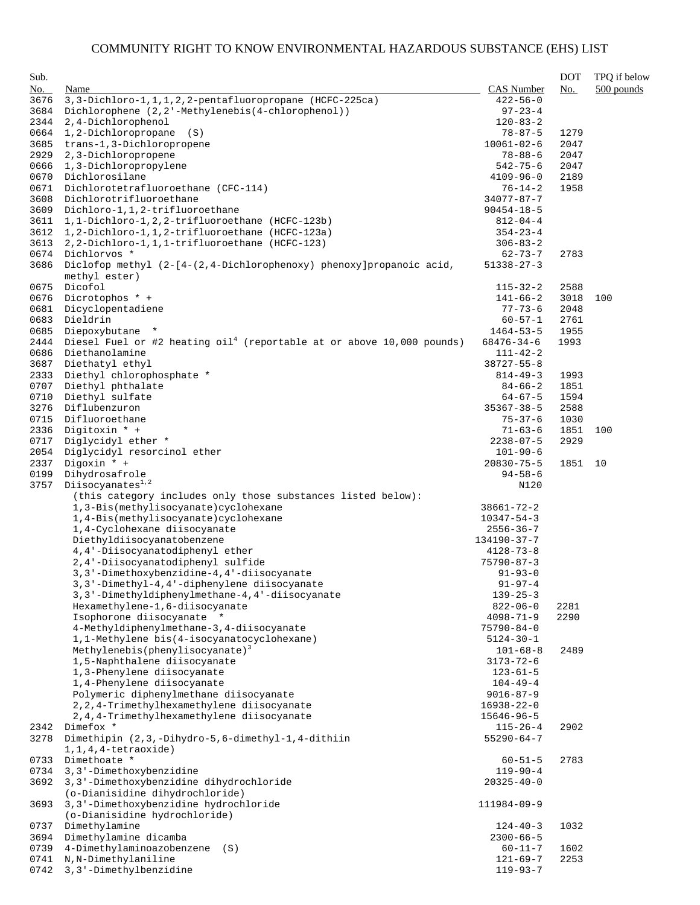| Sub. |                                                                                                               |                   | <b>DOT</b> | TPQ if below |
|------|---------------------------------------------------------------------------------------------------------------|-------------------|------------|--------------|
| No.  | Name                                                                                                          | <b>CAS Number</b> | No.        | $500$ pounds |
| 3676 | 3, 3-Dichloro-1, 1, 1, 2, 2-pentafluoropropane (HCFC-225ca)                                                   | $422 - 56 - 0$    |            |              |
| 3684 | Dichlorophene (2,2'-Methylenebis(4-chlorophenol))                                                             | $97 - 23 - 4$     |            |              |
| 2344 | 2,4-Dichlorophenol                                                                                            | $120 - 83 - 2$    |            |              |
| 0664 | 1,2-Dichloropropane (S)                                                                                       | $78 - 87 - 5$     | 1279       |              |
| 3685 | trans-1,3-Dichloropropene                                                                                     | $10061 - 02 - 6$  | 2047       |              |
| 2929 | 2,3-Dichloropropene                                                                                           | $78 - 88 - 6$     | 2047       |              |
| 0666 | 1,3-Dichloropropylene                                                                                         | $542 - 75 - 6$    | 2047       |              |
| 0670 | Dichlorosilane                                                                                                | $4109 - 96 - 0$   | 2189       |              |
| 0671 | Dichlorotetrafluoroethane (CFC-114)                                                                           | $76 - 14 - 2$     | 1958       |              |
| 3608 | Dichlorotrifluoroethane                                                                                       | $34077 - 87 - 7$  |            |              |
| 3609 | Dichloro-1,1,2-trifluoroethane                                                                                | $90454 - 18 - 5$  |            |              |
| 3611 | 1,1-Dichloro-1,2,2-trifluoroethane (HCFC-123b)                                                                | $812 - 04 - 4$    |            |              |
| 3612 | 1,2-Dichloro-1,1,2-trifluoroethane (HCFC-123a)                                                                | $354 - 23 - 4$    |            |              |
| 3613 | 2, 2-Dichloro-1, 1, 1-trifluoroethane (HCFC-123)                                                              | $306 - 83 - 2$    |            |              |
| 0674 | Dichlorvos *                                                                                                  | $62 - 73 - 7$     | 2783       |              |
| 3686 | Diclofop methyl (2-[4-(2,4-Dichlorophenoxy) phenoxy] propanoic acid,                                          | $51338 - 27 - 3$  |            |              |
|      | methyl ester)                                                                                                 |                   |            |              |
| 0675 | Dicofol                                                                                                       | $115 - 32 - 2$    | 2588       |              |
| 0676 | Dicrotophos * +                                                                                               | $141 - 66 - 2$    | 3018       | 100          |
| 0681 | Dicyclopentadiene                                                                                             | $77 - 73 - 6$     | 2048       |              |
| 0683 | Dieldrin                                                                                                      | $60 - 57 - 1$     | 2761       |              |
| 0685 |                                                                                                               | $1464 - 53 - 5$   |            |              |
|      | Diepoxybutane<br>$\star$<br>Diesel Fuel or #2 heating oil <sup>4</sup> (reportable at or above 10,000 pounds) |                   | 1955       |              |
| 2444 |                                                                                                               | 68476-34-6        | 1993       |              |
| 0686 | Diethanolamine                                                                                                | 111-42-2          |            |              |
| 3687 | Diethatyl ethyl                                                                                               | $38727 - 55 - 8$  |            |              |
| 2333 | Diethyl chlorophosphate *                                                                                     | $814 - 49 - 3$    | 1993       |              |
| 0707 | Diethyl phthalate                                                                                             | $84 - 66 - 2$     | 1851       |              |
| 0710 | Diethyl sulfate                                                                                               | $64 - 67 - 5$     | 1594       |              |
| 3276 | Diflubenzuron                                                                                                 | $35367 - 38 - 5$  | 2588       |              |
| 0715 | Difluoroethane                                                                                                | $75 - 37 - 6$     | 1030       |              |
| 2336 | Digitoxin * +                                                                                                 | $71 - 63 - 6$     | 1851       | 100          |
| 0717 | Diglycidyl ether *                                                                                            | $2238 - 07 - 5$   | 2929       |              |
| 2054 | Diglycidyl resorcinol ether                                                                                   | $101 - 90 - 6$    |            |              |
| 2337 | Digoxin * +                                                                                                   | $20830 - 75 - 5$  | 1851       | 10           |
| 0199 | Dihydrosafrole                                                                                                | $94 - 58 - 6$     |            |              |
| 3757 | Diisocyanates <sup>1,2</sup>                                                                                  | N120              |            |              |
|      | (this category includes only those substances listed below):                                                  |                   |            |              |
|      | 1, 3-Bis(methylisocyanate)cyclohexane                                                                         | $38661 - 72 - 2$  |            |              |
|      | 1,4-Bis(methylisocyanate)cyclohexane                                                                          | $10347 - 54 - 3$  |            |              |
|      | 1,4-Cyclohexane diisocyanate                                                                                  | $2556 - 36 - 7$   |            |              |
|      | Diethyldiisocyanatobenzene                                                                                    | 134190-37-7       |            |              |
|      | 4,4'-Diisocyanatodiphenyl ether                                                                               | $4128 - 73 - 8$   |            |              |
|      | 2,4'-Diisocyanatodiphenyl sulfide                                                                             | $75790 - 87 - 3$  |            |              |
|      | 3, 3'-Dimethoxybenzidine-4, 4'-diisocyanate                                                                   | $91 - 93 - 0$     |            |              |
|      | 3, 3'-Dimethyl-4, 4'-diphenylene diisocyanate                                                                 | $91 - 97 - 4$     |            |              |
|      | 3, 3'-Dimethyldiphenylmethane-4, 4'-diisocyanate                                                              | $139 - 25 - 3$    |            |              |
|      | Hexamethylene-1, 6-diisocyanate                                                                               | $822 - 06 - 0$    | 2281       |              |
|      | Isophorone diisocyanate *                                                                                     | $4098 - 71 - 9$   | 2290       |              |
|      | 4-Methyldiphenylmethane-3,4-diisocyanate                                                                      | $75790 - 84 - 0$  |            |              |
|      | 1,1-Methylene bis(4-isocyanatocyclohexane)                                                                    | $5124 - 30 - 1$   |            |              |
|      | $Method of the 3$                                                                                             | $101 - 68 - 8$    | 2489       |              |
|      | 1,5-Naphthalene diisocyanate                                                                                  | $3173 - 72 - 6$   |            |              |
|      | 1,3-Phenylene diisocyanate                                                                                    | $123 - 61 - 5$    |            |              |
|      | 1,4-Phenylene diisocyanate                                                                                    | $104 - 49 - 4$    |            |              |
|      | Polymeric diphenylmethane diisocyanate                                                                        | $9016 - 87 - 9$   |            |              |
|      | 2, 2, 4-Trimethylhexamethylene diisocyanate                                                                   | $16938 - 22 - 0$  |            |              |
|      | 2, 4, 4-Trimethylhexamethylene diisocyanate                                                                   | 15646-96-5        |            |              |
| 2342 | Dimefox *                                                                                                     | $115 - 26 - 4$    | 2902       |              |
| 3278 | Dimethipin (2,3,-Dihydro-5,6-dimethyl-1,4-dithiin                                                             | $55290 - 64 - 7$  |            |              |
|      | $1, 1, 4, 4$ -tetraoxide)                                                                                     |                   |            |              |
| 0733 | Dimethoate *                                                                                                  | $60 - 51 - 5$     | 2783       |              |
| 0734 | 3, 3'-Dimethoxybenzidine                                                                                      | $119 - 90 - 4$    |            |              |
| 3692 | 3,3'-Dimethoxybenzidine dihydrochloride                                                                       | $20325 - 40 - 0$  |            |              |
|      | (o-Dianisidine dihydrochloride)                                                                               |                   |            |              |
| 3693 | 3, 3'-Dimethoxybenzidine hydrochloride                                                                        | 111984-09-9       |            |              |
|      | (o-Dianisidine hydrochloride)                                                                                 |                   |            |              |
| 0737 | Dimethylamine                                                                                                 | $124 - 40 - 3$    | 1032       |              |
| 3694 | Dimethylamine dicamba                                                                                         | $2300 - 66 - 5$   |            |              |
| 0739 | 4-Dimethylaminoazobenzene<br>(S)                                                                              | 60-11-7           | 1602       |              |
| 0741 | N, N-Dimethylaniline                                                                                          | 121-69-7          | 2253       |              |
| 0742 | 3, 3'-Dimethylbenzidine                                                                                       | $119 - 93 - 7$    |            |              |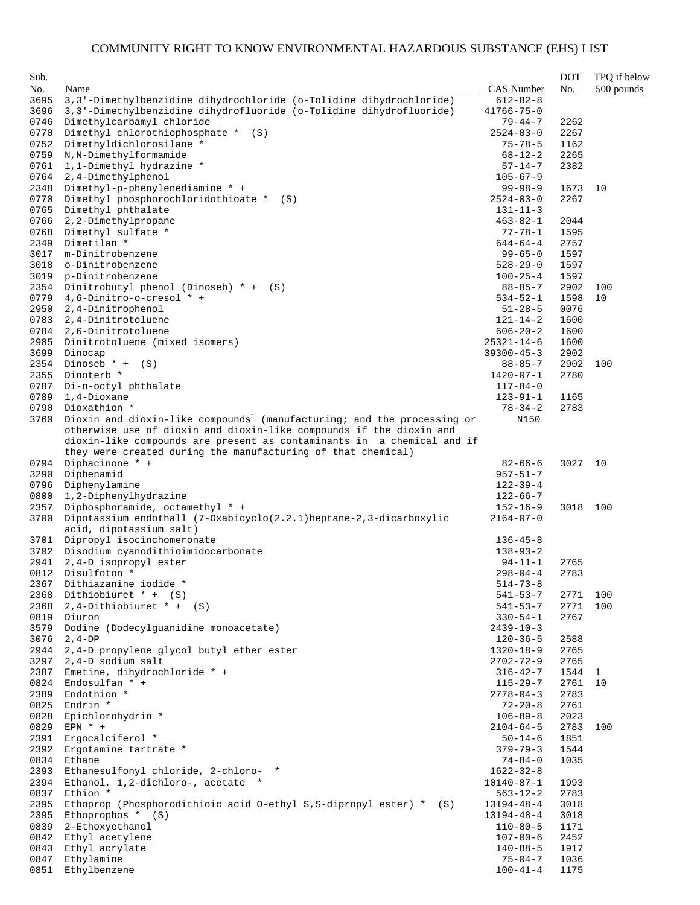| Sub.         |                                                                                     |                                   | <b>DOT</b>   | TPQ if below |
|--------------|-------------------------------------------------------------------------------------|-----------------------------------|--------------|--------------|
| No.          | Name                                                                                | <b>CAS</b> Number                 | No.          | $500$ pounds |
| 3695         | 3,3'-Dimethylbenzidine dihydrochloride (o-Tolidine dihydrochloride)                 | $612 - 82 - 8$                    |              |              |
| 3696         | 3,3'-Dimethylbenzidine dihydrofluoride (o-Tolidine dihydrofluoride)                 | $41766 - 75 - 0$                  |              |              |
| 0746         | Dimethylcarbamyl chloride                                                           | 79-44-7                           | 2262         |              |
| 0770         | Dimethyl chlorothiophosphate *<br>(S)                                               | $2524 - 03 - 0$                   | 2267         |              |
| 0752         | Dimethyldichlorosilane *                                                            | $75 - 78 - 5$                     | 1162         |              |
| 0759         | N, N-Dimethylformamide                                                              | $68 - 12 - 2$                     | 2265         |              |
| 0761         | 1,1-Dimethyl hydrazine *                                                            | $57 - 14 - 7$                     | 2382         |              |
| 0764         | 2,4-Dimethylphenol                                                                  | $105 - 67 - 9$                    |              |              |
| 2348         | Dimethyl-p-phenylenediamine * +                                                     | 99-98-9                           | 1673         | 10           |
| 0770         | Dimethyl phosphorochloridothioate *<br>(S)                                          | $2524 - 03 - 0$                   | 2267         |              |
| 0765         | Dimethyl phthalate                                                                  | $131 - 11 - 3$                    |              |              |
| 0766         | 2,2-Dimethylpropane                                                                 | $463 - 82 - 1$                    | 2044         |              |
| 0768         | Dimethyl sulfate *                                                                  | 77-78-1                           | 1595         |              |
| 2349         | Dimetilan *                                                                         | $644 - 64 - 4$                    | 2757         |              |
| 3017         | m-Dinitrobenzene                                                                    | $99 - 65 - 0$                     | 1597         |              |
| 3018         | o-Dinitrobenzene                                                                    | $528 - 29 - 0$                    | 1597         |              |
| 3019         | p-Dinitrobenzene<br>Dinitrobutyl phenol (Dinoseb) $* + (S)$                         | $100 - 25 - 4$                    | 1597         |              |
| 2354         | 4,6-Dinitro-o-cresol * +                                                            | $88 - 85 - 7$                     | 2902         | 100<br>10    |
| 0779<br>2950 | 2,4-Dinitrophenol                                                                   | $534 - 52 - 1$<br>$51 - 28 - 5$   | 1598<br>0076 |              |
| 0783         | 2,4-Dinitrotoluene                                                                  | $121 - 14 - 2$                    | 1600         |              |
| 0784         | 2,6-Dinitrotoluene                                                                  | $606 - 20 - 2$                    | 1600         |              |
| 2985         | Dinitrotoluene (mixed isomers)                                                      | $25321 - 14 - 6$                  | 1600         |              |
| 3699         | Dinocap                                                                             | $39300 - 45 - 3$                  | 2902         |              |
| 2354         | Dinoseb $* + (S)$                                                                   | $88 - 85 - 7$                     | 2902         | 100          |
| 2355         | Dinoterb *                                                                          | 1420-07-1                         | 2780         |              |
| 0787         | Di-n-octyl phthalate                                                                | $117 - 84 - 0$                    |              |              |
| 0789         | 1,4-Dioxane                                                                         | $123 - 91 - 1$                    | 1165         |              |
| 0790         | Dioxathion *                                                                        | $78 - 34 - 2$                     | 2783         |              |
| 3760         | Dioxin and dioxin-like compounds <sup>1</sup> (manufacturing; and the processing or | N150                              |              |              |
|              | otherwise use of dioxin and dioxin-like compounds if the dioxin and                 |                                   |              |              |
|              | dioxin-like compounds are present as contaminants in a chemical and if              |                                   |              |              |
|              | they were created during the manufacturing of that chemical)                        |                                   |              |              |
| 0794         | Diphacinone * +                                                                     | $82 - 66 - 6$                     | 3027         | 10           |
| 3290         | Diphenamid                                                                          | $957 - 51 - 7$                    |              |              |
| 0796         | Diphenylamine                                                                       | $122 - 39 - 4$                    |              |              |
| 0800         | 1,2-Diphenylhydrazine                                                               | $122 - 66 - 7$                    |              |              |
| 2357         | Diphosphoramide, octamethyl * +                                                     | $152 - 16 - 9$                    | 3018         | 100          |
| 3700         | Dipotassium endothall (7-Oxabicyclo(2.2.1)heptane-2,3-dicarboxylic                  | $2164 - 07 - 0$                   |              |              |
|              | acid, dipotassium salt)                                                             |                                   |              |              |
| 3701         | Dipropyl isocinchomeronate                                                          | $136 - 45 - 8$                    |              |              |
| 3702         | Disodium cyanodithioimidocarbonate                                                  | $138 - 93 - 2$                    |              |              |
| 2941         | 2,4-D isopropyl ester                                                               | $94 - 11 - 1$                     | 2765         |              |
| 0812         | Disulfoton *                                                                        | $298 - 04 - 4$                    | 2783         |              |
|              | 2367 Dithiazanine iodide *                                                          | $514 - 73 - 8$                    |              |              |
| 2368         | Dithiobiuret $* + (S)$                                                              | $541 - 53 - 7$                    | 2771         | 100          |
| 2368         | $2, 4$ -Dithiobiuret * + (S)                                                        | $541 - 53 - 7$                    | 2771         | 100          |
| 0819         | Diuron                                                                              | $330 - 54 - 1$                    | 2767         |              |
| 3579         | Dodine (Dodecylquanidine monoacetate)                                               | $2439 - 10 - 3$                   |              |              |
| 3076         | $2, 4-DP$                                                                           | $120 - 36 - 5$                    | 2588         |              |
| 2944         | 2,4-D propylene glycol butyl ether ester                                            | 1320-18-9                         | 2765         |              |
| 3297         | 2,4-D sodium salt                                                                   | 2702-72-9                         | 2765         |              |
| 2387         | Emetine, dihydrochloride * +<br>Endosulfan $*$ +                                    | $316 - 42 - 7$                    | 1544<br>2761 | $\mathbf{1}$ |
| 0824<br>2389 | Endothion *                                                                         | $115 - 29 - 7$<br>$2778 - 04 - 3$ | 2783         | 10           |
| 0825         | Endrin *                                                                            | $72 - 20 - 8$                     | 2761         |              |
| 0828         | Epichlorohydrin *                                                                   | $106 - 89 - 8$                    | 2023         |              |
| 0829         | EPN $*$ +                                                                           | $2104 - 64 - 5$                   | 2783         | 100          |
| 2391         | Ergocalciferol *                                                                    | $50 - 14 - 6$                     | 1851         |              |
| 2392         | Ergotamine tartrate *                                                               | $379 - 79 - 3$                    | 1544         |              |
| 0834         | Ethane                                                                              | $74 - 84 - 0$                     | 1035         |              |
| 2393         | Ethanesulfonyl chloride, 2-chloro- *                                                | $1622 - 32 - 8$                   |              |              |
| 2394         | Ethanol, 1,2-dichloro-, acetate *                                                   | 10140-87-1                        | 1993         |              |
| 0837         | Ethion *                                                                            | $563 - 12 - 2$                    | 2783         |              |
| 2395         | Ethoprop (Phosphorodithioic acid 0-ethyl S, S-dipropyl ester) * (S)                 | 13194-48-4                        | 3018         |              |
| 2395         | Ethoprophos * (S)                                                                   | 13194-48-4                        | 3018         |              |
| 0839         | 2-Ethoxyethanol                                                                     | $110 - 80 - 5$                    | 1171         |              |
| 0842         | Ethyl acetylene                                                                     | $107 - 00 - 6$                    | 2452         |              |
| 0843         | Ethyl acrylate                                                                      | $140 - 88 - 5$                    | 1917         |              |
| 0847         | Ethylamine                                                                          | 75-04-7                           | 1036         |              |
| 0851         | Ethylbenzene                                                                        | $100 - 41 - 4$                    | 1175         |              |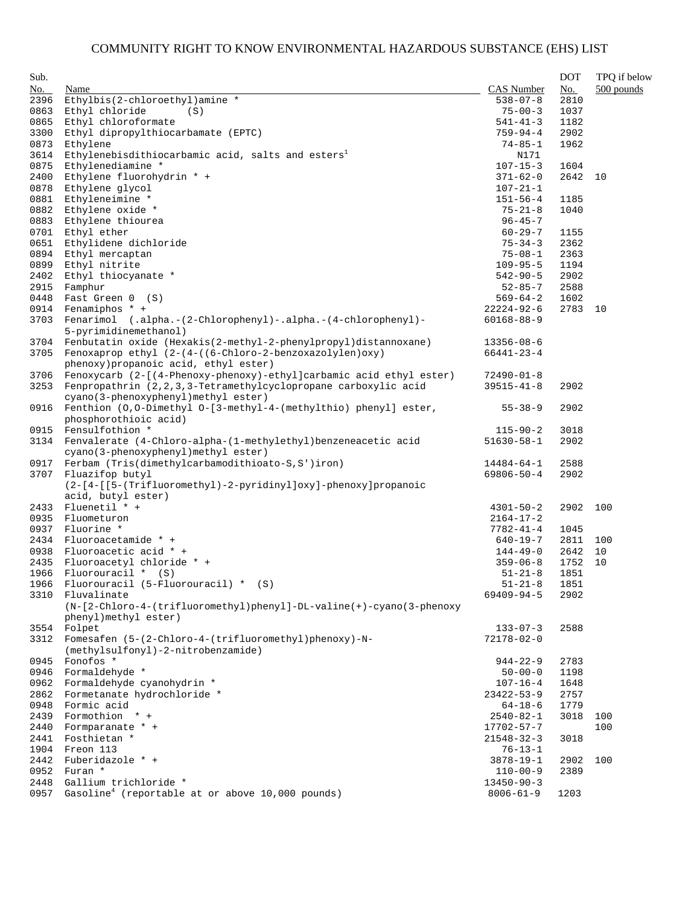| Sub.         |                                                                                                  |                                  | <b>DOT</b>   | TPQ if below |
|--------------|--------------------------------------------------------------------------------------------------|----------------------------------|--------------|--------------|
| No.          | Name                                                                                             | <b>CAS Number</b>                | No.          | 500 pounds   |
| 2396         | Ethylbis(2-chloroethyl)amine *                                                                   | $538 - 07 - 8$                   | 2810         |              |
| 0863         | Ethyl chloride<br>(S)                                                                            | $75 - 00 - 3$                    | 1037         |              |
| 0865         | Ethyl chloroformate                                                                              | $541 - 41 - 3$                   | 1182         |              |
| 3300         | Ethyl dipropylthiocarbamate (EPTC)                                                               | $759 - 94 - 4$                   | 2902         |              |
| 0873         | Ethylene                                                                                         | $74 - 85 - 1$                    | 1962         |              |
| 3614         | Ethylenebisdithiocarbamic acid, salts and esters <sup>1</sup>                                    | N171                             |              |              |
| 0875         | Ethylenediamine *                                                                                | $107 - 15 - 3$                   | 1604         |              |
| 2400         | Ethylene fluorohydrin * +                                                                        | $371 - 62 - 0$                   | 2642         | 10           |
| 0878         | Ethylene glycol                                                                                  | $107 - 21 - 1$                   |              |              |
| 0881         | Ethyleneimine *                                                                                  | $151 - 56 - 4$                   | 1185         |              |
| 0882         | Ethylene oxide *                                                                                 | $75 - 21 - 8$                    | 1040         |              |
| 0883         | Ethylene thiourea                                                                                | $96 - 45 - 7$                    |              |              |
| 0701         | Ethyl ether                                                                                      | $60 - 29 - 7$                    | 1155         |              |
| 0651         | Ethylidene dichloride                                                                            | $75 - 34 - 3$                    | 2362         |              |
| 0894         | Ethyl mercaptan                                                                                  | $75 - 08 - 1$                    | 2363         |              |
| 0899         | Ethyl nitrite                                                                                    | $109 - 95 - 5$                   | 1194         |              |
| 2402         | Ethyl thiocyanate *                                                                              | $542 - 90 - 5$                   | 2902         |              |
| 2915         | Famphur                                                                                          | $52 - 85 - 7$                    | 2588         |              |
| 0448         | Fast Green 0 (S)                                                                                 | $569 - 64 - 2$                   | 1602         |              |
| 0914         | Fenamiphos $*$ +                                                                                 | 22224-92-6                       | 2783         | 10           |
| 3703         | Fenarimol (.alpha.-(2-Chlorophenyl)-.alpha.-(4-chlorophenyl)-                                    | $60168 - 88 - 9$                 |              |              |
|              | 5-pyrimidinemethanol)                                                                            |                                  |              |              |
| 3704         | Fenbutatin oxide (Hexakis(2-methyl-2-phenylpropyl)distannoxane)                                  | $13356 - 08 - 6$                 |              |              |
| 3705         | Fenoxaprop ethyl (2-(4-((6-Chloro-2-benzoxazolylen)oxy)<br>phenoxy) propanoic acid, ethyl ester) | $66441 - 23 - 4$                 |              |              |
| 3706         | Fenoxycarb (2-[(4-Phenoxy-phenoxy)-ethyl]carbamic acid ethyl ester)                              | $72490 - 01 - 8$                 |              |              |
| 3253         | Fenpropathrin (2,2,3,3-Tetramethylcyclopropane carboxylic acid                                   | $39515 - 41 - 8$                 | 2902         |              |
|              | cyano(3-phenoxyphenyl)methyl ester)                                                              |                                  |              |              |
| 0916         | Fenthion (0,0-Dimethyl 0-[3-methyl-4-(methylthio) phenyl] ester,                                 | $55 - 38 - 9$                    | 2902         |              |
|              | phosphorothioic acid)                                                                            |                                  |              |              |
| 0915         | Fensulfothion *                                                                                  | $115 - 90 - 2$                   | 3018         |              |
|              | 3134 Fenvalerate (4-Chloro-alpha-(1-methylethyl) benzeneacetic acid                              | $51630 - 58 - 1$                 | 2902         |              |
|              | cyano(3-phenoxyphenyl)methyl ester)                                                              |                                  |              |              |
| 0917         | Ferbam (Tris(dimethylcarbamodithioato-S, S')iron)                                                | 14484-64-1                       | 2588         |              |
| 3707         | Fluazifop butyl                                                                                  | $69806 - 50 - 4$                 | 2902         |              |
|              | (2-[4-[[5-(Trifluoromethyl)-2-pyridinyl]oxy]-phenoxy]propanoic                                   |                                  |              |              |
|              | acid, butyl ester)                                                                               |                                  |              |              |
| 2433         | Fluenetil * +                                                                                    | $4301 - 50 - 2$                  | 2902         | 100          |
| 0935         | Fluometuron                                                                                      | $2164 - 17 - 2$                  |              |              |
| 0937         | Fluorine *                                                                                       | $7782 - 41 - 4$                  | 1045         |              |
| 2434         | Fluoroacetamide * +                                                                              | $640 - 19 - 7$                   | 2811         | 100          |
| 0938         | Fluoroacetic acid * +                                                                            | $144 - 49 - 0$                   | 2642         | 10           |
|              | 2435 Fluoroacetyl chloride * +                                                                   | $359 - 06 - 8$                   | 1752         | 10           |
| 1966         | Fluorouracil * (S)                                                                               | $51 - 21 - 8$                    | 1851         |              |
|              | 1966 Fluorouracil (5-Fluorouracil) * (S)                                                         | $51 - 21 - 8$                    | 1851         |              |
|              | 3310 Fluvalinate                                                                                 | 69409-94-5                       | 2902         |              |
|              | (N-[2-Chloro-4-(trifluoromethyl)phenyl]-DL-valine(+)-cyano(3-phenoxy                             |                                  |              |              |
|              | phenyl)methyl ester)                                                                             |                                  |              |              |
|              | 3554 Folpet                                                                                      | $133 - 07 - 3$                   | 2588         |              |
| 3312         | Fomesafen (5-(2-Chloro-4-(trifluoromethyl)phenoxy)-N-                                            | $72178 - 02 - 0$                 |              |              |
|              | (methylsulfonyl)-2-nitrobenzamide)                                                               |                                  |              |              |
| 0945         | Fonofos *                                                                                        | $944 - 22 - 9$                   | 2783         |              |
| 0946         | Formaldehyde *                                                                                   | $50 - 00 - 0$                    | 1198         |              |
| 0962         | Formaldehyde cyanohydrin *                                                                       | $107 - 16 - 4$                   | 1648         |              |
| 2862         | Formetanate hydrochloride *                                                                      | $23422 - 53 - 9$                 | 2757         |              |
| 0948         | Formic acid                                                                                      | $64 - 18 - 6$                    | 1779         |              |
| 2439         | Formothion * +                                                                                   | $2540 - 82 - 1$                  | 3018         | 100          |
| 2440         | Formparanate * +                                                                                 | 17702-57-7                       |              | 100          |
| 2441         | Fosthietan *                                                                                     | $21548 - 32 - 3$                 | 3018         |              |
| 1904<br>2442 | Freon 113<br>Fuberidazole * +                                                                    | $76 - 13 - 1$<br>$3878 - 19 - 1$ |              | 100          |
| 0952         | Furan *                                                                                          | $110 - 00 - 9$                   | 2902<br>2389 |              |
| 2448         | Gallium trichloride *                                                                            | $13450 - 90 - 3$                 |              |              |
| 0957         | Gasoline <sup>4</sup> (reportable at or above $10,000$ pounds)                                   | $8006 - 61 - 9$                  | 1203         |              |
|              |                                                                                                  |                                  |              |              |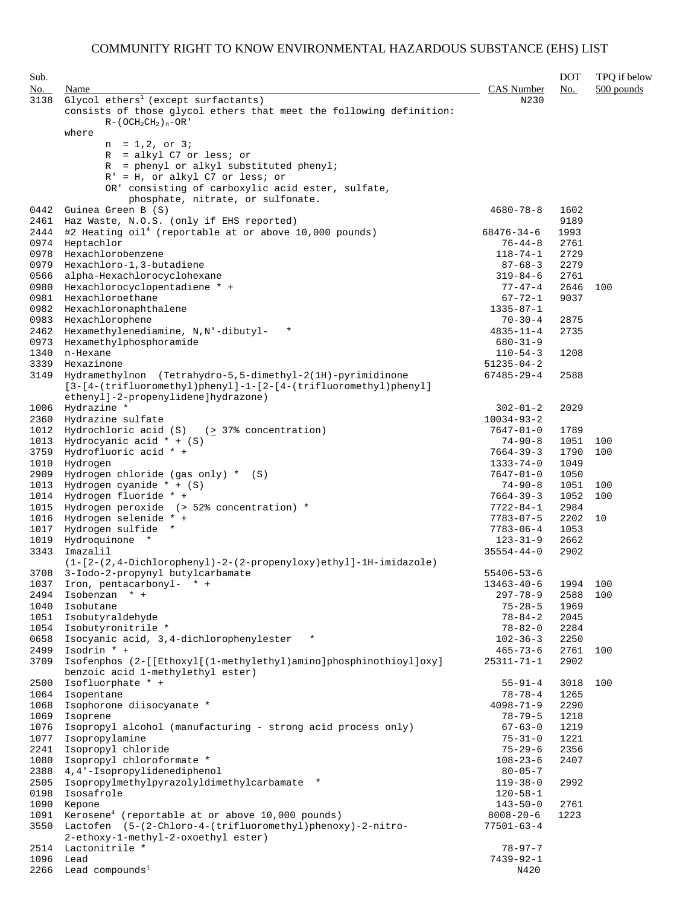| Sub.         |                                                                                                                                                                      |                                    | <b>DOT</b>   | TPQ if below |
|--------------|----------------------------------------------------------------------------------------------------------------------------------------------------------------------|------------------------------------|--------------|--------------|
| No.          | Name                                                                                                                                                                 | CAS Number                         | No.          | $500$ pounds |
| 3138         | Glycol ethers <sup>1</sup> (except surfactants)<br>consists of those glycol ethers that meet the following definition:                                               | N230                               |              |              |
|              | $R - (OCH2CH2)n - OR$<br>where                                                                                                                                       |                                    |              |              |
|              | $n = 1, 2, or 3i$                                                                                                                                                    |                                    |              |              |
|              | $R = alkyl C7$ or less; or                                                                                                                                           |                                    |              |              |
|              | $R = phenyl$ or alkyl substituted phenyl;                                                                                                                            |                                    |              |              |
|              | $R' = H$ , or alkyl C7 or less; or                                                                                                                                   |                                    |              |              |
|              | OR' consisting of carboxylic acid ester, sulfate,                                                                                                                    |                                    |              |              |
| 0442         | phosphate, nitrate, or sulfonate.<br>Guinea Green B (S)                                                                                                              | $4680 - 78 - 8$                    | 1602         |              |
| 2461         | Haz Waste, N.O.S. (only if EHS reported)                                                                                                                             |                                    | 9189         |              |
| 2444         | #2 Heating oil <sup>4</sup> (reportable at or above 10,000 pounds)                                                                                                   | 68476-34-6                         | 1993         |              |
| 0974         | Heptachlor                                                                                                                                                           | $76 - 44 - 8$                      | 2761         |              |
| 0978         | Hexachlorobenzene                                                                                                                                                    | $118 - 74 - 1$                     | 2729         |              |
| 0979         | Hexachloro-1, 3-butadiene                                                                                                                                            | $87 - 68 - 3$                      | 2279         |              |
| 0566         | alpha-Hexachlorocyclohexane                                                                                                                                          | $319 - 84 - 6$                     | 2761         |              |
| 0980         | Hexachlorocyclopentadiene * +                                                                                                                                        | $77 - 47 - 4$                      | 2646         | 100          |
| 0981         | Hexachloroethane<br>Hexachloronaphthalene                                                                                                                            | $67 - 72 - 1$                      | 9037         |              |
| 0982<br>0983 | Hexachlorophene                                                                                                                                                      | $1335 - 87 - 1$<br>$70 - 30 - 4$   | 2875         |              |
| 2462         | $\star$<br>Hexamethylenediamine, N,N'-dibutyl-                                                                                                                       | $4835 - 11 - 4$                    | 2735         |              |
| 0973         | Hexamethylphosphoramide                                                                                                                                              | $680 - 31 - 9$                     |              |              |
| 1340         | n-Hexane                                                                                                                                                             | $110 - 54 - 3$                     | 1208         |              |
| 3339         | Hexazinone                                                                                                                                                           | $51235 - 04 - 2$                   |              |              |
| 3149         | Hydramethylnon (Tetrahydro-5,5-dimethyl-2(1H)-pyrimidinone<br>[3-[4-(trifluoromethyl)phenyl]-1-[2-[4-(trifluoromethyl)phenyl]<br>ethenyl]-2-propenylidene]hydrazone) | $67485 - 29 - 4$                   | 2588         |              |
| 1006         | Hydrazine *                                                                                                                                                          | $302 - 01 - 2$                     | 2029         |              |
| 2360         | Hydrazine sulfate                                                                                                                                                    | $10034 - 93 - 2$                   |              |              |
| 1012         | Hydrochloric acid $(S)$ (> 37% concentration)                                                                                                                        | $7647 - 01 - 0$                    | 1789         |              |
| 1013<br>3759 | Hydrocyanic acid $* + (S)$<br>Hydrofluoric acid * +                                                                                                                  | $74 - 90 - 8$<br>$7664 - 39 - 3$   | 1051<br>1790 | 100<br>100   |
| 1010         | Hydrogen                                                                                                                                                             | $1333 - 74 - 0$                    | 1049         |              |
| 2909         | Hydrogen chloride (gas only) $*$ (S)                                                                                                                                 | $7647 - 01 - 0$                    | 1050         |              |
| 1013         | Hydrogen cyanide $* + (S)$                                                                                                                                           | $74 - 90 - 8$                      | 1051         | 100          |
| 1014         | Hydrogen fluoride * +                                                                                                                                                | 7664-39-3                          | 1052         | 100          |
| 1015         | Hydrogen peroxide (> 52% concentration) *                                                                                                                            | $7722 - 84 - 1$                    | 2984         |              |
| 1016         | Hydrogen selenide * +                                                                                                                                                | $7783 - 07 - 5$                    | 2202         | 10           |
| 1017         | Hydrogen sulfide *                                                                                                                                                   | $7783 - 06 - 4$                    | 1053         |              |
| 1019<br>3343 | Hydroquinone *<br>Imazalil                                                                                                                                           | $123 - 31 - 9$                     | 2662<br>2902 |              |
|              | $(1-[2-(2,4-Dichloropheny1)-2-(2-propenyloxy)ethyl]-1H-imidazole)$                                                                                                   | $35554 - 44 - 0$                   |              |              |
| 3708         | 3-Iodo-2-propynyl butylcarbamate                                                                                                                                     | $55406 - 53 - 6$                   |              |              |
| 1037         | Iron, pentacarbonyl- * +                                                                                                                                             | $13463 - 40 - 6$                   | 1994         | 100          |
| 2494         | Isobenzan * +                                                                                                                                                        | $297 - 78 - 9$                     | 2588         | 100          |
| 1040         | Isobutane                                                                                                                                                            | $75 - 28 - 5$                      | 1969         |              |
| 1051         | Isobutyraldehyde                                                                                                                                                     | $78 - 84 - 2$                      | 2045         |              |
| 1054         | Isobutyronitrile *                                                                                                                                                   | $78 - 82 - 0$                      | 2284         |              |
| 0658         | Isocyanic acid, 3,4-dichlorophenylester<br>$\star$                                                                                                                   | $102 - 36 - 3$                     | 2250         |              |
| 2499<br>3709 | Isodrin * +<br>Isofenphos (2-[[Ethoxyl[(1-methylethyl)amino]phosphinothioyl]oxy]                                                                                     | $465 - 73 - 6$<br>$25311 - 71 - 1$ | 2761<br>2902 | 100          |
| 2500         | benzoic acid 1-methylethyl ester)<br>Isofluorphate * +                                                                                                               | $55 - 91 - 4$                      | 3018         | 100          |
| 1064         | Isopentane                                                                                                                                                           | $78 - 78 - 4$                      | 1265         |              |
| 1068         | Isophorone diisocyanate *                                                                                                                                            | $4098 - 71 - 9$                    | 2290         |              |
| 1069         | Isoprene                                                                                                                                                             | $78 - 79 - 5$                      | 1218         |              |
| 1076         | Isopropyl alcohol (manufacturing - strong acid process only)                                                                                                         | $67 - 63 - 0$                      | 1219         |              |
| 1077         | Isopropylamine                                                                                                                                                       | $75 - 31 - 0$                      | 1221         |              |
| 2241         | Isopropyl chloride                                                                                                                                                   | $75 - 29 - 6$                      | 2356         |              |
| 1080         | Isopropyl chloroformate *                                                                                                                                            | $108 - 23 - 6$                     | 2407         |              |
| 2388         | 4,4'-Isopropylidenediphenol<br>Isopropylmethylpyrazolyldimethylcarbamate *                                                                                           | $80 - 05 - 7$                      |              |              |
| 2505<br>0198 | Isosafrole                                                                                                                                                           | $119 - 38 - 0$<br>$120 - 58 - 1$   | 2992         |              |
| 1090         | Kepone                                                                                                                                                               | $143 - 50 - 0$                     | 2761         |              |
| 1091         | Kerosene <sup>4</sup> (reportable at or above $10,000$ pounds)                                                                                                       | $8008 - 20 - 6$                    | 1223         |              |
| 3550         | Lactofen (5-(2-Chloro-4-(trifluoromethyl)phenoxy)-2-nitro-<br>2-ethoxy-1-methyl-2-oxoethyl ester)                                                                    | $77501 - 63 - 4$                   |              |              |
| 2514         | Lactonitrile *                                                                                                                                                       | $78 - 97 - 7$                      |              |              |
| 1096         | Lead                                                                                                                                                                 | $7439 - 92 - 1$                    |              |              |
|              | $2266$ Lead compounds <sup>1</sup>                                                                                                                                   | N420                               |              |              |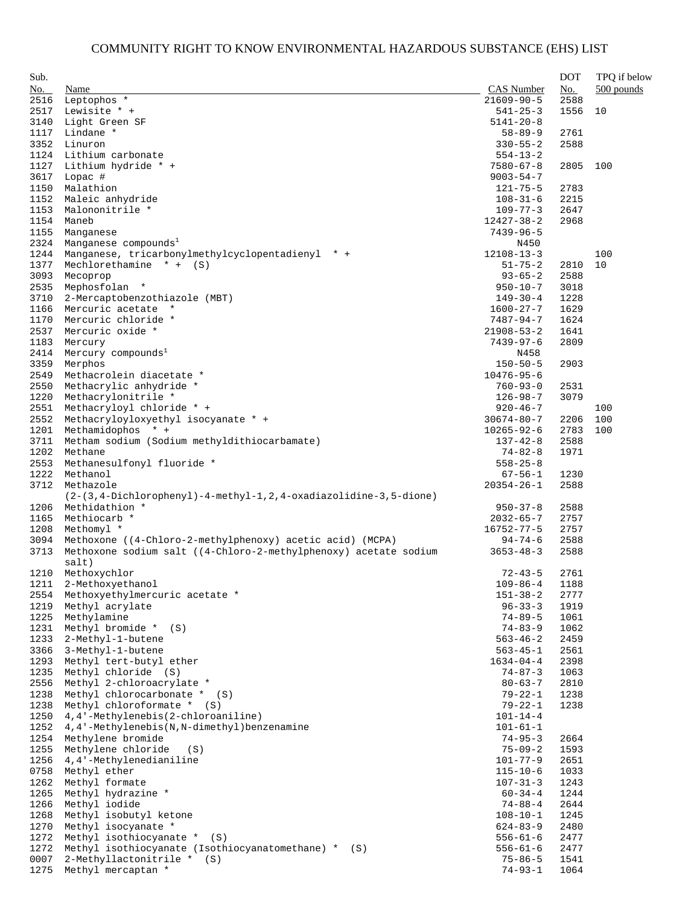| Sub. |                                                                  |                  | <b>DOT</b> | TPQ if below |
|------|------------------------------------------------------------------|------------------|------------|--------------|
| No.  | Name                                                             | CAS Number       | No.        | 500 pounds   |
| 2516 | Leptophos *                                                      | $21609 - 90 - 5$ | 2588       |              |
| 2517 | Lewisite * +                                                     | $541 - 25 - 3$   | 1556       | 10           |
| 3140 | Light Green SF                                                   | $5141 - 20 - 8$  |            |              |
|      | Lindane *                                                        |                  | 2761       |              |
| 1117 |                                                                  | $58 - 89 - 9$    |            |              |
| 3352 | Linuron                                                          | $330 - 55 - 2$   | 2588       |              |
| 1124 | Lithium carbonate                                                | $554 - 13 - 2$   |            |              |
| 1127 | Lithium hydride * +                                              | $7580 - 67 - 8$  | 2805       | 100          |
| 3617 | Lopac #                                                          | $9003 - 54 - 7$  |            |              |
| 1150 | Malathion                                                        | $121 - 75 - 5$   | 2783       |              |
| 1152 | Maleic anhydride                                                 | $108 - 31 - 6$   | 2215       |              |
| 1153 | Malononitrile *                                                  | $109 - 77 - 3$   | 2647       |              |
| 1154 | Maneb                                                            | 12427-38-2       | 2968       |              |
| 1155 | Manganese                                                        | 7439-96-5        |            |              |
| 2324 | Manganese compounds <sup>1</sup>                                 | N450             |            |              |
| 1244 | Manganese, tricarbonylmethylcyclopentadienyl * +                 | $12108 - 13 - 3$ |            | 100          |
| 1377 | Mechlorethamine $* + (S)$                                        | $51 - 75 - 2$    | 2810       | 10           |
| 3093 | Mecoprop                                                         | $93 - 65 - 2$    | 2588       |              |
| 2535 | Mephosfolan *                                                    | $950 - 10 - 7$   | 3018       |              |
| 3710 | 2-Mercaptobenzothiazole (MBT)                                    | $149 - 30 - 4$   | 1228       |              |
| 1166 | Mercuric acetate *                                               | $1600 - 27 - 7$  | 1629       |              |
|      | Mercuric chloride *                                              |                  | 1624       |              |
| 1170 |                                                                  | 7487-94-7        |            |              |
| 2537 | Mercuric oxide *                                                 | $21908 - 53 - 2$ | 1641       |              |
| 1183 | Mercury                                                          | 7439-97-6        | 2809       |              |
| 2414 | Mercury compounds <sup>1</sup>                                   | N458             |            |              |
| 3359 | Merphos                                                          | $150 - 50 - 5$   | 2903       |              |
| 2549 | Methacrolein diacetate *                                         | $10476 - 95 - 6$ |            |              |
| 2550 | Methacrylic anhydride *                                          | $760 - 93 - 0$   | 2531       |              |
| 1220 | Methacrylonitrile *                                              | $126 - 98 - 7$   | 3079       |              |
| 2551 | Methacryloyl chloride * +                                        | $920 - 46 - 7$   |            | 100          |
| 2552 | Methacryloyloxyethyl isocyanate * +                              | $30674 - 80 - 7$ | 2206       | 100          |
| 1201 | Methamidophos * +                                                | $10265 - 92 - 6$ | 2783       | 100          |
| 3711 | Metham sodium (Sodium methyldithiocarbamate)                     | $137 - 42 - 8$   | 2588       |              |
| 1202 | Methane                                                          | $74 - 82 - 8$    | 1971       |              |
| 2553 | Methanesulfonyl fluoride *                                       | $558 - 25 - 8$   |            |              |
| 1222 | Methanol                                                         | 67-56-1          | 1230       |              |
| 3712 | Methazole                                                        | $20354 - 26 - 1$ | 2588       |              |
|      | (2-(3,4-Dichlorophenyl)-4-methyl-1,2,4-oxadiazolidine-3,5-dione) |                  |            |              |
| 1206 | Methidathion *                                                   | $950 - 37 - 8$   | 2588       |              |
|      |                                                                  |                  | 2757       |              |
| 1165 | Methiocarb *                                                     | $2032 - 65 - 7$  |            |              |
| 1208 | Methomyl *                                                       | 16752-77-5       | 2757       |              |
| 3094 | Methoxone ((4-Chloro-2-methylphenoxy) acetic acid) (MCPA)        | $94 - 74 - 6$    | 2588       |              |
| 3713 | Methoxone sodium salt ((4-Chloro-2-methylphenoxy) acetate sodium | $3653 - 48 - 3$  | 2588       |              |
|      | salt)                                                            |                  |            |              |
| 1210 | Methoxychlor                                                     | $72 - 43 - 5$    | 2761       |              |
|      | 1211 2-Methoxyethanol                                            | $109 - 86 - 4$   | 1188       |              |
| 2554 | Methoxyethylmercuric acetate *                                   | $151 - 38 - 2$   | 2777       |              |
| 1219 | Methyl acrylate                                                  | $96 - 33 - 3$    | 1919       |              |
| 1225 | Methylamine                                                      | $74 - 89 - 5$    | 1061       |              |
| 1231 | Methyl bromide * (S)                                             | $74 - 83 - 9$    | 1062       |              |
| 1233 | 2-Methyl-1-butene                                                | $563 - 46 - 2$   | 2459       |              |
| 3366 | 3-Methyl-1-butene                                                | 563-45-1         | 2561       |              |
| 1293 | Methyl tert-butyl ether                                          | $1634 - 04 - 4$  | 2398       |              |
| 1235 | Methyl chloride (S)                                              | 74-87-3          | 1063       |              |
| 2556 | Methyl 2-chloroacrylate *                                        | $80 - 63 - 7$    | 2810       |              |
| 1238 | Methyl chlorocarbonate * (S)                                     | 79-22-1          | 1238       |              |
| 1238 | Methyl chloroformate * (S)                                       | $79 - 22 - 1$    | 1238       |              |
| 1250 | 4,4'-Methylenebis(2-chloroaniline)                               | $101 - 14 - 4$   |            |              |
|      |                                                                  |                  |            |              |
| 1252 | 4,4'-Methylenebis(N,N-dimethyl)benzenamine                       | $101 - 61 - 1$   |            |              |
| 1254 | Methylene bromide                                                | $74 - 95 - 3$    | 2664       |              |
| 1255 | Methylene chloride<br>(S)                                        | $75 - 09 - 2$    | 1593       |              |
| 1256 | 4, 4'-Methylenedianiline                                         | $101 - 77 - 9$   | 2651       |              |
| 0758 | Methyl ether                                                     | $115 - 10 - 6$   | 1033       |              |
| 1262 | Methyl formate                                                   | $107 - 31 - 3$   | 1243       |              |
| 1265 | Methyl hydrazine *                                               | $60 - 34 - 4$    | 1244       |              |
| 1266 | Methyl iodide                                                    | $74 - 88 - 4$    | 2644       |              |
| 1268 | Methyl isobutyl ketone                                           | $108 - 10 - 1$   | 1245       |              |
| 1270 | Methyl isocyanate *                                              | $624 - 83 - 9$   | 2480       |              |
| 1272 | Methyl isothiocyanate * (S)                                      | $556 - 61 - 6$   | 2477       |              |
| 1272 | Methyl isothiocyanate (Isothiocyanatomethane) * (S)              | $556 - 61 - 6$   | 2477       |              |
| 0007 | 2-Methyllactonitrile * (S)                                       | $75 - 86 - 5$    | 1541       |              |
| 1275 | Methyl mercaptan *                                               | $74 - 93 - 1$    | 1064       |              |
|      |                                                                  |                  |            |              |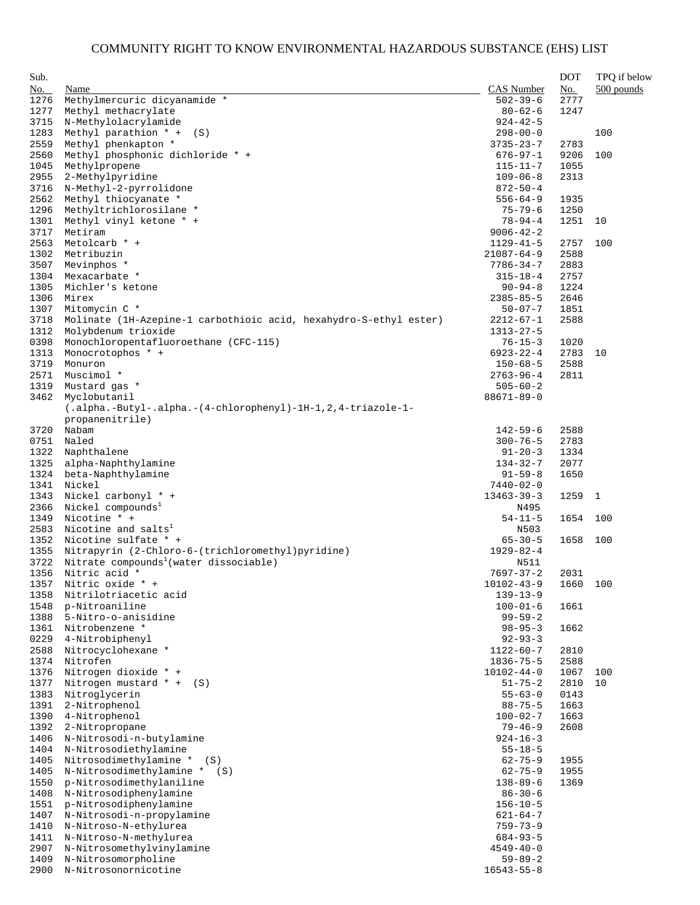| Sub.         |                                                                   |                                   | <b>DOT</b>   | TPQ if below |
|--------------|-------------------------------------------------------------------|-----------------------------------|--------------|--------------|
| No.          | Name                                                              | <b>CAS</b> Number                 | No.          | 500 pounds   |
| 1276         | Methylmercuric dicyanamide *                                      | $502 - 39 - 6$                    | 2777         |              |
| 1277         | Methyl methacrylate                                               | $80 - 62 - 6$                     | 1247         |              |
| 3715         | N-Methylolacrylamide                                              | $924 - 42 - 5$                    |              |              |
| 1283         | Methyl parathion * +<br>(S)                                       | $298 - 00 - 0$                    |              | 100          |
| 2559         | Methyl phenkapton *                                               | $3735 - 23 - 7$                   | 2783         |              |
| 2560         | Methyl phosphonic dichloride * +                                  | $676 - 97 - 1$                    | 9206         | 100          |
| 1045         | Methylpropene                                                     | $115 - 11 - 7$                    | 1055         |              |
| 2955         | 2-Methylpyridine                                                  | $109 - 06 - 8$                    | 2313         |              |
| 3716         | N-Methyl-2-pyrrolidone                                            | $872 - 50 - 4$                    |              |              |
| 2562<br>1296 | Methyl thiocyanate *<br>Methyltrichlorosilane *                   | $556 - 64 - 9$                    | 1935<br>1250 |              |
| 1301         | Methyl vinyl ketone * +                                           | $75 - 79 - 6$<br>$78 - 94 - 4$    | 1251         | 10           |
| 3717         | Metiram                                                           | $9006 - 42 - 2$                   |              |              |
| 2563         | Metolcarb * +                                                     | $1129 - 41 - 5$                   | 2757         | 100          |
| 1302         | Metribuzin                                                        | $21087 - 64 - 9$                  | 2588         |              |
| 3507         | Mevinphos *                                                       | $7786 - 34 - 7$                   | 2883         |              |
| 1304         | Mexacarbate *                                                     | $315 - 18 - 4$                    | 2757         |              |
| 1305         | Michler's ketone                                                  | $90 - 94 - 8$                     | 1224         |              |
| 1306         | Mirex                                                             | $2385 - 85 - 5$                   | 2646         |              |
| 1307         | Mitomycin C *                                                     | $50 - 07 - 7$                     | 1851         |              |
| 3718         | Molinate (1H-Azepine-1 carbothioic acid, hexahydro-S-ethyl ester) | $2212 - 67 - 1$                   | 2588         |              |
| 1312         | Molybdenum trioxide                                               | $1313 - 27 - 5$                   |              |              |
| 0398         | Monochloropentafluoroethane (CFC-115)                             | $76 - 15 - 3$                     | 1020         |              |
| 1313         | Monocrotophos * +                                                 | $6923 - 22 - 4$                   | 2783         | 10           |
| 3719         | Monuron<br>Muscimol *                                             | $150 - 68 - 5$                    | 2588         |              |
| 2571<br>1319 | Mustard gas *                                                     | $2763 - 96 - 4$<br>$505 - 60 - 2$ | 2811         |              |
| 3462         | Myclobutanil                                                      | $88671 - 89 - 0$                  |              |              |
|              | (.alpha.-Butyl-.alpha.-(4-chlorophenyl)-1H-1, 2, 4-triazole-1-    |                                   |              |              |
|              | propanenitrile)                                                   |                                   |              |              |
| 3720         | Nabam                                                             | $142 - 59 - 6$                    | 2588         |              |
| 0751         | Naled                                                             | $300 - 76 - 5$                    | 2783         |              |
| 1322         | Naphthalene                                                       | $91 - 20 - 3$                     | 1334         |              |
| 1325         | alpha-Naphthylamine                                               | $134 - 32 - 7$                    | 2077         |              |
| 1324         | beta-Naphthylamine                                                | $91 - 59 - 8$                     | 1650         |              |
| 1341         | Nickel                                                            | 7440-02-0                         |              |              |
| 1343         | Nickel carbonyl * +                                               | $13463 - 39 - 3$                  | 1259         | 1            |
| 2366         | Nickel compounds <sup>1</sup>                                     | N495                              |              |              |
| 1349         | Nicotine * +                                                      | $54 - 11 - 5$                     | 1654         | 100          |
| 2583<br>1352 | Nicotine and salts <sup>1</sup><br>Nicotine sulfate * +           | N503<br>$65 - 30 - 5$             | 1658         | 100          |
| 1355         | Nitrapyrin (2-Chloro-6-(trichloromethyl) pyridine)                | $1929 - 82 - 4$                   |              |              |
| 3722         | Nitrate compounds <sup>1</sup> (water dissociable)                | N511                              |              |              |
| 1356         | Nitric acid *                                                     | $7697 - 37 - 2$                   | 2031         |              |
|              | 1357 Nitric oxide * +                                             | $10102 - 43 - 9$                  | 1660         | 100          |
| 1358         | Nitrilotriacetic acid                                             | $139 - 13 - 9$                    |              |              |
| 1548         | p-Nitroaniline                                                    | $100 - 01 - 6$                    | 1661         |              |
| 1388         | 5-Nitro-o-anisidine                                               | $99 - 59 - 2$                     |              |              |
| 1361         | Nitrobenzene *                                                    | $98 - 95 - 3$                     | 1662         |              |
| 0229         | 4-Nitrobiphenyl                                                   | $92 - 93 - 3$                     |              |              |
| 2588         | Nitrocyclohexane *                                                | $1122 - 60 - 7$                   | 2810         |              |
| 1374         | Nitrofen                                                          | $1836 - 75 - 5$                   | 2588         |              |
| 1376         | Nitrogen dioxide * +                                              | $10102 - 44 - 0$                  | 1067         | 100          |
| 1377         | Nitrogen mustard $* + (S)$                                        | $51 - 75 - 2$                     | 2810         | 10           |
| 1383<br>1391 | Nitroglycerin<br>2-Nitrophenol                                    | $55 - 63 - 0$<br>$88 - 75 - 5$    | 0143<br>1663 |              |
| 1390         | 4-Nitrophenol                                                     | $100 - 02 - 7$                    | 1663         |              |
| 1392         | 2-Nitropropane                                                    | $79 - 46 - 9$                     | 2608         |              |
| 1406         | N-Nitrosodi-n-butylamine                                          | $924 - 16 - 3$                    |              |              |
| 1404         | N-Nitrosodiethylamine                                             | $55 - 18 - 5$                     |              |              |
| 1405         | Nitrosodimethylamine * (S)                                        | $62 - 75 - 9$                     | 1955         |              |
| 1405         | N-Nitrosodimethylamine *<br>(S)                                   | $62 - 75 - 9$                     | 1955         |              |
| 1550         | p-Nitrosodimethylaniline                                          | $138 - 89 - 6$                    | 1369         |              |
| 1408         | N-Nitrosodiphenylamine                                            | $86 - 30 - 6$                     |              |              |
| 1551         | p-Nitrosodiphenylamine                                            | $156 - 10 - 5$                    |              |              |
| 1407         | N-Nitrosodi-n-propylamine                                         | $621 - 64 - 7$                    |              |              |
| 1410         | N-Nitroso-N-ethylurea                                             | $759 - 73 - 9$                    |              |              |
| 1411         | N-Nitroso-N-methylurea                                            | $684 - 93 - 5$                    |              |              |
| 2907<br>1409 | N-Nitrosomethylvinylamine<br>N-Nitrosomorpholine                  | $4549 - 40 - 0$<br>$59 - 89 - 2$  |              |              |
| 2900         | N-Nitrosonornicotine                                              | $16543 - 55 - 8$                  |              |              |
|              |                                                                   |                                   |              |              |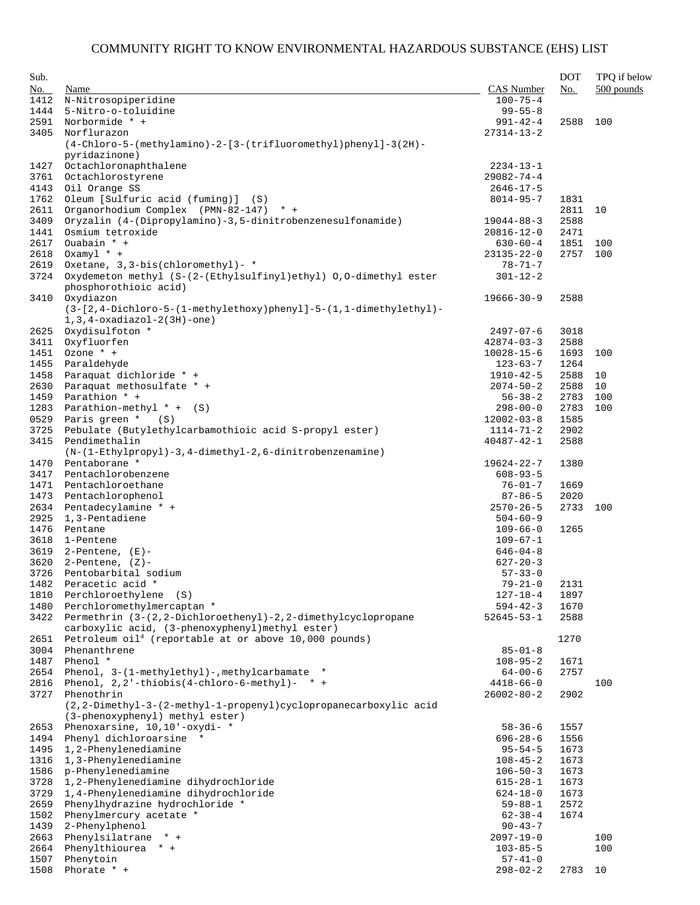| Sub. |                                                                     |                  | <b>DOT</b> | TPQ if below |
|------|---------------------------------------------------------------------|------------------|------------|--------------|
| No.  | Name                                                                | CAS Number       | No.        | $500$ pounds |
| 1412 | N-Nitrosopiperidine                                                 | $100 - 75 - 4$   |            |              |
| 1444 | 5-Nitro-o-toluidine                                                 | $99 - 55 - 8$    |            |              |
| 2591 | Norbormide * +                                                      | $991 - 42 - 4$   | 2588       | 100          |
| 3405 | Norflurazon                                                         | $27314 - 13 - 2$ |            |              |
|      | $(4-Chloro-5-(methylamino)-2-[3-(trifluorometry1)phenyl]-3(2H)-$    |                  |            |              |
|      | pyridazinone)                                                       |                  |            |              |
| 1427 | Octachloronaphthalene                                               | $2234 - 13 - 1$  |            |              |
| 3761 | Octachlorostyrene                                                   | $29082 - 74 - 4$ |            |              |
| 4143 | Oil Orange SS                                                       | $2646 - 17 - 5$  |            |              |
| 1762 | Oleum [Sulfuric acid (fuming)] (S)                                  | $8014 - 95 - 7$  | 1831       |              |
| 2611 | Organorhodium Complex (PMN-82-147) * +                              |                  | 2811       | 10           |
| 3409 | Oryzalin (4-(Dipropylamino)-3,5-dinitrobenzenesulfonamide)          | $19044 - 88 - 3$ | 2588       |              |
| 1441 | Osmium tetroxide                                                    | $20816 - 12 - 0$ | 2471       |              |
| 2617 | Ouabain * +                                                         | $630 - 60 - 4$   | 1851       | 100          |
| 2618 | $0xamy1 * +$                                                        | $23135 - 22 - 0$ | 2757       | 100          |
|      | Oxetane, 3, 3-bis(chloromethyl) - *                                 |                  |            |              |
| 2619 |                                                                     | 78-71-7          |            |              |
| 3724 | Oxydemeton methyl (S-(2-(Ethylsulfinyl)ethyl) 0,0-dimethyl ester    | $301 - 12 - 2$   |            |              |
|      | phosphorothioic acid)                                               |                  |            |              |
| 3410 | Oxydiazon                                                           | $19666 - 30 - 9$ | 2588       |              |
|      | $(3-[2,4-Dichloro-5-(1-methylethoxy)phenyl]-5-(1,1-dimethylethyl)-$ |                  |            |              |
|      | $1, 3, 4$ -oxadiazol-2(3H)-one)                                     |                  |            |              |
| 2625 | Oxydisulfoton *                                                     | $2497 - 07 - 6$  | 3018       |              |
| 3411 | Oxyfluorfen                                                         | $42874 - 03 - 3$ | 2588       |              |
| 1451 | Ozone * +                                                           | $10028 - 15 - 6$ | 1693       | 100          |
| 1455 | Paraldehyde                                                         | $123 - 63 - 7$   | 1264       |              |
| 1458 | Paraquat dichloride * +                                             | $1910 - 42 - 5$  | 2588       | 10           |
| 2630 | Paraquat methosulfate * +                                           | $2074 - 50 - 2$  | 2588       | 10           |
| 1459 | Parathion * +                                                       | $56 - 38 - 2$    | 2783       | 100          |
| 1283 | Parathion-methyl $* + (S)$                                          | $298 - 00 - 0$   | 2783       | 100          |
| 0529 | Paris green $*$ (S)                                                 | $12002 - 03 - 8$ | 1585       |              |
| 3725 | Pebulate (Butylethylcarbamothioic acid S-propyl ester)              | $1114 - 71 - 2$  | 2902       |              |
| 3415 | Pendimethalin                                                       | $40487 - 42 - 1$ | 2588       |              |
|      | $(N-(1-Ethy1propy1)-3, 4-dimethyl-2, 6-dinitrobenzenamine)$         |                  |            |              |
| 1470 | Pentaborane *                                                       | $19624 - 22 - 7$ | 1380       |              |
| 3417 | Pentachlorobenzene                                                  | $608 - 93 - 5$   |            |              |
| 1471 | Pentachloroethane                                                   | $76 - 01 - 7$    | 1669       |              |
| 1473 | Pentachlorophenol                                                   | $87 - 86 - 5$    | 2020       |              |
| 2634 | Pentadecylamine * +                                                 | $2570 - 26 - 5$  | 2733       | 100          |
| 2925 | 1,3-Pentadiene                                                      | $504 - 60 - 9$   |            |              |
| 1476 | Pentane                                                             | $109 - 66 - 0$   | 1265       |              |
| 3618 | 1-Pentene                                                           | $109 - 67 - 1$   |            |              |
| 3619 | 2-Pentene, (E)-                                                     | $646 - 04 - 8$   |            |              |
| 3620 | $2$ -Pentene, $(Z)$ -                                               | $627 - 20 - 3$   |            |              |
| 3726 | Pentobarbital sodium                                                | $57 - 33 - 0$    |            |              |
|      | 1482 Peracetic acid *                                               | $79 - 21 - 0$    | 2131       |              |
|      |                                                                     | $127 - 18 - 4$   |            |              |
| 1810 | Perchloroethylene (S)                                               |                  | 1897       |              |
| 1480 | Perchloromethylmercaptan *                                          | $594 - 42 - 3$   | 1670       |              |
| 3422 | Permethrin (3-(2,2-Dichloroethenyl)-2,2-dimethylcyclopropane        | 52645-53-1       | 2588       |              |
|      | carboxylic acid, (3-phenoxyphenyl)methyl ester)                     |                  |            |              |
| 2651 | Petroleum $\text{oil}^4$ (reportable at or above 10,000 pounds)     |                  | 1270       |              |
| 3004 | Phenanthrene                                                        | $85 - 01 - 8$    |            |              |
| 1487 | Phenol *                                                            | $108 - 95 - 2$   | 1671       |              |
| 2654 | Phenol, 3-(1-methylethyl)-, methylcarbamate *                       | $64 - 00 - 6$    | 2757       |              |
| 2816 | Phenol, $2, 2'$ -thiobis(4-chloro-6-methyl)- * +                    | $4418 - 66 - 0$  |            | 100          |
| 3727 | Phenothrin                                                          | $26002 - 80 - 2$ | 2902       |              |
|      | (2,2-Dimethyl-3-(2-methyl-1-propenyl)cyclopropanecarboxylic acid    |                  |            |              |
|      | (3-phenoxyphenyl) methyl ester)                                     |                  |            |              |
| 2653 | Phenoxarsine, 10,10'-oxydi- *                                       | $58 - 36 - 6$    | 1557       |              |
| 1494 | Phenyl dichloroarsine *                                             | 696-28-6         | 1556       |              |
| 1495 | 1,2-Phenylenediamine                                                | $95 - 54 - 5$    | 1673       |              |
| 1316 | 1,3-Phenylenediamine                                                | $108 - 45 - 2$   | 1673       |              |
| 1586 | p-Phenylenediamine                                                  | $106 - 50 - 3$   | 1673       |              |
| 3728 | 1,2-Phenylenediamine dihydrochloride                                | $615 - 28 - 1$   | 1673       |              |
| 3729 | 1,4-Phenylenediamine dihydrochloride                                | $624 - 18 - 0$   | 1673       |              |
| 2659 | Phenylhydrazine hydrochloride *                                     | $59 - 88 - 1$    | 2572       |              |
| 1502 | Phenylmercury acetate *                                             | $62 - 38 - 4$    | 1674       |              |
| 1439 | 2-Phenylphenol                                                      | $90 - 43 - 7$    |            |              |
| 2663 | Phenylsilatrane * +                                                 | $2097 - 19 - 0$  |            | 100          |
| 2664 | Phenylthiourea * +                                                  | $103 - 85 - 5$   |            | 100          |
| 1507 | Phenytoin                                                           | $57 - 41 - 0$    |            |              |
| 1508 | Phorate $*$ +                                                       | $298 - 02 - 2$   | 2783       | 10           |
|      |                                                                     |                  |            |              |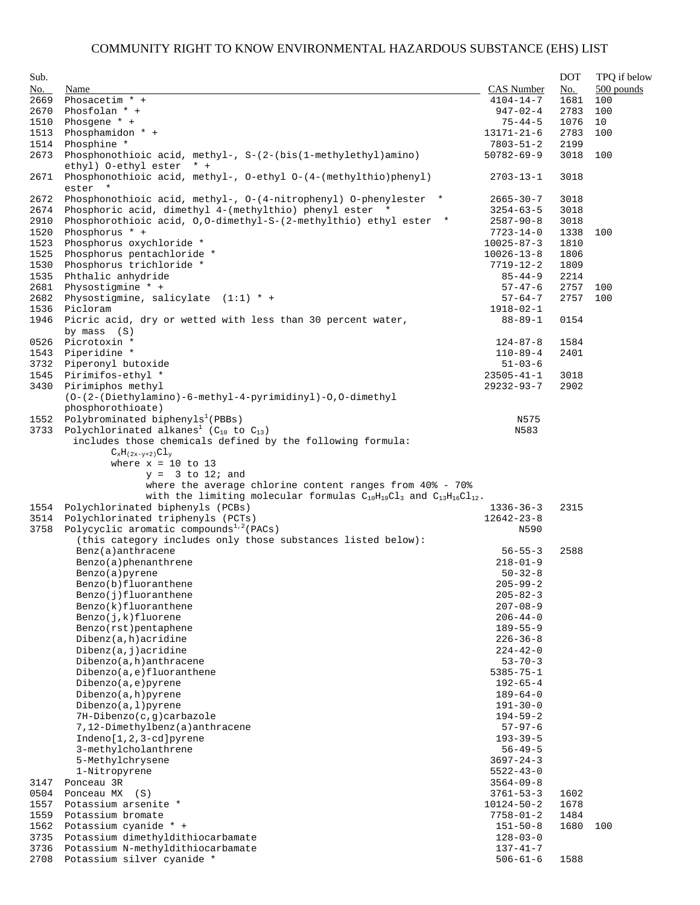| Sub. |                                                                                            |                  | <b>DOT</b> | TPQ if below |
|------|--------------------------------------------------------------------------------------------|------------------|------------|--------------|
| No.  | Name                                                                                       | CAS Number       | No.        | 500 pounds   |
| 2669 | Phosacetim * +                                                                             | $4104 - 14 - 7$  | 1681       | 100          |
| 2670 | Phosfolan $*$ +                                                                            | $947 - 02 - 4$   | 2783       | 100          |
|      |                                                                                            |                  |            |              |
| 1510 | Phosgene $* +$                                                                             | $75 - 44 - 5$    | 1076       | 10           |
| 1513 | Phosphamidon * +                                                                           | 13171-21-6       | 2783       | 100          |
| 1514 | Phosphine *                                                                                | $7803 - 51 - 2$  | 2199       |              |
| 2673 | Phosphonothioic acid, methyl-, $S-(2-(bis(1-methylethyl)amin)$<br>ethyl) O-ethyl ester * + | $50782 - 69 - 9$ | 3018       | 100          |
| 2671 | Phosphonothioic acid, methyl-, 0-ethyl 0-(4-(methylthio)phenyl)<br>ester *                 | $2703 - 13 - 1$  | 3018       |              |
| 2672 | Phosphonothioic acid, methyl-, 0-(4-nitrophenyl) 0-phenylester *                           | $2665 - 30 - 7$  | 3018       |              |
| 2674 | Phosphoric acid, dimethyl 4-(methylthio) phenyl ester *                                    | $3254 - 63 - 5$  | 3018       |              |
| 2910 | Phosphorothioic acid, 0,0-dimethyl-S-(2-methylthio) ethyl ester *                          | $2587 - 90 - 8$  | 3018       |              |
| 1520 | Phosphorus * +                                                                             |                  |            | 100          |
|      |                                                                                            | 7723-14-0        | 1338       |              |
| 1523 | Phosphorus oxychloride *                                                                   | $10025 - 87 - 3$ | 1810       |              |
| 1525 | Phosphorus pentachloride *                                                                 | $10026 - 13 - 8$ | 1806       |              |
| 1530 | Phosphorus trichloride *                                                                   | $7719 - 12 - 2$  | 1809       |              |
| 1535 | Phthalic anhydride                                                                         | $85 - 44 - 9$    | 2214       |              |
| 2681 | Physostigmine $*$ +                                                                        | $57 - 47 - 6$    | 2757       | 100          |
| 2682 | Physostigmine, salicylate $(1:1) * +$                                                      | $57 - 64 - 7$    | 2757       | 100          |
| 1536 | Picloram                                                                                   | 1918-02-1        |            |              |
| 1946 | Picric acid, dry or wetted with less than 30 percent water,<br>by mass $(S)$               | $88 - 89 - 1$    | 0154       |              |
|      |                                                                                            |                  |            |              |
| 0526 | Picrotoxin *                                                                               | $124 - 87 - 8$   | 1584       |              |
| 1543 | Piperidine *                                                                               | $110 - 89 - 4$   | 2401       |              |
| 3732 | Piperonyl butoxide                                                                         | $51 - 03 - 6$    |            |              |
| 1545 | Pirimifos-ethyl *                                                                          | $23505 - 41 - 1$ | 3018       |              |
| 3430 | Pirimiphos methyl                                                                          | $29232 - 93 - 7$ | 2902       |              |
|      | $(0-(2-(\text{Diethylamino})-6-\text{methyl}-4-pyrimidinyl)-0,0-dimethyl$                  |                  |            |              |
|      | phosphorothioate)                                                                          |                  |            |              |
|      | 1552 Polybrominated biphenyls <sup>1</sup> (PBBs)                                          | N575             |            |              |
| 3733 | Polychlorinated alkanes <sup>1</sup> ( $C_{10}$ to $C_{13}$ )                              | N583             |            |              |
|      | includes those chemicals defined by the following formula:                                 |                  |            |              |
|      | $C_xH_{(2x-y+2)}Cl_y$                                                                      |                  |            |              |
|      | where $x = 10$ to 13                                                                       |                  |            |              |
|      | $y = 3$ to 12; and                                                                         |                  |            |              |
|      |                                                                                            |                  |            |              |
|      | where the average chlorine content ranges from $40* - 70*$                                 |                  |            |              |
|      | with the limiting molecular formulas $C_{10}H_{19}Cl_3$ and $C_{13}H_{16}Cl_{12}$ .        |                  |            |              |
| 1554 | Polychlorinated biphenyls (PCBs)                                                           | $1336 - 36 - 3$  | 2315       |              |
| 3514 | Polychlorinated triphenyls (PCTs)                                                          | $12642 - 23 - 8$ |            |              |
| 3758 | Polycyclic aromatic compounds <sup>1,2</sup> (PACs)                                        | N590             |            |              |
|      | (this category includes only those substances listed below):                               |                  |            |              |
|      | Benz(a)anthracene                                                                          | $56 - 55 - 3$    | 2588       |              |
|      | Benzo(a)phenanthrene                                                                       | $218 - 01 - 9$   |            |              |
|      | Benzo(a)pyrene                                                                             | $50 - 32 - 8$    |            |              |
|      | Benzo(b)fluoranthene                                                                       | $205 - 99 - 2$   |            |              |
|      | Benzo(j)fluoranthene                                                                       | $205 - 82 - 3$   |            |              |
|      | Benzo(k)fluoranthene                                                                       | $207 - 08 - 9$   |            |              |
|      |                                                                                            |                  |            |              |
|      | Benzo(j,k)fluorene                                                                         | $206 - 44 - 0$   |            |              |
|      | Benzo(rst)pentaphene                                                                       | $189 - 55 - 9$   |            |              |
|      | Dibenz(a,h)acridine                                                                        | $226 - 36 - 8$   |            |              |
|      | Dibenz(a, j)acridine                                                                       | $224 - 42 - 0$   |            |              |
|      | $Dibenzo(a,h)$ anthracene                                                                  | $53 - 70 - 3$    |            |              |
|      | Dibenzo(a,e)fluoranthene                                                                   | $5385 - 75 - 1$  |            |              |
|      | Dibenzo(a,e)pyrene                                                                         | $192 - 65 - 4$   |            |              |
|      | Dibenzo(a,h)pyrene                                                                         | $189 - 64 - 0$   |            |              |
|      | Dibenzo(a,1)pyrene                                                                         | $191 - 30 - 0$   |            |              |
|      | 7H-Dibenzo(c, g)carbazole                                                                  | $194 - 59 - 2$   |            |              |
|      |                                                                                            |                  |            |              |
|      | 7,12-Dimethylbenz(a)anthracene                                                             | $57 - 97 - 6$    |            |              |
|      | $Indeno[1,2,3-cd]pyrene$                                                                   | $193 - 39 - 5$   |            |              |
|      | 3-methylcholanthrene                                                                       | $56 - 49 - 5$    |            |              |
|      | 5-Methylchrysene                                                                           | $3697 - 24 - 3$  |            |              |
|      | 1-Nitropyrene                                                                              | $5522 - 43 - 0$  |            |              |
| 3147 | Ponceau 3R                                                                                 | $3564 - 09 - 8$  |            |              |
| 0504 | Ponceau MX (S)                                                                             | $3761 - 53 - 3$  | 1602       |              |
| 1557 | Potassium arsenite *                                                                       | $10124 - 50 - 2$ | 1678       |              |
| 1559 | Potassium bromate                                                                          | $7758 - 01 - 2$  | 1484       |              |
| 1562 | Potassium cyanide * +                                                                      | $151 - 50 - 8$   | 1680       | 100          |
|      |                                                                                            |                  |            |              |
| 3735 | Potassium dimethyldithiocarbamate                                                          | $128 - 03 - 0$   |            |              |
| 3736 | Potassium N-methyldithiocarbamate                                                          | $137 - 41 - 7$   |            |              |
| 2708 | Potassium silver cyanide *                                                                 | $506 - 61 - 6$   | 1588       |              |
|      |                                                                                            |                  |            |              |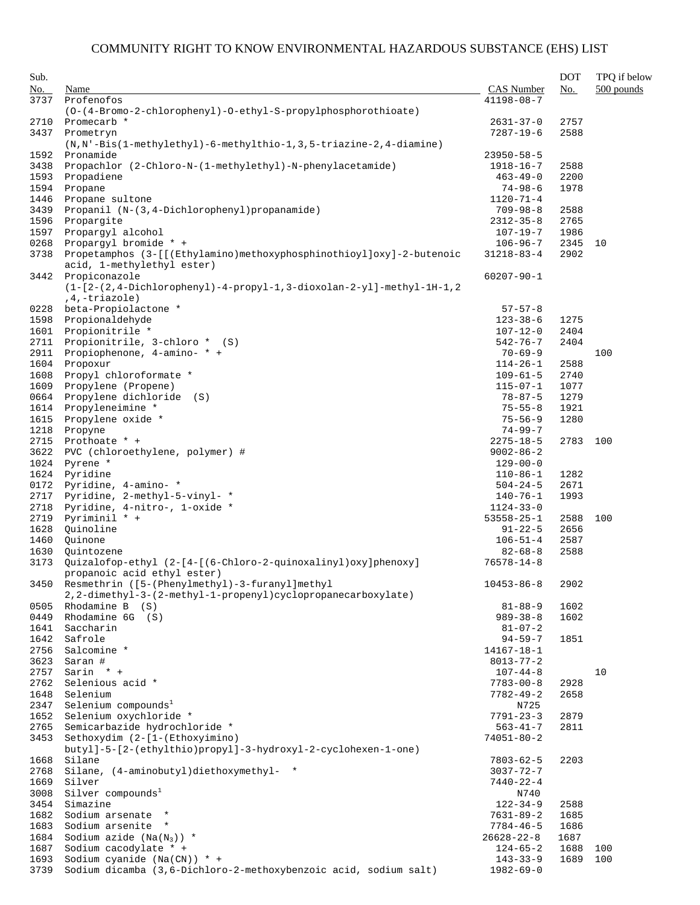| Sub.         |                                                                                                    |                                    | <b>DOT</b>   | TPQ if below |
|--------------|----------------------------------------------------------------------------------------------------|------------------------------------|--------------|--------------|
| No.          | Name                                                                                               | <b>CAS</b> Number                  | No.          | $500$ pounds |
| 3737         | Profenofos                                                                                         | $41198 - 08 - 7$                   |              |              |
|              | (0-(4-Bromo-2-chlorophenyl)-0-ethyl-S-propylphosphorothioate)                                      |                                    |              |              |
| 2710         | Promecarb *                                                                                        | $2631 - 37 - 0$                    | 2757         |              |
| 3437         | Prometryn<br>(N, N'-Bis(1-methylethyl)-6-methylthio-1, 3, 5-triazine-2, 4-diamine)                 | $7287 - 19 - 6$                    | 2588         |              |
| 1592         | Pronamide                                                                                          | $23950 - 58 - 5$                   |              |              |
| 3438         | Propachlor (2-Chloro-N-(1-methylethyl)-N-phenylacetamide)                                          | 1918-16-7                          | 2588         |              |
| 1593         | Propadiene                                                                                         | $463 - 49 - 0$                     | 2200         |              |
| 1594         | Propane                                                                                            | $74 - 98 - 6$                      | 1978         |              |
| 1446         | Propane sultone                                                                                    | $1120 - 71 - 4$                    |              |              |
| 3439         | Propanil (N-(3,4-Dichlorophenyl) propanamide)                                                      | $709 - 98 - 8$                     | 2588         |              |
| 1596         | Propargite                                                                                         | $2312 - 35 - 8$                    | 2765         |              |
| 1597<br>0268 | Propargyl alcohol<br>Propargyl bromide * +                                                         | 107-19-7<br>$106 - 96 - 7$         | 1986<br>2345 | 10           |
| 3738         | Propetamphos (3-[[(Ethylamino)methoxyphosphinothioyl]oxy]-2-butenoic<br>acid, 1-methylethyl ester) | $31218 - 83 - 4$                   | 2902         |              |
| 3442         | Propiconazole                                                                                      | $60207 - 90 - 1$                   |              |              |
|              | $(1 - [2 - (2, 4 - Dichloropheny1) - 4 - propyl - 1, 3 - dioxolan - 2 - y1] - methyl - 1H - 1, 2$  |                                    |              |              |
|              | $,4,-triazole)$                                                                                    |                                    |              |              |
| 0228         | beta-Propiolactone *                                                                               | $57 - 57 - 8$                      |              |              |
| 1598         | Propionaldehyde                                                                                    | $123 - 38 - 6$                     | 1275         |              |
| 1601         | Propionitrile *                                                                                    | $107 - 12 - 0$                     | 2404         |              |
| 2711         | Propionitrile, 3-chloro * (S)                                                                      | $542 - 76 - 7$                     | 2404         |              |
| 2911<br>1604 | Propiophenone, 4-amino- * +<br>Propoxur                                                            | $70 - 69 - 9$<br>$114 - 26 - 1$    | 2588         | 100          |
| 1608         | Propyl chloroformate *                                                                             | $109 - 61 - 5$                     | 2740         |              |
| 1609         | Propylene (Propene)                                                                                | $115 - 07 - 1$                     | 1077         |              |
| 0664         | Propylene dichloride (S)                                                                           | $78 - 87 - 5$                      | 1279         |              |
| 1614         | Propyleneimine *                                                                                   | $75 - 55 - 8$                      | 1921         |              |
| 1615         | Propylene oxide *                                                                                  | $75 - 56 - 9$                      | 1280         |              |
| 1218         | Propyne                                                                                            | $74 - 99 - 7$                      |              |              |
| 2715         | Prothoate * +                                                                                      | $2275 - 18 - 5$                    | 2783         | 100          |
| 3622         | PVC (chloroethylene, polymer) #                                                                    | $9002 - 86 - 2$                    |              |              |
| 1024<br>1624 | Pyrene *<br>Pyridine                                                                               | $129 - 00 - 0$<br>$110 - 86 - 1$   | 1282         |              |
| 0172         | Pyridine, 4-amino- *                                                                               | $504 - 24 - 5$                     | 2671         |              |
| 2717         | Pyridine, 2-methyl-5-vinyl- *                                                                      | $140 - 76 - 1$                     | 1993         |              |
| 2718         | Pyridine, 4-nitro-, 1-oxide *                                                                      | $1124 - 33 - 0$                    |              |              |
| 2719         | Pyriminil * +                                                                                      | $53558 - 25 - 1$                   | 2588         | 100          |
| 1628         | Quinoline                                                                                          | $91 - 22 - 5$                      | 2656         |              |
| 1460         | Quinone                                                                                            | $106 - 51 - 4$                     | 2587         |              |
| 1630<br>3173 | Quintozene<br>Quizalofop-ethyl (2-[4-[(6-Chloro-2-quinoxalinyl)oxy]phenoxy]                        | $82 - 68 - 8$<br>$76578 - 14 - 8$  | 2588         |              |
| 3450         | propanoic acid ethyl ester)<br>Resmethrin ([5-(Phenylmethyl)-3-furanyl]methyl                      | $10453 - 86 - 8$                   |              |              |
|              | 2, 2-dimethyl-3-(2-methyl-1-propenyl) cyclopropanecarboxylate)<br>Rhodamine B (S)                  |                                    | 2902<br>1602 |              |
| 0505<br>0449 | Rhodamine 6G (S)                                                                                   | $81 - 88 - 9$<br>$989 - 38 - 8$    | 1602         |              |
| 1641         | Saccharin                                                                                          | $81 - 07 - 2$                      |              |              |
| 1642         | Safrole                                                                                            | $94 - 59 - 7$                      | 1851         |              |
| 2756         | Salcomine *                                                                                        | $14167 - 18 - 1$                   |              |              |
| 3623         | Saran #                                                                                            | $8013 - 77 - 2$                    |              |              |
| 2757         | Sarin * +                                                                                          | $107 - 44 - 8$                     |              | 10           |
| 2762         | Selenious acid *                                                                                   | $7783 - 00 - 8$                    | 2928         |              |
| 1648         | Selenium<br>Selenium compounds <sup>1</sup>                                                        | $7782 - 49 - 2$<br>N725            | 2658         |              |
| 2347<br>1652 | Selenium oxychloride *                                                                             | $7791 - 23 - 3$                    | 2879         |              |
| 2765         | Semicarbazide hydrochloride *                                                                      | $563 - 41 - 7$                     | 2811         |              |
| 3453         | Sethoxydim (2-[1-(Ethoxyimino)                                                                     | $74051 - 80 - 2$                   |              |              |
| 1668         | butyl]-5-[2-(ethylthio)propyl]-3-hydroxyl-2-cyclohexen-1-one)<br>Silane                            | $7803 - 62 - 5$                    | 2203         |              |
| 2768         | Silane, (4-aminobutyl)diethoxymethyl- *                                                            | $3037 - 72 - 7$                    |              |              |
| 1669         | Silver                                                                                             | $7440 - 22 - 4$                    |              |              |
| 3008         | Silver compounds <sup>1</sup>                                                                      | N740                               |              |              |
| 3454         | Simazine                                                                                           | $122 - 34 - 9$                     | 2588         |              |
| 1682         | Sodium arsenate *                                                                                  | $7631 - 89 - 2$                    | 1685         |              |
| 1683         | Sodium arsenite *                                                                                  | $7784 - 46 - 5$                    | 1686         |              |
| 1684<br>1687 | Sodium azide $(Na(N_3))$ *<br>Sodium cacodylate * +                                                | $26628 - 22 - 8$<br>$124 - 65 - 2$ | 1687<br>1688 | 100          |
| 1693         | Sodium cyanide $(Na(CN))$ * +                                                                      | $143 - 33 - 9$                     | 1689         | 100          |
| 3739         | Sodium dicamba (3,6-Dichloro-2-methoxybenzoic acid, sodium salt)                                   | $1982 - 69 - 0$                    |              |              |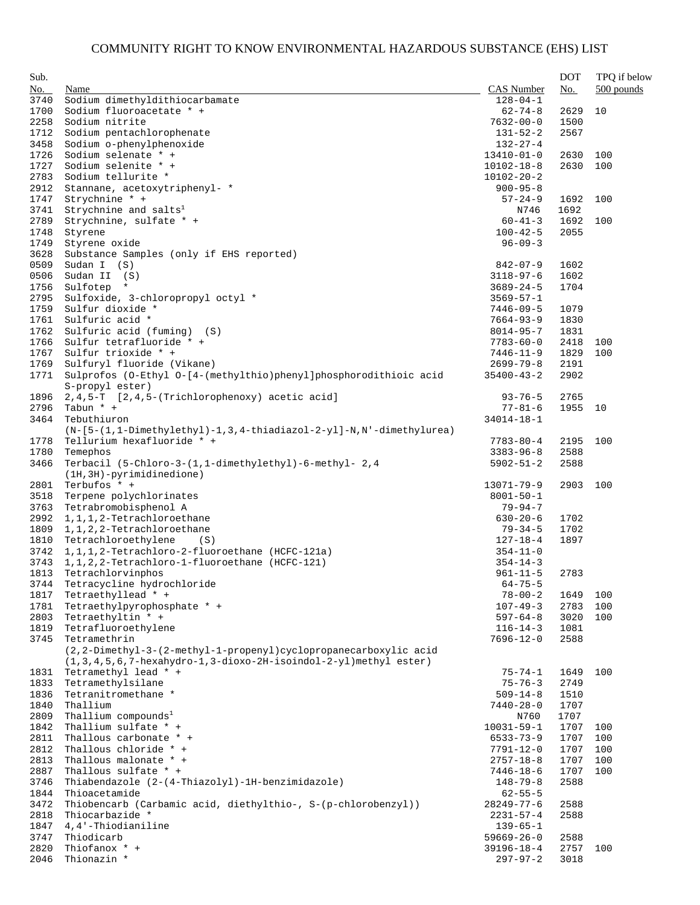| Sub. |                                                                         |                  | <b>DOT</b> | TPQ if below |
|------|-------------------------------------------------------------------------|------------------|------------|--------------|
| No.  | Name                                                                    | CAS Number       | No.        | $500$ pounds |
| 3740 | Sodium dimethyldithiocarbamate                                          | $128 - 04 - 1$   |            |              |
| 1700 | Sodium fluoroacetate * +                                                | $62 - 74 - 8$    | 2629       | 10           |
| 2258 | Sodium nitrite                                                          | $7632 - 00 - 0$  | 1500       |              |
| 1712 | Sodium pentachlorophenate                                               | $131 - 52 - 2$   | 2567       |              |
| 3458 | Sodium o-phenylphenoxide                                                | $132 - 27 - 4$   |            |              |
| 1726 | Sodium selenate * +                                                     | $13410 - 01 - 0$ | 2630       | 100          |
| 1727 | Sodium selenite * +                                                     | $10102 - 18 - 8$ | 2630       | 100          |
| 2783 | Sodium tellurite *                                                      | $10102 - 20 - 2$ |            |              |
| 2912 | Stannane, acetoxytriphenyl- *                                           | $900 - 95 - 8$   |            |              |
| 1747 | Strychnine * +                                                          | $57 - 24 - 9$    | 1692       | 100          |
| 3741 | Strychnine and salts <sup>1</sup>                                       | N746             | 1692       |              |
| 2789 | Strychnine, sulfate * +                                                 | $60 - 41 - 3$    | 1692       | 100          |
| 1748 | Styrene                                                                 | $100 - 42 - 5$   | 2055       |              |
|      |                                                                         |                  |            |              |
| 1749 | Styrene oxide                                                           | $96 - 09 - 3$    |            |              |
| 3628 | Substance Samples (only if EHS reported)                                |                  |            |              |
| 0509 | Sudan $I$ $(S)$                                                         | $842 - 07 - 9$   | 1602       |              |
| 0506 | Sudan II (S)                                                            | $3118 - 97 - 6$  | 1602       |              |
| 1756 | Sulfotep *                                                              | $3689 - 24 - 5$  | 1704       |              |
| 2795 | Sulfoxide, 3-chloropropyl octyl *                                       | $3569 - 57 - 1$  |            |              |
| 1759 | Sulfur dioxide *                                                        | 7446-09-5        | 1079       |              |
| 1761 | Sulfuric acid *                                                         | $7664 - 93 - 9$  | 1830       |              |
| 1762 | Sulfuric acid (fuming) (S)                                              | 8014-95-7        | 1831       |              |
| 1766 | Sulfur tetrafluoride * +                                                | $7783 - 60 - 0$  | 2418       | 100          |
| 1767 | Sulfur trioxide * +                                                     | $7446 - 11 - 9$  | 1829       | 100          |
| 1769 | Sulfuryl fluoride (Vikane)                                              | $2699 - 79 - 8$  | 2191       |              |
| 1771 | Sulprofos (0-Ethyl 0-[4-(methylthio)phenyl]phosphorodithioic acid       | $35400 - 43 - 2$ | 2902       |              |
|      | S-propyl ester)                                                         |                  |            |              |
| 1896 | 2, 4, 5-T [2, 4, 5-(Trichlorophenoxy) acetic acid]                      | $93 - 76 - 5$    | 2765       |              |
| 2796 | Tabun * +                                                               | $77 - 81 - 6$    | 1955       | 10           |
| 3464 | Tebuthiuron                                                             | $34014 - 18 - 1$ |            |              |
|      | $(N-[5-(1,1-Dimethylethyl)-1,3,4-thiadiazol-2-y1]-N,N'-dimethylurea)$   |                  |            |              |
| 1778 | Tellurium hexafluoride * +                                              | 7783-80-4        | 2195       | 100          |
| 1780 | Temephos                                                                | $3383 - 96 - 8$  | 2588       |              |
|      | Terbacil (5-Chloro-3-(1,1-dimethylethyl)-6-methyl- 2,4                  |                  |            |              |
| 3466 |                                                                         | $5902 - 51 - 2$  | 2588       |              |
|      | $(1H, 3H)$ -pyrimidinedione)                                            |                  |            |              |
| 2801 | Terbufos * +                                                            | $13071 - 79 - 9$ | 2903       | 100          |
| 3518 | Terpene polychlorinates                                                 | $8001 - 50 - 1$  |            |              |
| 3763 | Tetrabromobisphenol A                                                   | 79-94-7          |            |              |
| 2992 | 1, 1, 1, 2-Tetrachloroethane                                            | $630 - 20 - 6$   | 1702       |              |
| 1809 | 1, 1, 2, 2-Tetrachloroethane                                            | $79 - 34 - 5$    | 1702       |              |
| 1810 | Tetrachloroethylene<br>(S)                                              | $127 - 18 - 4$   | 1897       |              |
| 3742 | 1, 1, 1, 2-Tetrachloro-2-fluoroethane (HCFC-121a)                       | $354 - 11 - 0$   |            |              |
| 3743 | 1, 1, 2, 2-Tetrachloro-1-fluoroethane (HCFC-121)                        | $354 - 14 - 3$   |            |              |
| 1813 | Tetrachlorvinphos                                                       | $961 - 11 - 5$   | 2783       |              |
|      | 3744 Tetracycline hydrochloride                                         | $64 - 75 - 5$    |            |              |
| 1817 | Tetraethyllead * +                                                      | $78 - 00 - 2$    | 1649       | 100          |
| 1781 | Tetraethylpyrophosphate * +                                             | $107 - 49 - 3$   | 2783       | 100          |
| 2803 | Tetraethyltin * +                                                       | $597 - 64 - 8$   | 3020       | 100          |
| 1819 | Tetrafluoroethylene                                                     | $116 - 14 - 3$   | 1081       |              |
| 3745 | Tetramethrin                                                            | 7696-12-0        | 2588       |              |
|      | (2,2-Dimethyl-3-(2-methyl-1-propenyl)cyclopropanecarboxylic acid        |                  |            |              |
|      | $(1, 3, 4, 5, 6, 7$ -hexahydro-1,3-dioxo-2H-isoindol-2-yl)methyl ester) |                  |            |              |
| 1831 | Tetramethyl lead * +                                                    | $75 - 74 - 1$    | 1649       | 100          |
|      | Tetramethylsilane                                                       | $75 - 76 - 3$    |            |              |
| 1833 |                                                                         |                  | 2749       |              |
| 1836 | Tetranitromethane *                                                     | $509 - 14 - 8$   | 1510       |              |
| 1840 | Thallium                                                                | $7440 - 28 - 0$  | 1707       |              |
| 2809 | Thallium compounds <sup>1</sup>                                         | N760             | 1707       |              |
| 1842 | Thallium sulfate * +                                                    | $10031 - 59 - 1$ | 1707       | 100          |
| 2811 | Thallous carbonate * +                                                  | 6533-73-9        | 1707       | 100          |
| 2812 | Thallous chloride * +                                                   | 7791-12-0        | 1707       | 100          |
| 2813 | Thallous malonate * +                                                   | $2757 - 18 - 8$  | 1707       | 100          |
| 2887 | Thallous sulfate * +                                                    | 7446-18-6        | 1707       | 100          |
| 3746 | Thiabendazole (2-(4-Thiazolyl)-1H-benzimidazole)                        | $148 - 79 - 8$   | 2588       |              |
| 1844 | Thioacetamide                                                           | $62 - 55 - 5$    |            |              |
| 3472 | Thiobencarb (Carbamic acid, diethylthio-, S-(p-chlorobenzyl))           | 28249-77-6       | 2588       |              |
| 2818 | Thiocarbazide *                                                         | $2231 - 57 - 4$  | 2588       |              |
| 1847 | 4,4'-Thiodianiline                                                      | $139 - 65 - 1$   |            |              |
| 3747 | Thiodicarb                                                              | $59669 - 26 - 0$ | 2588       |              |
| 2820 | Thiofanox * +                                                           | 39196-18-4       | 2757       | 100          |
| 2046 | Thionazin *                                                             | $297 - 97 - 2$   | 3018       |              |
|      |                                                                         |                  |            |              |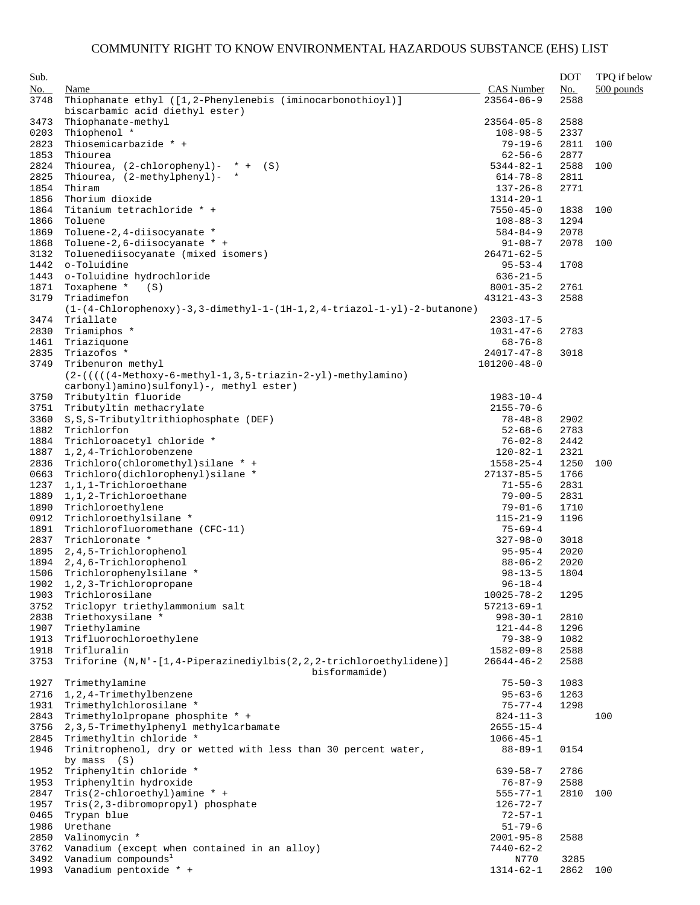| CAS Number<br>No.<br>No.<br>Name<br>Thiophanate ethyl ([1,2-Phenylenebis (iminocarbonothioyl)]<br>$23564 - 06 - 9$<br>3748<br>2588<br>biscarbamic acid diethyl ester)<br>Thiophanate-methyl<br>3473<br>$23564 - 05 - 8$<br>2588<br>Thiophenol *<br>0203<br>$108 - 98 - 5$<br>2337<br>Thiosemicarbazide * +<br>2823<br>$79 - 19 - 6$<br>2811<br>Thiourea<br>2877<br>1853<br>$62 - 56 - 6$<br>2824<br>Thiourea, $(2$ -chlorophenyl)- * + $(S)$<br>$5344 - 82 - 1$<br>2588<br>Thiourea, (2-methylphenyl)- *<br>2825<br>$614 - 78 - 8$<br>2811<br>Thiram<br>1854<br>2771<br>$137 - 26 - 8$<br>Thorium dioxide<br>1856<br>$1314 - 20 - 1$<br>Titanium tetrachloride * +<br>1864<br>$7550 - 45 - 0$<br>1838<br>1866<br>Toluene<br>1294<br>$108 - 88 - 3$<br>1869<br>Toluene-2, 4-diisocyanate *<br>2078<br>$584 - 84 - 9$<br>Toluene-2,6-diisocyanate * +<br>2078<br>1868<br>$91 - 08 - 7$<br>Toluenediisocyanate (mixed isomers)<br>3132<br>$26471 - 62 - 5$<br>o-Toluidine<br>$95 - 53 - 4$<br>1708<br>1442<br>o-Toluidine hydrochloride<br>1443<br>$636 - 21 - 5$<br>Toxaphene *<br>1871<br>(S)<br>$8001 - 35 - 2$<br>2761<br>3179<br>Triadimefon<br>2588<br>$43121 - 43 - 3$<br>$(1-(4-Chlorophenoxy)-3, 3-dimethyl-1-(1H-1, 2, 4-triazol-1-yl)-2-butanone)$<br>Triallate<br>3474<br>$2303 - 17 - 5$<br>2830<br>Triamiphos *<br>$1031 - 47 - 6$<br>2783<br>1461<br>Triaziquone<br>$68 - 76 - 8$<br>Triazofos *<br>2835<br>$24017 - 47 - 8$<br>3018<br>Tribenuron methyl<br>3749<br>$101200 - 48 - 0$<br>$(2-((((4-Methodxy-6-methyl-1, 3, 5-triazin-2-yl)-methylamino))$<br>carbonyl)amino)sulfonyl)-, methyl ester)<br>Tributyltin fluoride<br>3750<br>$1983 - 10 - 4$<br>Tributyltin methacrylate<br>3751<br>$2155 - 70 - 6$<br>3360<br>S, S, S-Tributyltrithiophosphate (DEF)<br>2902<br>$78 - 48 - 8$<br>Trichlorfon<br>1882<br>$52 - 68 - 6$<br>2783<br>Trichloroacetyl chloride *<br>$76 - 02 - 8$<br>1884<br>2442<br>1, 2, 4-Trichlorobenzene<br>1887<br>2321<br>$120 - 82 - 1$<br>Trichloro(chloromethyl)silane * +<br>2836<br>$1558 - 25 - 4$<br>1250<br>100<br>Trichloro(dichlorophenyl)silane *<br>0663<br>$27137 - 85 - 5$<br>1766<br>1237<br>1,1,1-Trichloroethane<br>2831<br>$71 - 55 - 6$<br>1889<br>1,1,2-Trichloroethane<br>$79 - 00 - 5$<br>2831<br>1890<br>Trichloroethylene<br>$79 - 01 - 6$<br>1710<br>Trichloroethylsilane *<br>0912<br>$115 - 21 - 9$<br>1196<br>1891<br>Trichlorofluoromethane (CFC-11)<br>$75 - 69 - 4$<br>Trichloronate *<br>2837<br>$327 - 98 - 0$<br>3018<br>2, 4, 5-Trichlorophenol<br>2020<br>1895<br>$95 - 95 - 4$<br>1894<br>2,4,6-Trichlorophenol<br>$88 - 06 - 2$<br>2020<br>Trichlorophenylsilane *<br>1804<br>1506<br>$98 - 13 - 5$<br>1902 1, 2, 3-Trichloropropane<br>$96 - 18 - 4$<br>Trichlorosilane<br>1903<br>$10025 - 78 - 2$<br>1295<br>3752<br>Triclopyr triethylammonium salt<br>$57213 - 69 - 1$<br>Triethoxysilane *<br>2838<br>$998 - 30 - 1$<br>2810<br>1907<br>Triethylamine<br>$121 - 44 - 8$<br>1296<br>1913<br>Trifluorochloroethylene<br>$79 - 38 - 9$<br>1082<br>1918<br>Trifluralin<br>2588<br>$1582 - 09 - 8$<br>Triforine (N,N'-[1,4-Piperazinediylbis(2,2,2-trichloroethylidene)]<br>3753<br>2588<br>$26644 - 46 - 2$<br>bisformamide)<br>1927<br>Trimethylamine<br>1083<br>$75 - 50 - 3$<br>2716<br>1, 2, 4-Trimethylbenzene<br>$95 - 63 - 6$<br>1263<br>1931<br>Trimethylchlorosilane *<br>$75 - 77 - 4$<br>1298<br>Trimethylolpropane phosphite * +<br>100<br>2843<br>$824 - 11 - 3$<br>3756<br>2, 3, 5-Trimethylphenyl methylcarbamate<br>$2655 - 15 - 4$<br>Trimethyltin chloride *<br>2845<br>$1066 - 45 - 1$<br>Trinitrophenol, dry or wetted with less than 30 percent water,<br>1946<br>$88 - 89 - 1$<br>0154<br>by mass $(S)$<br>Triphenyltin chloride *<br>1952<br>639-58-7<br>2786<br>1953<br>Triphenyltin hydroxide<br>2588<br>$76 - 87 - 9$<br>2847<br>Tris(2-chloroethyl)amine * +<br>$555 - 77 - 1$<br>2810<br>1957<br>Tris(2,3-dibromopropyl) phosphate<br>$126 - 72 - 7$<br>0465<br>Trypan blue<br>$72 - 57 - 1$<br>Urethane<br>1986<br>$51 - 79 - 6$<br>2850<br>Valinomycin *<br>2588<br>$2001 - 95 - 8$<br>Vanadium (except when contained in an alloy)<br>3762<br>7440-62-2 | Sub. |  | <b>DOT</b> | TPQ if below |
|----------------------------------------------------------------------------------------------------------------------------------------------------------------------------------------------------------------------------------------------------------------------------------------------------------------------------------------------------------------------------------------------------------------------------------------------------------------------------------------------------------------------------------------------------------------------------------------------------------------------------------------------------------------------------------------------------------------------------------------------------------------------------------------------------------------------------------------------------------------------------------------------------------------------------------------------------------------------------------------------------------------------------------------------------------------------------------------------------------------------------------------------------------------------------------------------------------------------------------------------------------------------------------------------------------------------------------------------------------------------------------------------------------------------------------------------------------------------------------------------------------------------------------------------------------------------------------------------------------------------------------------------------------------------------------------------------------------------------------------------------------------------------------------------------------------------------------------------------------------------------------------------------------------------------------------------------------------------------------------------------------------------------------------------------------------------------------------------------------------------------------------------------------------------------------------------------------------------------------------------------------------------------------------------------------------------------------------------------------------------------------------------------------------------------------------------------------------------------------------------------------------------------------------------------------------------------------------------------------------------------------------------------------------------------------------------------------------------------------------------------------------------------------------------------------------------------------------------------------------------------------------------------------------------------------------------------------------------------------------------------------------------------------------------------------------------------------------------------------------------------------------------------------------------------------------------------------------------------------------------------------------------------------------------------------------------------------------------------------------------------------------------------------------------------------------------------------------------------------------------------------------------------------------------------------------------------------------------------------------------------------------------------------------------------------------------------------------------------------------------------------------------------------------------------------------------------------------------------------------------------------------------------------------------------------------------------------------------------------------------------------------------------------------------------------------------------------------------------------------------------------------------------------------------------|------|--|------------|--------------|
|                                                                                                                                                                                                                                                                                                                                                                                                                                                                                                                                                                                                                                                                                                                                                                                                                                                                                                                                                                                                                                                                                                                                                                                                                                                                                                                                                                                                                                                                                                                                                                                                                                                                                                                                                                                                                                                                                                                                                                                                                                                                                                                                                                                                                                                                                                                                                                                                                                                                                                                                                                                                                                                                                                                                                                                                                                                                                                                                                                                                                                                                                                                                                                                                                                                                                                                                                                                                                                                                                                                                                                                                                                                                                                                                                                                                                                                                                                                                                                                                                                                                                                                                                                            |      |  |            | $500$ pounds |
|                                                                                                                                                                                                                                                                                                                                                                                                                                                                                                                                                                                                                                                                                                                                                                                                                                                                                                                                                                                                                                                                                                                                                                                                                                                                                                                                                                                                                                                                                                                                                                                                                                                                                                                                                                                                                                                                                                                                                                                                                                                                                                                                                                                                                                                                                                                                                                                                                                                                                                                                                                                                                                                                                                                                                                                                                                                                                                                                                                                                                                                                                                                                                                                                                                                                                                                                                                                                                                                                                                                                                                                                                                                                                                                                                                                                                                                                                                                                                                                                                                                                                                                                                                            |      |  |            |              |
|                                                                                                                                                                                                                                                                                                                                                                                                                                                                                                                                                                                                                                                                                                                                                                                                                                                                                                                                                                                                                                                                                                                                                                                                                                                                                                                                                                                                                                                                                                                                                                                                                                                                                                                                                                                                                                                                                                                                                                                                                                                                                                                                                                                                                                                                                                                                                                                                                                                                                                                                                                                                                                                                                                                                                                                                                                                                                                                                                                                                                                                                                                                                                                                                                                                                                                                                                                                                                                                                                                                                                                                                                                                                                                                                                                                                                                                                                                                                                                                                                                                                                                                                                                            |      |  |            |              |
|                                                                                                                                                                                                                                                                                                                                                                                                                                                                                                                                                                                                                                                                                                                                                                                                                                                                                                                                                                                                                                                                                                                                                                                                                                                                                                                                                                                                                                                                                                                                                                                                                                                                                                                                                                                                                                                                                                                                                                                                                                                                                                                                                                                                                                                                                                                                                                                                                                                                                                                                                                                                                                                                                                                                                                                                                                                                                                                                                                                                                                                                                                                                                                                                                                                                                                                                                                                                                                                                                                                                                                                                                                                                                                                                                                                                                                                                                                                                                                                                                                                                                                                                                                            |      |  |            |              |
|                                                                                                                                                                                                                                                                                                                                                                                                                                                                                                                                                                                                                                                                                                                                                                                                                                                                                                                                                                                                                                                                                                                                                                                                                                                                                                                                                                                                                                                                                                                                                                                                                                                                                                                                                                                                                                                                                                                                                                                                                                                                                                                                                                                                                                                                                                                                                                                                                                                                                                                                                                                                                                                                                                                                                                                                                                                                                                                                                                                                                                                                                                                                                                                                                                                                                                                                                                                                                                                                                                                                                                                                                                                                                                                                                                                                                                                                                                                                                                                                                                                                                                                                                                            |      |  |            | 100          |
|                                                                                                                                                                                                                                                                                                                                                                                                                                                                                                                                                                                                                                                                                                                                                                                                                                                                                                                                                                                                                                                                                                                                                                                                                                                                                                                                                                                                                                                                                                                                                                                                                                                                                                                                                                                                                                                                                                                                                                                                                                                                                                                                                                                                                                                                                                                                                                                                                                                                                                                                                                                                                                                                                                                                                                                                                                                                                                                                                                                                                                                                                                                                                                                                                                                                                                                                                                                                                                                                                                                                                                                                                                                                                                                                                                                                                                                                                                                                                                                                                                                                                                                                                                            |      |  |            |              |
|                                                                                                                                                                                                                                                                                                                                                                                                                                                                                                                                                                                                                                                                                                                                                                                                                                                                                                                                                                                                                                                                                                                                                                                                                                                                                                                                                                                                                                                                                                                                                                                                                                                                                                                                                                                                                                                                                                                                                                                                                                                                                                                                                                                                                                                                                                                                                                                                                                                                                                                                                                                                                                                                                                                                                                                                                                                                                                                                                                                                                                                                                                                                                                                                                                                                                                                                                                                                                                                                                                                                                                                                                                                                                                                                                                                                                                                                                                                                                                                                                                                                                                                                                                            |      |  |            | 100          |
|                                                                                                                                                                                                                                                                                                                                                                                                                                                                                                                                                                                                                                                                                                                                                                                                                                                                                                                                                                                                                                                                                                                                                                                                                                                                                                                                                                                                                                                                                                                                                                                                                                                                                                                                                                                                                                                                                                                                                                                                                                                                                                                                                                                                                                                                                                                                                                                                                                                                                                                                                                                                                                                                                                                                                                                                                                                                                                                                                                                                                                                                                                                                                                                                                                                                                                                                                                                                                                                                                                                                                                                                                                                                                                                                                                                                                                                                                                                                                                                                                                                                                                                                                                            |      |  |            |              |
|                                                                                                                                                                                                                                                                                                                                                                                                                                                                                                                                                                                                                                                                                                                                                                                                                                                                                                                                                                                                                                                                                                                                                                                                                                                                                                                                                                                                                                                                                                                                                                                                                                                                                                                                                                                                                                                                                                                                                                                                                                                                                                                                                                                                                                                                                                                                                                                                                                                                                                                                                                                                                                                                                                                                                                                                                                                                                                                                                                                                                                                                                                                                                                                                                                                                                                                                                                                                                                                                                                                                                                                                                                                                                                                                                                                                                                                                                                                                                                                                                                                                                                                                                                            |      |  |            |              |
|                                                                                                                                                                                                                                                                                                                                                                                                                                                                                                                                                                                                                                                                                                                                                                                                                                                                                                                                                                                                                                                                                                                                                                                                                                                                                                                                                                                                                                                                                                                                                                                                                                                                                                                                                                                                                                                                                                                                                                                                                                                                                                                                                                                                                                                                                                                                                                                                                                                                                                                                                                                                                                                                                                                                                                                                                                                                                                                                                                                                                                                                                                                                                                                                                                                                                                                                                                                                                                                                                                                                                                                                                                                                                                                                                                                                                                                                                                                                                                                                                                                                                                                                                                            |      |  |            |              |
|                                                                                                                                                                                                                                                                                                                                                                                                                                                                                                                                                                                                                                                                                                                                                                                                                                                                                                                                                                                                                                                                                                                                                                                                                                                                                                                                                                                                                                                                                                                                                                                                                                                                                                                                                                                                                                                                                                                                                                                                                                                                                                                                                                                                                                                                                                                                                                                                                                                                                                                                                                                                                                                                                                                                                                                                                                                                                                                                                                                                                                                                                                                                                                                                                                                                                                                                                                                                                                                                                                                                                                                                                                                                                                                                                                                                                                                                                                                                                                                                                                                                                                                                                                            |      |  |            | 100          |
|                                                                                                                                                                                                                                                                                                                                                                                                                                                                                                                                                                                                                                                                                                                                                                                                                                                                                                                                                                                                                                                                                                                                                                                                                                                                                                                                                                                                                                                                                                                                                                                                                                                                                                                                                                                                                                                                                                                                                                                                                                                                                                                                                                                                                                                                                                                                                                                                                                                                                                                                                                                                                                                                                                                                                                                                                                                                                                                                                                                                                                                                                                                                                                                                                                                                                                                                                                                                                                                                                                                                                                                                                                                                                                                                                                                                                                                                                                                                                                                                                                                                                                                                                                            |      |  |            |              |
|                                                                                                                                                                                                                                                                                                                                                                                                                                                                                                                                                                                                                                                                                                                                                                                                                                                                                                                                                                                                                                                                                                                                                                                                                                                                                                                                                                                                                                                                                                                                                                                                                                                                                                                                                                                                                                                                                                                                                                                                                                                                                                                                                                                                                                                                                                                                                                                                                                                                                                                                                                                                                                                                                                                                                                                                                                                                                                                                                                                                                                                                                                                                                                                                                                                                                                                                                                                                                                                                                                                                                                                                                                                                                                                                                                                                                                                                                                                                                                                                                                                                                                                                                                            |      |  |            |              |
|                                                                                                                                                                                                                                                                                                                                                                                                                                                                                                                                                                                                                                                                                                                                                                                                                                                                                                                                                                                                                                                                                                                                                                                                                                                                                                                                                                                                                                                                                                                                                                                                                                                                                                                                                                                                                                                                                                                                                                                                                                                                                                                                                                                                                                                                                                                                                                                                                                                                                                                                                                                                                                                                                                                                                                                                                                                                                                                                                                                                                                                                                                                                                                                                                                                                                                                                                                                                                                                                                                                                                                                                                                                                                                                                                                                                                                                                                                                                                                                                                                                                                                                                                                            |      |  |            | 100          |
|                                                                                                                                                                                                                                                                                                                                                                                                                                                                                                                                                                                                                                                                                                                                                                                                                                                                                                                                                                                                                                                                                                                                                                                                                                                                                                                                                                                                                                                                                                                                                                                                                                                                                                                                                                                                                                                                                                                                                                                                                                                                                                                                                                                                                                                                                                                                                                                                                                                                                                                                                                                                                                                                                                                                                                                                                                                                                                                                                                                                                                                                                                                                                                                                                                                                                                                                                                                                                                                                                                                                                                                                                                                                                                                                                                                                                                                                                                                                                                                                                                                                                                                                                                            |      |  |            |              |
|                                                                                                                                                                                                                                                                                                                                                                                                                                                                                                                                                                                                                                                                                                                                                                                                                                                                                                                                                                                                                                                                                                                                                                                                                                                                                                                                                                                                                                                                                                                                                                                                                                                                                                                                                                                                                                                                                                                                                                                                                                                                                                                                                                                                                                                                                                                                                                                                                                                                                                                                                                                                                                                                                                                                                                                                                                                                                                                                                                                                                                                                                                                                                                                                                                                                                                                                                                                                                                                                                                                                                                                                                                                                                                                                                                                                                                                                                                                                                                                                                                                                                                                                                                            |      |  |            |              |
|                                                                                                                                                                                                                                                                                                                                                                                                                                                                                                                                                                                                                                                                                                                                                                                                                                                                                                                                                                                                                                                                                                                                                                                                                                                                                                                                                                                                                                                                                                                                                                                                                                                                                                                                                                                                                                                                                                                                                                                                                                                                                                                                                                                                                                                                                                                                                                                                                                                                                                                                                                                                                                                                                                                                                                                                                                                                                                                                                                                                                                                                                                                                                                                                                                                                                                                                                                                                                                                                                                                                                                                                                                                                                                                                                                                                                                                                                                                                                                                                                                                                                                                                                                            |      |  |            |              |
|                                                                                                                                                                                                                                                                                                                                                                                                                                                                                                                                                                                                                                                                                                                                                                                                                                                                                                                                                                                                                                                                                                                                                                                                                                                                                                                                                                                                                                                                                                                                                                                                                                                                                                                                                                                                                                                                                                                                                                                                                                                                                                                                                                                                                                                                                                                                                                                                                                                                                                                                                                                                                                                                                                                                                                                                                                                                                                                                                                                                                                                                                                                                                                                                                                                                                                                                                                                                                                                                                                                                                                                                                                                                                                                                                                                                                                                                                                                                                                                                                                                                                                                                                                            |      |  |            |              |
|                                                                                                                                                                                                                                                                                                                                                                                                                                                                                                                                                                                                                                                                                                                                                                                                                                                                                                                                                                                                                                                                                                                                                                                                                                                                                                                                                                                                                                                                                                                                                                                                                                                                                                                                                                                                                                                                                                                                                                                                                                                                                                                                                                                                                                                                                                                                                                                                                                                                                                                                                                                                                                                                                                                                                                                                                                                                                                                                                                                                                                                                                                                                                                                                                                                                                                                                                                                                                                                                                                                                                                                                                                                                                                                                                                                                                                                                                                                                                                                                                                                                                                                                                                            |      |  |            |              |
|                                                                                                                                                                                                                                                                                                                                                                                                                                                                                                                                                                                                                                                                                                                                                                                                                                                                                                                                                                                                                                                                                                                                                                                                                                                                                                                                                                                                                                                                                                                                                                                                                                                                                                                                                                                                                                                                                                                                                                                                                                                                                                                                                                                                                                                                                                                                                                                                                                                                                                                                                                                                                                                                                                                                                                                                                                                                                                                                                                                                                                                                                                                                                                                                                                                                                                                                                                                                                                                                                                                                                                                                                                                                                                                                                                                                                                                                                                                                                                                                                                                                                                                                                                            |      |  |            |              |
|                                                                                                                                                                                                                                                                                                                                                                                                                                                                                                                                                                                                                                                                                                                                                                                                                                                                                                                                                                                                                                                                                                                                                                                                                                                                                                                                                                                                                                                                                                                                                                                                                                                                                                                                                                                                                                                                                                                                                                                                                                                                                                                                                                                                                                                                                                                                                                                                                                                                                                                                                                                                                                                                                                                                                                                                                                                                                                                                                                                                                                                                                                                                                                                                                                                                                                                                                                                                                                                                                                                                                                                                                                                                                                                                                                                                                                                                                                                                                                                                                                                                                                                                                                            |      |  |            |              |
|                                                                                                                                                                                                                                                                                                                                                                                                                                                                                                                                                                                                                                                                                                                                                                                                                                                                                                                                                                                                                                                                                                                                                                                                                                                                                                                                                                                                                                                                                                                                                                                                                                                                                                                                                                                                                                                                                                                                                                                                                                                                                                                                                                                                                                                                                                                                                                                                                                                                                                                                                                                                                                                                                                                                                                                                                                                                                                                                                                                                                                                                                                                                                                                                                                                                                                                                                                                                                                                                                                                                                                                                                                                                                                                                                                                                                                                                                                                                                                                                                                                                                                                                                                            |      |  |            |              |
|                                                                                                                                                                                                                                                                                                                                                                                                                                                                                                                                                                                                                                                                                                                                                                                                                                                                                                                                                                                                                                                                                                                                                                                                                                                                                                                                                                                                                                                                                                                                                                                                                                                                                                                                                                                                                                                                                                                                                                                                                                                                                                                                                                                                                                                                                                                                                                                                                                                                                                                                                                                                                                                                                                                                                                                                                                                                                                                                                                                                                                                                                                                                                                                                                                                                                                                                                                                                                                                                                                                                                                                                                                                                                                                                                                                                                                                                                                                                                                                                                                                                                                                                                                            |      |  |            |              |
|                                                                                                                                                                                                                                                                                                                                                                                                                                                                                                                                                                                                                                                                                                                                                                                                                                                                                                                                                                                                                                                                                                                                                                                                                                                                                                                                                                                                                                                                                                                                                                                                                                                                                                                                                                                                                                                                                                                                                                                                                                                                                                                                                                                                                                                                                                                                                                                                                                                                                                                                                                                                                                                                                                                                                                                                                                                                                                                                                                                                                                                                                                                                                                                                                                                                                                                                                                                                                                                                                                                                                                                                                                                                                                                                                                                                                                                                                                                                                                                                                                                                                                                                                                            |      |  |            |              |
|                                                                                                                                                                                                                                                                                                                                                                                                                                                                                                                                                                                                                                                                                                                                                                                                                                                                                                                                                                                                                                                                                                                                                                                                                                                                                                                                                                                                                                                                                                                                                                                                                                                                                                                                                                                                                                                                                                                                                                                                                                                                                                                                                                                                                                                                                                                                                                                                                                                                                                                                                                                                                                                                                                                                                                                                                                                                                                                                                                                                                                                                                                                                                                                                                                                                                                                                                                                                                                                                                                                                                                                                                                                                                                                                                                                                                                                                                                                                                                                                                                                                                                                                                                            |      |  |            |              |
|                                                                                                                                                                                                                                                                                                                                                                                                                                                                                                                                                                                                                                                                                                                                                                                                                                                                                                                                                                                                                                                                                                                                                                                                                                                                                                                                                                                                                                                                                                                                                                                                                                                                                                                                                                                                                                                                                                                                                                                                                                                                                                                                                                                                                                                                                                                                                                                                                                                                                                                                                                                                                                                                                                                                                                                                                                                                                                                                                                                                                                                                                                                                                                                                                                                                                                                                                                                                                                                                                                                                                                                                                                                                                                                                                                                                                                                                                                                                                                                                                                                                                                                                                                            |      |  |            |              |
|                                                                                                                                                                                                                                                                                                                                                                                                                                                                                                                                                                                                                                                                                                                                                                                                                                                                                                                                                                                                                                                                                                                                                                                                                                                                                                                                                                                                                                                                                                                                                                                                                                                                                                                                                                                                                                                                                                                                                                                                                                                                                                                                                                                                                                                                                                                                                                                                                                                                                                                                                                                                                                                                                                                                                                                                                                                                                                                                                                                                                                                                                                                                                                                                                                                                                                                                                                                                                                                                                                                                                                                                                                                                                                                                                                                                                                                                                                                                                                                                                                                                                                                                                                            |      |  |            |              |
|                                                                                                                                                                                                                                                                                                                                                                                                                                                                                                                                                                                                                                                                                                                                                                                                                                                                                                                                                                                                                                                                                                                                                                                                                                                                                                                                                                                                                                                                                                                                                                                                                                                                                                                                                                                                                                                                                                                                                                                                                                                                                                                                                                                                                                                                                                                                                                                                                                                                                                                                                                                                                                                                                                                                                                                                                                                                                                                                                                                                                                                                                                                                                                                                                                                                                                                                                                                                                                                                                                                                                                                                                                                                                                                                                                                                                                                                                                                                                                                                                                                                                                                                                                            |      |  |            |              |
|                                                                                                                                                                                                                                                                                                                                                                                                                                                                                                                                                                                                                                                                                                                                                                                                                                                                                                                                                                                                                                                                                                                                                                                                                                                                                                                                                                                                                                                                                                                                                                                                                                                                                                                                                                                                                                                                                                                                                                                                                                                                                                                                                                                                                                                                                                                                                                                                                                                                                                                                                                                                                                                                                                                                                                                                                                                                                                                                                                                                                                                                                                                                                                                                                                                                                                                                                                                                                                                                                                                                                                                                                                                                                                                                                                                                                                                                                                                                                                                                                                                                                                                                                                            |      |  |            |              |
|                                                                                                                                                                                                                                                                                                                                                                                                                                                                                                                                                                                                                                                                                                                                                                                                                                                                                                                                                                                                                                                                                                                                                                                                                                                                                                                                                                                                                                                                                                                                                                                                                                                                                                                                                                                                                                                                                                                                                                                                                                                                                                                                                                                                                                                                                                                                                                                                                                                                                                                                                                                                                                                                                                                                                                                                                                                                                                                                                                                                                                                                                                                                                                                                                                                                                                                                                                                                                                                                                                                                                                                                                                                                                                                                                                                                                                                                                                                                                                                                                                                                                                                                                                            |      |  |            |              |
|                                                                                                                                                                                                                                                                                                                                                                                                                                                                                                                                                                                                                                                                                                                                                                                                                                                                                                                                                                                                                                                                                                                                                                                                                                                                                                                                                                                                                                                                                                                                                                                                                                                                                                                                                                                                                                                                                                                                                                                                                                                                                                                                                                                                                                                                                                                                                                                                                                                                                                                                                                                                                                                                                                                                                                                                                                                                                                                                                                                                                                                                                                                                                                                                                                                                                                                                                                                                                                                                                                                                                                                                                                                                                                                                                                                                                                                                                                                                                                                                                                                                                                                                                                            |      |  |            |              |
|                                                                                                                                                                                                                                                                                                                                                                                                                                                                                                                                                                                                                                                                                                                                                                                                                                                                                                                                                                                                                                                                                                                                                                                                                                                                                                                                                                                                                                                                                                                                                                                                                                                                                                                                                                                                                                                                                                                                                                                                                                                                                                                                                                                                                                                                                                                                                                                                                                                                                                                                                                                                                                                                                                                                                                                                                                                                                                                                                                                                                                                                                                                                                                                                                                                                                                                                                                                                                                                                                                                                                                                                                                                                                                                                                                                                                                                                                                                                                                                                                                                                                                                                                                            |      |  |            |              |
|                                                                                                                                                                                                                                                                                                                                                                                                                                                                                                                                                                                                                                                                                                                                                                                                                                                                                                                                                                                                                                                                                                                                                                                                                                                                                                                                                                                                                                                                                                                                                                                                                                                                                                                                                                                                                                                                                                                                                                                                                                                                                                                                                                                                                                                                                                                                                                                                                                                                                                                                                                                                                                                                                                                                                                                                                                                                                                                                                                                                                                                                                                                                                                                                                                                                                                                                                                                                                                                                                                                                                                                                                                                                                                                                                                                                                                                                                                                                                                                                                                                                                                                                                                            |      |  |            |              |
|                                                                                                                                                                                                                                                                                                                                                                                                                                                                                                                                                                                                                                                                                                                                                                                                                                                                                                                                                                                                                                                                                                                                                                                                                                                                                                                                                                                                                                                                                                                                                                                                                                                                                                                                                                                                                                                                                                                                                                                                                                                                                                                                                                                                                                                                                                                                                                                                                                                                                                                                                                                                                                                                                                                                                                                                                                                                                                                                                                                                                                                                                                                                                                                                                                                                                                                                                                                                                                                                                                                                                                                                                                                                                                                                                                                                                                                                                                                                                                                                                                                                                                                                                                            |      |  |            |              |
|                                                                                                                                                                                                                                                                                                                                                                                                                                                                                                                                                                                                                                                                                                                                                                                                                                                                                                                                                                                                                                                                                                                                                                                                                                                                                                                                                                                                                                                                                                                                                                                                                                                                                                                                                                                                                                                                                                                                                                                                                                                                                                                                                                                                                                                                                                                                                                                                                                                                                                                                                                                                                                                                                                                                                                                                                                                                                                                                                                                                                                                                                                                                                                                                                                                                                                                                                                                                                                                                                                                                                                                                                                                                                                                                                                                                                                                                                                                                                                                                                                                                                                                                                                            |      |  |            |              |
|                                                                                                                                                                                                                                                                                                                                                                                                                                                                                                                                                                                                                                                                                                                                                                                                                                                                                                                                                                                                                                                                                                                                                                                                                                                                                                                                                                                                                                                                                                                                                                                                                                                                                                                                                                                                                                                                                                                                                                                                                                                                                                                                                                                                                                                                                                                                                                                                                                                                                                                                                                                                                                                                                                                                                                                                                                                                                                                                                                                                                                                                                                                                                                                                                                                                                                                                                                                                                                                                                                                                                                                                                                                                                                                                                                                                                                                                                                                                                                                                                                                                                                                                                                            |      |  |            |              |
|                                                                                                                                                                                                                                                                                                                                                                                                                                                                                                                                                                                                                                                                                                                                                                                                                                                                                                                                                                                                                                                                                                                                                                                                                                                                                                                                                                                                                                                                                                                                                                                                                                                                                                                                                                                                                                                                                                                                                                                                                                                                                                                                                                                                                                                                                                                                                                                                                                                                                                                                                                                                                                                                                                                                                                                                                                                                                                                                                                                                                                                                                                                                                                                                                                                                                                                                                                                                                                                                                                                                                                                                                                                                                                                                                                                                                                                                                                                                                                                                                                                                                                                                                                            |      |  |            |              |
|                                                                                                                                                                                                                                                                                                                                                                                                                                                                                                                                                                                                                                                                                                                                                                                                                                                                                                                                                                                                                                                                                                                                                                                                                                                                                                                                                                                                                                                                                                                                                                                                                                                                                                                                                                                                                                                                                                                                                                                                                                                                                                                                                                                                                                                                                                                                                                                                                                                                                                                                                                                                                                                                                                                                                                                                                                                                                                                                                                                                                                                                                                                                                                                                                                                                                                                                                                                                                                                                                                                                                                                                                                                                                                                                                                                                                                                                                                                                                                                                                                                                                                                                                                            |      |  |            |              |
|                                                                                                                                                                                                                                                                                                                                                                                                                                                                                                                                                                                                                                                                                                                                                                                                                                                                                                                                                                                                                                                                                                                                                                                                                                                                                                                                                                                                                                                                                                                                                                                                                                                                                                                                                                                                                                                                                                                                                                                                                                                                                                                                                                                                                                                                                                                                                                                                                                                                                                                                                                                                                                                                                                                                                                                                                                                                                                                                                                                                                                                                                                                                                                                                                                                                                                                                                                                                                                                                                                                                                                                                                                                                                                                                                                                                                                                                                                                                                                                                                                                                                                                                                                            |      |  |            |              |
|                                                                                                                                                                                                                                                                                                                                                                                                                                                                                                                                                                                                                                                                                                                                                                                                                                                                                                                                                                                                                                                                                                                                                                                                                                                                                                                                                                                                                                                                                                                                                                                                                                                                                                                                                                                                                                                                                                                                                                                                                                                                                                                                                                                                                                                                                                                                                                                                                                                                                                                                                                                                                                                                                                                                                                                                                                                                                                                                                                                                                                                                                                                                                                                                                                                                                                                                                                                                                                                                                                                                                                                                                                                                                                                                                                                                                                                                                                                                                                                                                                                                                                                                                                            |      |  |            |              |
|                                                                                                                                                                                                                                                                                                                                                                                                                                                                                                                                                                                                                                                                                                                                                                                                                                                                                                                                                                                                                                                                                                                                                                                                                                                                                                                                                                                                                                                                                                                                                                                                                                                                                                                                                                                                                                                                                                                                                                                                                                                                                                                                                                                                                                                                                                                                                                                                                                                                                                                                                                                                                                                                                                                                                                                                                                                                                                                                                                                                                                                                                                                                                                                                                                                                                                                                                                                                                                                                                                                                                                                                                                                                                                                                                                                                                                                                                                                                                                                                                                                                                                                                                                            |      |  |            |              |
|                                                                                                                                                                                                                                                                                                                                                                                                                                                                                                                                                                                                                                                                                                                                                                                                                                                                                                                                                                                                                                                                                                                                                                                                                                                                                                                                                                                                                                                                                                                                                                                                                                                                                                                                                                                                                                                                                                                                                                                                                                                                                                                                                                                                                                                                                                                                                                                                                                                                                                                                                                                                                                                                                                                                                                                                                                                                                                                                                                                                                                                                                                                                                                                                                                                                                                                                                                                                                                                                                                                                                                                                                                                                                                                                                                                                                                                                                                                                                                                                                                                                                                                                                                            |      |  |            |              |
|                                                                                                                                                                                                                                                                                                                                                                                                                                                                                                                                                                                                                                                                                                                                                                                                                                                                                                                                                                                                                                                                                                                                                                                                                                                                                                                                                                                                                                                                                                                                                                                                                                                                                                                                                                                                                                                                                                                                                                                                                                                                                                                                                                                                                                                                                                                                                                                                                                                                                                                                                                                                                                                                                                                                                                                                                                                                                                                                                                                                                                                                                                                                                                                                                                                                                                                                                                                                                                                                                                                                                                                                                                                                                                                                                                                                                                                                                                                                                                                                                                                                                                                                                                            |      |  |            |              |
|                                                                                                                                                                                                                                                                                                                                                                                                                                                                                                                                                                                                                                                                                                                                                                                                                                                                                                                                                                                                                                                                                                                                                                                                                                                                                                                                                                                                                                                                                                                                                                                                                                                                                                                                                                                                                                                                                                                                                                                                                                                                                                                                                                                                                                                                                                                                                                                                                                                                                                                                                                                                                                                                                                                                                                                                                                                                                                                                                                                                                                                                                                                                                                                                                                                                                                                                                                                                                                                                                                                                                                                                                                                                                                                                                                                                                                                                                                                                                                                                                                                                                                                                                                            |      |  |            |              |
|                                                                                                                                                                                                                                                                                                                                                                                                                                                                                                                                                                                                                                                                                                                                                                                                                                                                                                                                                                                                                                                                                                                                                                                                                                                                                                                                                                                                                                                                                                                                                                                                                                                                                                                                                                                                                                                                                                                                                                                                                                                                                                                                                                                                                                                                                                                                                                                                                                                                                                                                                                                                                                                                                                                                                                                                                                                                                                                                                                                                                                                                                                                                                                                                                                                                                                                                                                                                                                                                                                                                                                                                                                                                                                                                                                                                                                                                                                                                                                                                                                                                                                                                                                            |      |  |            |              |
|                                                                                                                                                                                                                                                                                                                                                                                                                                                                                                                                                                                                                                                                                                                                                                                                                                                                                                                                                                                                                                                                                                                                                                                                                                                                                                                                                                                                                                                                                                                                                                                                                                                                                                                                                                                                                                                                                                                                                                                                                                                                                                                                                                                                                                                                                                                                                                                                                                                                                                                                                                                                                                                                                                                                                                                                                                                                                                                                                                                                                                                                                                                                                                                                                                                                                                                                                                                                                                                                                                                                                                                                                                                                                                                                                                                                                                                                                                                                                                                                                                                                                                                                                                            |      |  |            |              |
|                                                                                                                                                                                                                                                                                                                                                                                                                                                                                                                                                                                                                                                                                                                                                                                                                                                                                                                                                                                                                                                                                                                                                                                                                                                                                                                                                                                                                                                                                                                                                                                                                                                                                                                                                                                                                                                                                                                                                                                                                                                                                                                                                                                                                                                                                                                                                                                                                                                                                                                                                                                                                                                                                                                                                                                                                                                                                                                                                                                                                                                                                                                                                                                                                                                                                                                                                                                                                                                                                                                                                                                                                                                                                                                                                                                                                                                                                                                                                                                                                                                                                                                                                                            |      |  |            |              |
|                                                                                                                                                                                                                                                                                                                                                                                                                                                                                                                                                                                                                                                                                                                                                                                                                                                                                                                                                                                                                                                                                                                                                                                                                                                                                                                                                                                                                                                                                                                                                                                                                                                                                                                                                                                                                                                                                                                                                                                                                                                                                                                                                                                                                                                                                                                                                                                                                                                                                                                                                                                                                                                                                                                                                                                                                                                                                                                                                                                                                                                                                                                                                                                                                                                                                                                                                                                                                                                                                                                                                                                                                                                                                                                                                                                                                                                                                                                                                                                                                                                                                                                                                                            |      |  |            |              |
|                                                                                                                                                                                                                                                                                                                                                                                                                                                                                                                                                                                                                                                                                                                                                                                                                                                                                                                                                                                                                                                                                                                                                                                                                                                                                                                                                                                                                                                                                                                                                                                                                                                                                                                                                                                                                                                                                                                                                                                                                                                                                                                                                                                                                                                                                                                                                                                                                                                                                                                                                                                                                                                                                                                                                                                                                                                                                                                                                                                                                                                                                                                                                                                                                                                                                                                                                                                                                                                                                                                                                                                                                                                                                                                                                                                                                                                                                                                                                                                                                                                                                                                                                                            |      |  |            |              |
|                                                                                                                                                                                                                                                                                                                                                                                                                                                                                                                                                                                                                                                                                                                                                                                                                                                                                                                                                                                                                                                                                                                                                                                                                                                                                                                                                                                                                                                                                                                                                                                                                                                                                                                                                                                                                                                                                                                                                                                                                                                                                                                                                                                                                                                                                                                                                                                                                                                                                                                                                                                                                                                                                                                                                                                                                                                                                                                                                                                                                                                                                                                                                                                                                                                                                                                                                                                                                                                                                                                                                                                                                                                                                                                                                                                                                                                                                                                                                                                                                                                                                                                                                                            |      |  |            |              |
|                                                                                                                                                                                                                                                                                                                                                                                                                                                                                                                                                                                                                                                                                                                                                                                                                                                                                                                                                                                                                                                                                                                                                                                                                                                                                                                                                                                                                                                                                                                                                                                                                                                                                                                                                                                                                                                                                                                                                                                                                                                                                                                                                                                                                                                                                                                                                                                                                                                                                                                                                                                                                                                                                                                                                                                                                                                                                                                                                                                                                                                                                                                                                                                                                                                                                                                                                                                                                                                                                                                                                                                                                                                                                                                                                                                                                                                                                                                                                                                                                                                                                                                                                                            |      |  |            |              |
|                                                                                                                                                                                                                                                                                                                                                                                                                                                                                                                                                                                                                                                                                                                                                                                                                                                                                                                                                                                                                                                                                                                                                                                                                                                                                                                                                                                                                                                                                                                                                                                                                                                                                                                                                                                                                                                                                                                                                                                                                                                                                                                                                                                                                                                                                                                                                                                                                                                                                                                                                                                                                                                                                                                                                                                                                                                                                                                                                                                                                                                                                                                                                                                                                                                                                                                                                                                                                                                                                                                                                                                                                                                                                                                                                                                                                                                                                                                                                                                                                                                                                                                                                                            |      |  |            |              |
|                                                                                                                                                                                                                                                                                                                                                                                                                                                                                                                                                                                                                                                                                                                                                                                                                                                                                                                                                                                                                                                                                                                                                                                                                                                                                                                                                                                                                                                                                                                                                                                                                                                                                                                                                                                                                                                                                                                                                                                                                                                                                                                                                                                                                                                                                                                                                                                                                                                                                                                                                                                                                                                                                                                                                                                                                                                                                                                                                                                                                                                                                                                                                                                                                                                                                                                                                                                                                                                                                                                                                                                                                                                                                                                                                                                                                                                                                                                                                                                                                                                                                                                                                                            |      |  |            |              |
|                                                                                                                                                                                                                                                                                                                                                                                                                                                                                                                                                                                                                                                                                                                                                                                                                                                                                                                                                                                                                                                                                                                                                                                                                                                                                                                                                                                                                                                                                                                                                                                                                                                                                                                                                                                                                                                                                                                                                                                                                                                                                                                                                                                                                                                                                                                                                                                                                                                                                                                                                                                                                                                                                                                                                                                                                                                                                                                                                                                                                                                                                                                                                                                                                                                                                                                                                                                                                                                                                                                                                                                                                                                                                                                                                                                                                                                                                                                                                                                                                                                                                                                                                                            |      |  |            |              |
|                                                                                                                                                                                                                                                                                                                                                                                                                                                                                                                                                                                                                                                                                                                                                                                                                                                                                                                                                                                                                                                                                                                                                                                                                                                                                                                                                                                                                                                                                                                                                                                                                                                                                                                                                                                                                                                                                                                                                                                                                                                                                                                                                                                                                                                                                                                                                                                                                                                                                                                                                                                                                                                                                                                                                                                                                                                                                                                                                                                                                                                                                                                                                                                                                                                                                                                                                                                                                                                                                                                                                                                                                                                                                                                                                                                                                                                                                                                                                                                                                                                                                                                                                                            |      |  |            |              |
|                                                                                                                                                                                                                                                                                                                                                                                                                                                                                                                                                                                                                                                                                                                                                                                                                                                                                                                                                                                                                                                                                                                                                                                                                                                                                                                                                                                                                                                                                                                                                                                                                                                                                                                                                                                                                                                                                                                                                                                                                                                                                                                                                                                                                                                                                                                                                                                                                                                                                                                                                                                                                                                                                                                                                                                                                                                                                                                                                                                                                                                                                                                                                                                                                                                                                                                                                                                                                                                                                                                                                                                                                                                                                                                                                                                                                                                                                                                                                                                                                                                                                                                                                                            |      |  |            |              |
|                                                                                                                                                                                                                                                                                                                                                                                                                                                                                                                                                                                                                                                                                                                                                                                                                                                                                                                                                                                                                                                                                                                                                                                                                                                                                                                                                                                                                                                                                                                                                                                                                                                                                                                                                                                                                                                                                                                                                                                                                                                                                                                                                                                                                                                                                                                                                                                                                                                                                                                                                                                                                                                                                                                                                                                                                                                                                                                                                                                                                                                                                                                                                                                                                                                                                                                                                                                                                                                                                                                                                                                                                                                                                                                                                                                                                                                                                                                                                                                                                                                                                                                                                                            |      |  |            |              |
|                                                                                                                                                                                                                                                                                                                                                                                                                                                                                                                                                                                                                                                                                                                                                                                                                                                                                                                                                                                                                                                                                                                                                                                                                                                                                                                                                                                                                                                                                                                                                                                                                                                                                                                                                                                                                                                                                                                                                                                                                                                                                                                                                                                                                                                                                                                                                                                                                                                                                                                                                                                                                                                                                                                                                                                                                                                                                                                                                                                                                                                                                                                                                                                                                                                                                                                                                                                                                                                                                                                                                                                                                                                                                                                                                                                                                                                                                                                                                                                                                                                                                                                                                                            |      |  |            |              |
|                                                                                                                                                                                                                                                                                                                                                                                                                                                                                                                                                                                                                                                                                                                                                                                                                                                                                                                                                                                                                                                                                                                                                                                                                                                                                                                                                                                                                                                                                                                                                                                                                                                                                                                                                                                                                                                                                                                                                                                                                                                                                                                                                                                                                                                                                                                                                                                                                                                                                                                                                                                                                                                                                                                                                                                                                                                                                                                                                                                                                                                                                                                                                                                                                                                                                                                                                                                                                                                                                                                                                                                                                                                                                                                                                                                                                                                                                                                                                                                                                                                                                                                                                                            |      |  |            |              |
|                                                                                                                                                                                                                                                                                                                                                                                                                                                                                                                                                                                                                                                                                                                                                                                                                                                                                                                                                                                                                                                                                                                                                                                                                                                                                                                                                                                                                                                                                                                                                                                                                                                                                                                                                                                                                                                                                                                                                                                                                                                                                                                                                                                                                                                                                                                                                                                                                                                                                                                                                                                                                                                                                                                                                                                                                                                                                                                                                                                                                                                                                                                                                                                                                                                                                                                                                                                                                                                                                                                                                                                                                                                                                                                                                                                                                                                                                                                                                                                                                                                                                                                                                                            |      |  |            | 100          |
|                                                                                                                                                                                                                                                                                                                                                                                                                                                                                                                                                                                                                                                                                                                                                                                                                                                                                                                                                                                                                                                                                                                                                                                                                                                                                                                                                                                                                                                                                                                                                                                                                                                                                                                                                                                                                                                                                                                                                                                                                                                                                                                                                                                                                                                                                                                                                                                                                                                                                                                                                                                                                                                                                                                                                                                                                                                                                                                                                                                                                                                                                                                                                                                                                                                                                                                                                                                                                                                                                                                                                                                                                                                                                                                                                                                                                                                                                                                                                                                                                                                                                                                                                                            |      |  |            |              |
|                                                                                                                                                                                                                                                                                                                                                                                                                                                                                                                                                                                                                                                                                                                                                                                                                                                                                                                                                                                                                                                                                                                                                                                                                                                                                                                                                                                                                                                                                                                                                                                                                                                                                                                                                                                                                                                                                                                                                                                                                                                                                                                                                                                                                                                                                                                                                                                                                                                                                                                                                                                                                                                                                                                                                                                                                                                                                                                                                                                                                                                                                                                                                                                                                                                                                                                                                                                                                                                                                                                                                                                                                                                                                                                                                                                                                                                                                                                                                                                                                                                                                                                                                                            |      |  |            |              |
|                                                                                                                                                                                                                                                                                                                                                                                                                                                                                                                                                                                                                                                                                                                                                                                                                                                                                                                                                                                                                                                                                                                                                                                                                                                                                                                                                                                                                                                                                                                                                                                                                                                                                                                                                                                                                                                                                                                                                                                                                                                                                                                                                                                                                                                                                                                                                                                                                                                                                                                                                                                                                                                                                                                                                                                                                                                                                                                                                                                                                                                                                                                                                                                                                                                                                                                                                                                                                                                                                                                                                                                                                                                                                                                                                                                                                                                                                                                                                                                                                                                                                                                                                                            |      |  |            |              |
|                                                                                                                                                                                                                                                                                                                                                                                                                                                                                                                                                                                                                                                                                                                                                                                                                                                                                                                                                                                                                                                                                                                                                                                                                                                                                                                                                                                                                                                                                                                                                                                                                                                                                                                                                                                                                                                                                                                                                                                                                                                                                                                                                                                                                                                                                                                                                                                                                                                                                                                                                                                                                                                                                                                                                                                                                                                                                                                                                                                                                                                                                                                                                                                                                                                                                                                                                                                                                                                                                                                                                                                                                                                                                                                                                                                                                                                                                                                                                                                                                                                                                                                                                                            |      |  |            |              |
|                                                                                                                                                                                                                                                                                                                                                                                                                                                                                                                                                                                                                                                                                                                                                                                                                                                                                                                                                                                                                                                                                                                                                                                                                                                                                                                                                                                                                                                                                                                                                                                                                                                                                                                                                                                                                                                                                                                                                                                                                                                                                                                                                                                                                                                                                                                                                                                                                                                                                                                                                                                                                                                                                                                                                                                                                                                                                                                                                                                                                                                                                                                                                                                                                                                                                                                                                                                                                                                                                                                                                                                                                                                                                                                                                                                                                                                                                                                                                                                                                                                                                                                                                                            |      |  |            |              |
| Vanadium compounds <sup>1</sup><br>3492<br>N770<br>3285                                                                                                                                                                                                                                                                                                                                                                                                                                                                                                                                                                                                                                                                                                                                                                                                                                                                                                                                                                                                                                                                                                                                                                                                                                                                                                                                                                                                                                                                                                                                                                                                                                                                                                                                                                                                                                                                                                                                                                                                                                                                                                                                                                                                                                                                                                                                                                                                                                                                                                                                                                                                                                                                                                                                                                                                                                                                                                                                                                                                                                                                                                                                                                                                                                                                                                                                                                                                                                                                                                                                                                                                                                                                                                                                                                                                                                                                                                                                                                                                                                                                                                                    |      |  |            |              |
| Vanadium pentoxide * +<br>1993<br>1314-62-1<br>2862                                                                                                                                                                                                                                                                                                                                                                                                                                                                                                                                                                                                                                                                                                                                                                                                                                                                                                                                                                                                                                                                                                                                                                                                                                                                                                                                                                                                                                                                                                                                                                                                                                                                                                                                                                                                                                                                                                                                                                                                                                                                                                                                                                                                                                                                                                                                                                                                                                                                                                                                                                                                                                                                                                                                                                                                                                                                                                                                                                                                                                                                                                                                                                                                                                                                                                                                                                                                                                                                                                                                                                                                                                                                                                                                                                                                                                                                                                                                                                                                                                                                                                                        |      |  |            | 100          |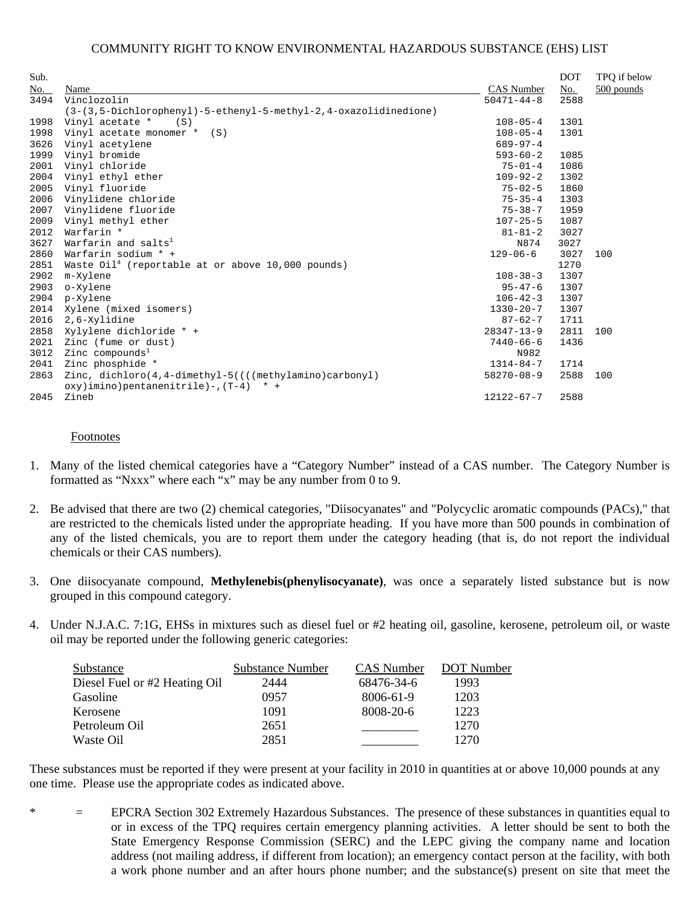|                                                                    |                                               | <b>DOT</b> | TPQ if below |
|--------------------------------------------------------------------|-----------------------------------------------|------------|--------------|
| Name                                                               | CAS Number                                    | No.        | 500 pounds   |
| Vinclozolin                                                        | $50471 - 44 - 8$                              | 2588       |              |
| $(3-(3.5-Dichlorophenyl)-5-ethenyl-5-methyl-2.4-oxazolidinedione)$ |                                               |            |              |
| Vinyl acetate *<br>(S)                                             | $108 - 05 - 4$                                | 1301       |              |
| Vinyl acetate monomer * (S)                                        | $108 - 05 - 4$                                | 1301       |              |
| Vinyl acetylene                                                    | $689 - 97 - 4$                                |            |              |
| Vinyl bromide                                                      | $593 - 60 - 2$                                | 1085       |              |
| Vinyl chloride                                                     | $75 - 01 - 4$                                 | 1086       |              |
| Vinyl ethyl ether                                                  | $109 - 92 - 2$                                | 1302       |              |
| Vinyl fluoride                                                     | $75 - 02 - 5$                                 | 1860       |              |
| Vinylidene chloride                                                | $75 - 35 - 4$                                 | 1303       |              |
| Vinylidene fluoride                                                | $75 - 38 - 7$                                 | 1959       |              |
| Vinyl methyl ether                                                 | $107 - 25 - 5$                                | 1087       |              |
| Warfarin *                                                         | $81 - 81 - 2$                                 | 3027       |              |
| Warfarin and salts <sup>1</sup>                                    | N874                                          | 3027       |              |
| Warfarin sodium * +                                                | $129 - 06 - 6$                                | 3027       | 100          |
| Waste $0i14$ (reportable at or above 10,000 pounds)                |                                               | 1270       |              |
| m-Xylene                                                           | $108 - 38 - 3$                                | 1307       |              |
| o-Xylene                                                           | $95 - 47 - 6$                                 | 1307       |              |
| p-Xylene                                                           | $106 - 42 - 3$                                | 1307       |              |
| Xylene (mixed isomers)                                             | $1330 - 20 - 7$                               | 1307       |              |
| 2,6-Xylidine                                                       | $87 - 62 - 7$                                 | 1711       |              |
| Xylylene dichloride * +                                            | $28347 - 13 - 9$                              | 2811       | 100          |
| Zinc (fume or dust)                                                | $7440 - 66 - 6$                               | 1436       |              |
| Zinc compounds <sup>1</sup>                                        | N982                                          |            |              |
| Zinc phosphide *                                                   | $1314 - 84 - 7$                               | 1714       |              |
| Zinc, $dichloro(4, 4-dimethyl-5)((((methylamino)carbonyl))$        | $58270 - 08 - 9$                              | 2588       | 100          |
| Zineb                                                              | $12122 - 67 - 7$                              | 2588       |              |
|                                                                    | $oxy$ ) imino) pentanenitrile) -, $(T-4)$ * + |            |              |

#### Footnotes

- 1. Many of the listed chemical categories have a "Category Number" instead of a CAS number. The Category Number is formatted as "Nxxx" where each "x" may be any number from 0 to 9.
- 2. Be advised that there are two (2) chemical categories, "Diisocyanates" and "Polycyclic aromatic compounds (PACs)," that are restricted to the chemicals listed under the appropriate heading. If you have more than 500 pounds in combination of any of the listed chemicals, you are to report them under the category heading (that is, do not report the individual chemicals or their CAS numbers).
- 3. One diisocyanate compound, **Methylenebis(phenylisocyanate)**, was once a separately listed substance but is now grouped in this compound category.
- 4. Under N.J.A.C. 7:1G, EHSs in mixtures such as diesel fuel or #2 heating oil, gasoline, kerosene, petroleum oil, or waste oil may be reported under the following generic categories:

| Substance                     | <b>Substance Number</b> | CAS Number | <b>DOT</b> Number |
|-------------------------------|-------------------------|------------|-------------------|
| Diesel Fuel or #2 Heating Oil | 2444                    | 68476-34-6 | 1993              |
| Gasoline                      | 0957                    | 8006-61-9  | 1203              |
| Kerosene                      | 1091                    | 8008-20-6  | 1223              |
| Petroleum Oil                 | 2651                    |            | 1270              |
| Waste Oil                     | 2851                    |            | 1270              |

These substances must be reported if they were present at your facility in 2010 in quantities at or above 10,000 pounds at any one time. Please use the appropriate codes as indicated above.

\* = EPCRA Section 302 Extremely Hazardous Substances. The presence of these substances in quantities equal to or in excess of the TPQ requires certain emergency planning activities. A letter should be sent to both the State Emergency Response Commission (SERC) and the LEPC giving the company name and location address (not mailing address, if different from location); an emergency contact person at the facility, with both a work phone number and an after hours phone number; and the substance(s) present on site that meet the